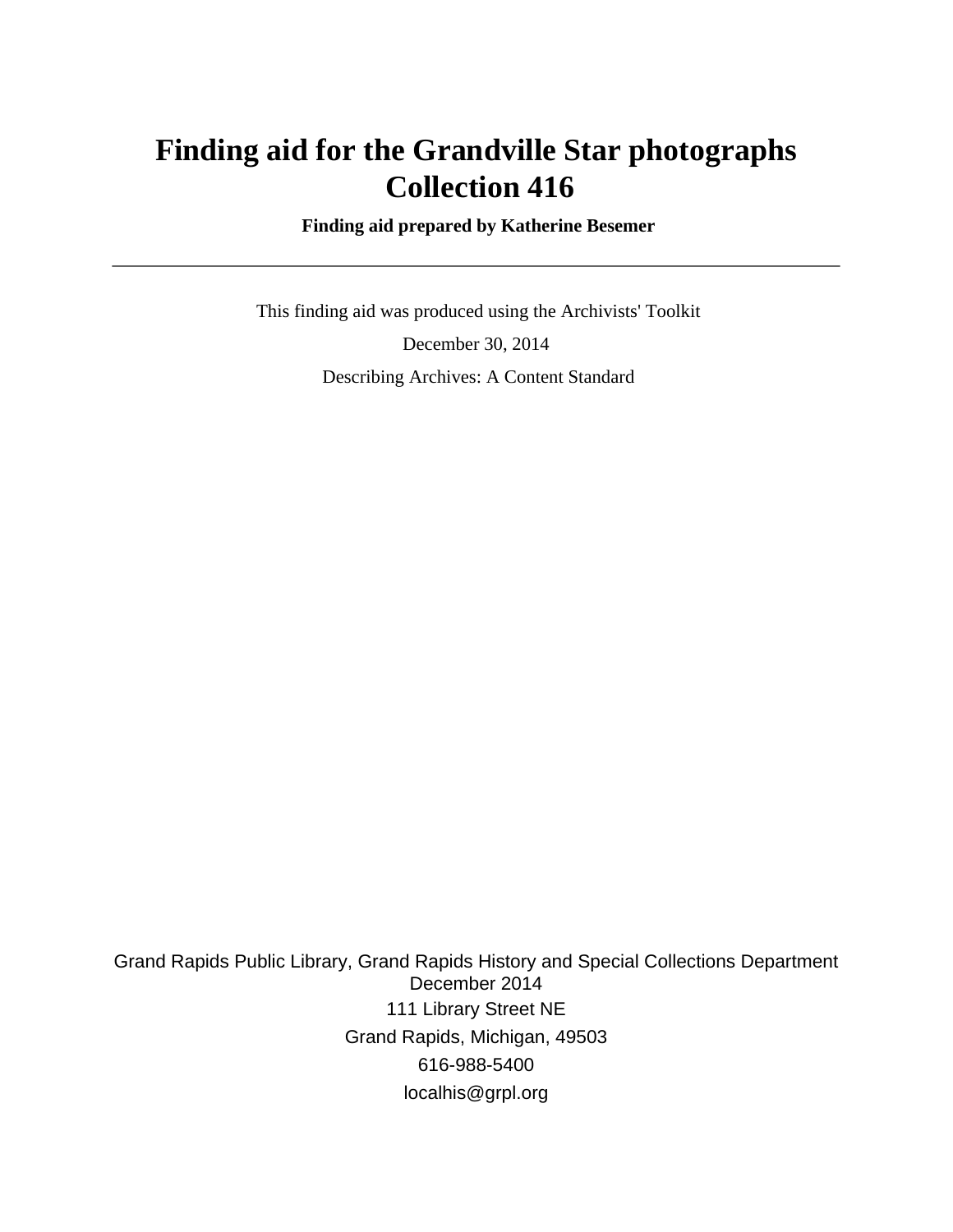# **Finding aid for the Grandville Star photographs Collection 416**

 **Finding aid prepared by Katherine Besemer**

 This finding aid was produced using the Archivists' Toolkit December 30, 2014 Describing Archives: A Content Standard

Grand Rapids Public Library, Grand Rapids History and Special Collections Department December 2014 111 Library Street NE Grand Rapids, Michigan, 49503 616-988-5400 localhis@grpl.org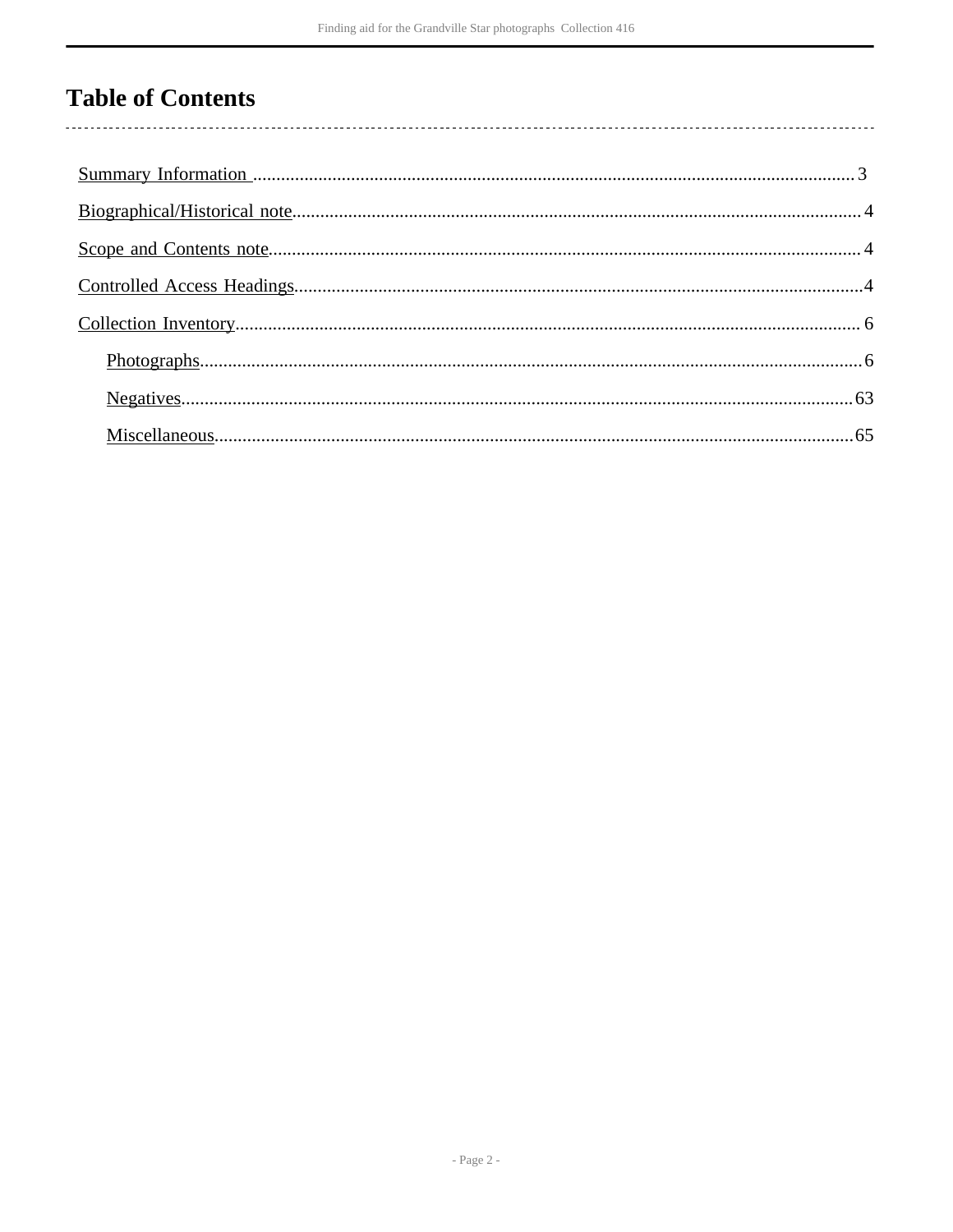## **Table of Contents**

 $\overline{\phantom{a}}$ 

| $Photographs  \n. 6$ |  |
|----------------------|--|
|                      |  |
|                      |  |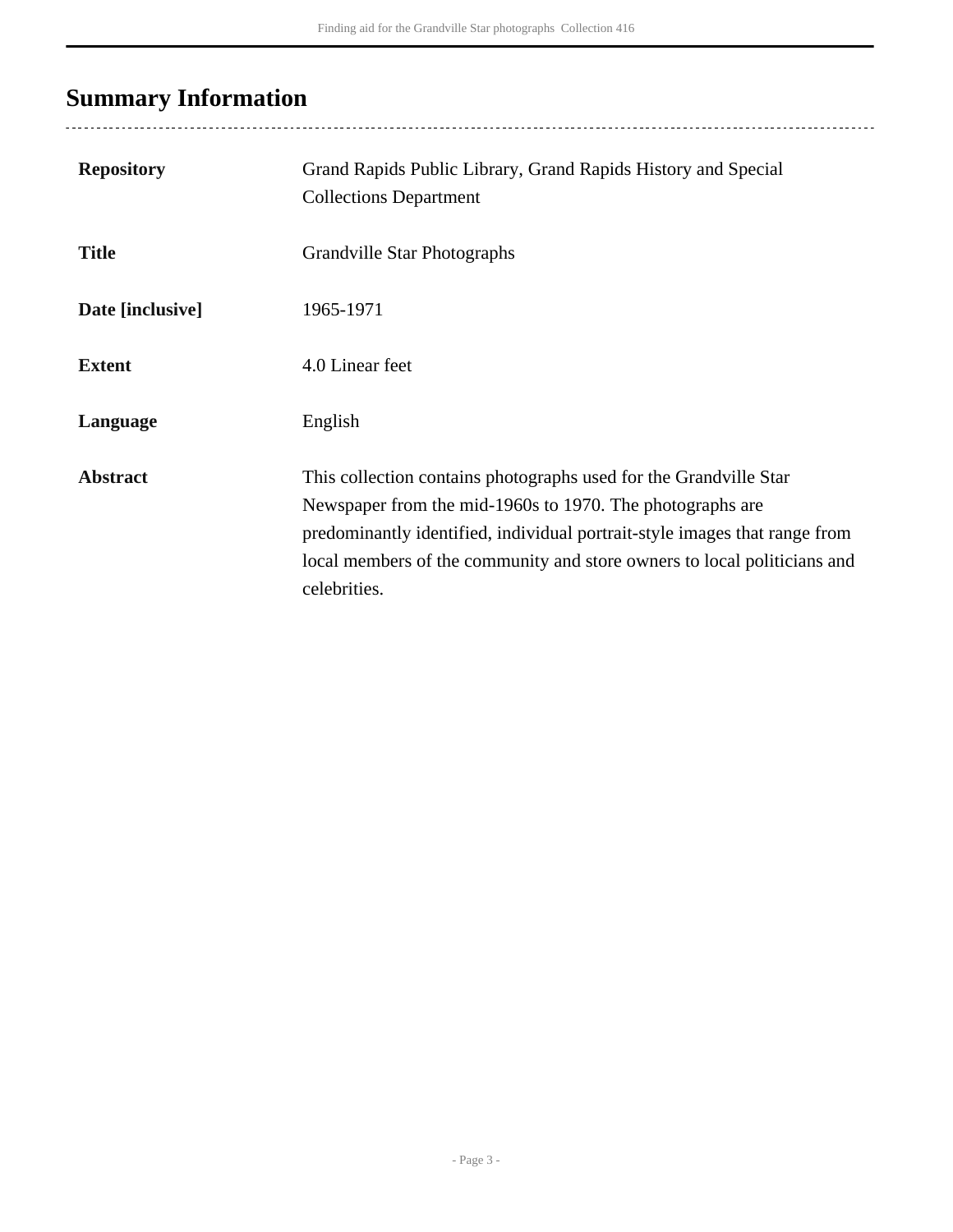# <span id="page-2-0"></span>**Summary Information**

..................................

| <b>Repository</b> | Grand Rapids Public Library, Grand Rapids History and Special<br><b>Collections Department</b>                                                                                                                                                                                                           |
|-------------------|----------------------------------------------------------------------------------------------------------------------------------------------------------------------------------------------------------------------------------------------------------------------------------------------------------|
| <b>Title</b>      | Grandville Star Photographs                                                                                                                                                                                                                                                                              |
| Date [inclusive]  | 1965-1971                                                                                                                                                                                                                                                                                                |
| <b>Extent</b>     | 4.0 Linear feet                                                                                                                                                                                                                                                                                          |
| Language          | English                                                                                                                                                                                                                                                                                                  |
| <b>Abstract</b>   | This collection contains photographs used for the Grandville Star<br>Newspaper from the mid-1960s to 1970. The photographs are<br>predominantly identified, individual portrait-style images that range from<br>local members of the community and store owners to local politicians and<br>celebrities. |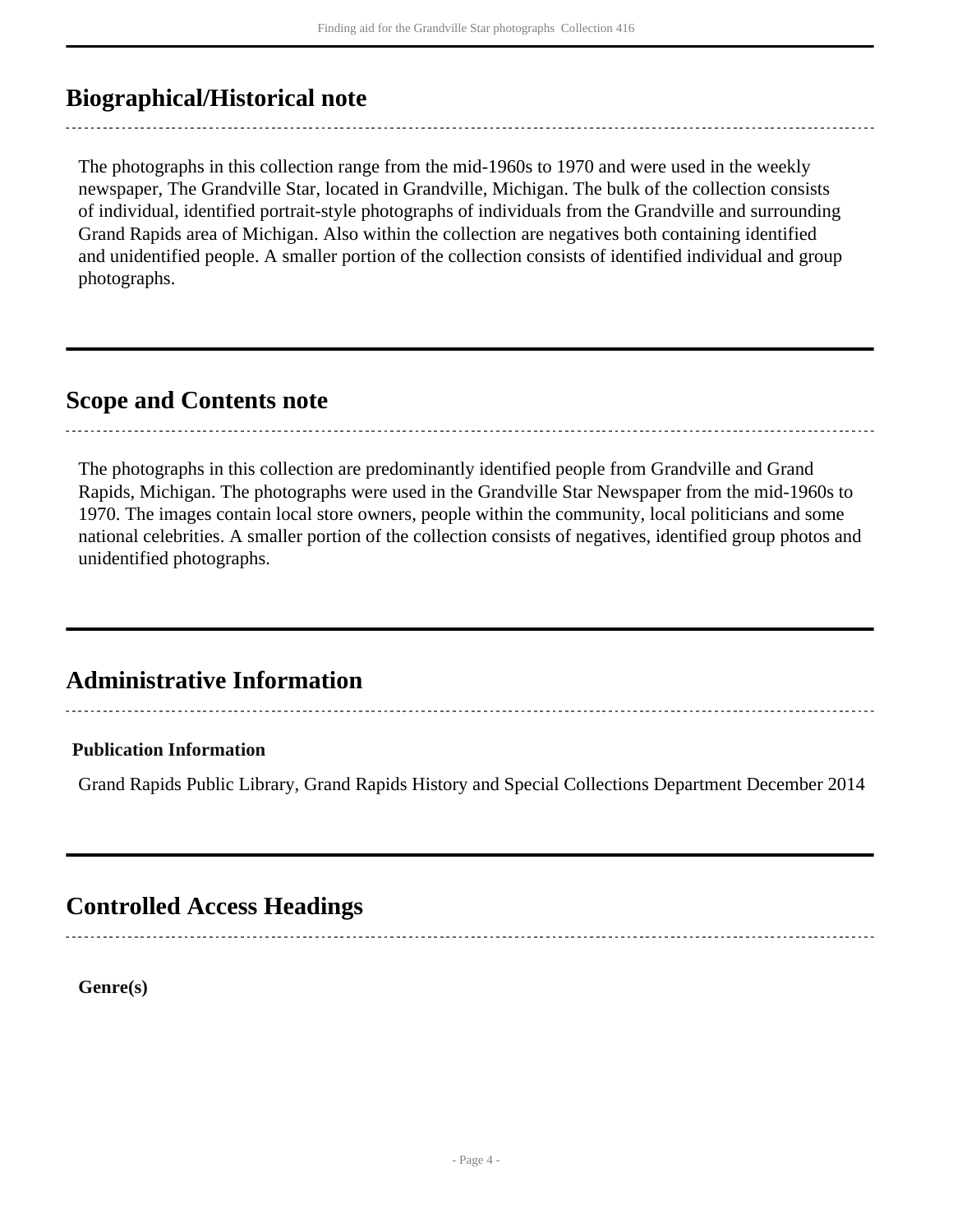### <span id="page-3-0"></span>**Biographical/Historical note**

The photographs in this collection range from the mid-1960s to 1970 and were used in the weekly newspaper, The Grandville Star, located in Grandville, Michigan. The bulk of the collection consists of individual, identified portrait-style photographs of individuals from the Grandville and surrounding Grand Rapids area of Michigan. Also within the collection are negatives both containing identified and unidentified people. A smaller portion of the collection consists of identified individual and group photographs.

#### <span id="page-3-1"></span>**Scope and Contents note**

The photographs in this collection are predominantly identified people from Grandville and Grand Rapids, Michigan. The photographs were used in the Grandville Star Newspaper from the mid-1960s to 1970. The images contain local store owners, people within the community, local politicians and some national celebrities. A smaller portion of the collection consists of negatives, identified group photos and unidentified photographs.

### **Administrative Information**

#### **Publication Information**

Grand Rapids Public Library, Grand Rapids History and Special Collections Department December 2014

### <span id="page-3-2"></span>**Controlled Access Headings**

**Genre(s)**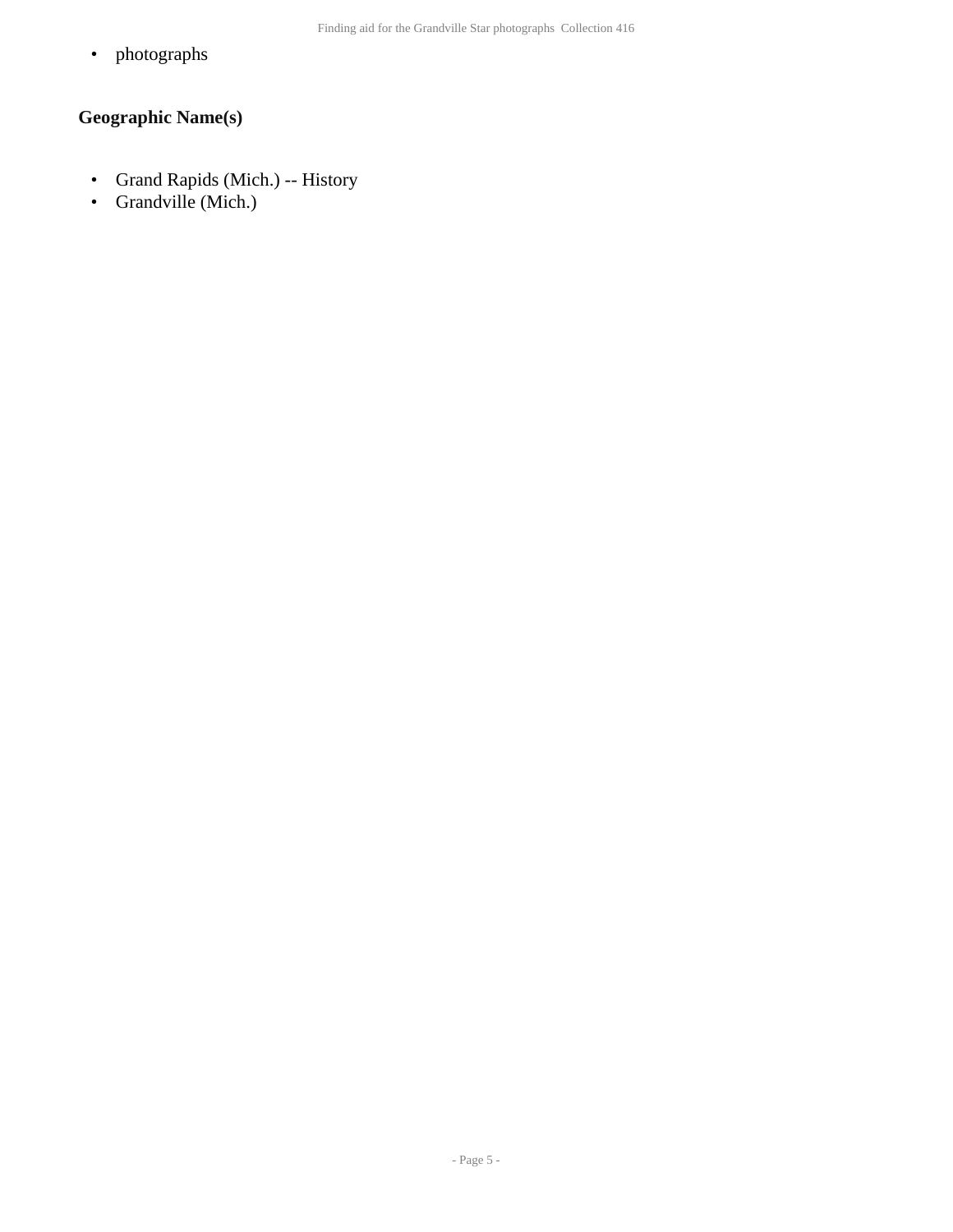• photographs

#### **Geographic Name(s)**

- Grand Rapids (Mich.) -- History
- Grandville (Mich.)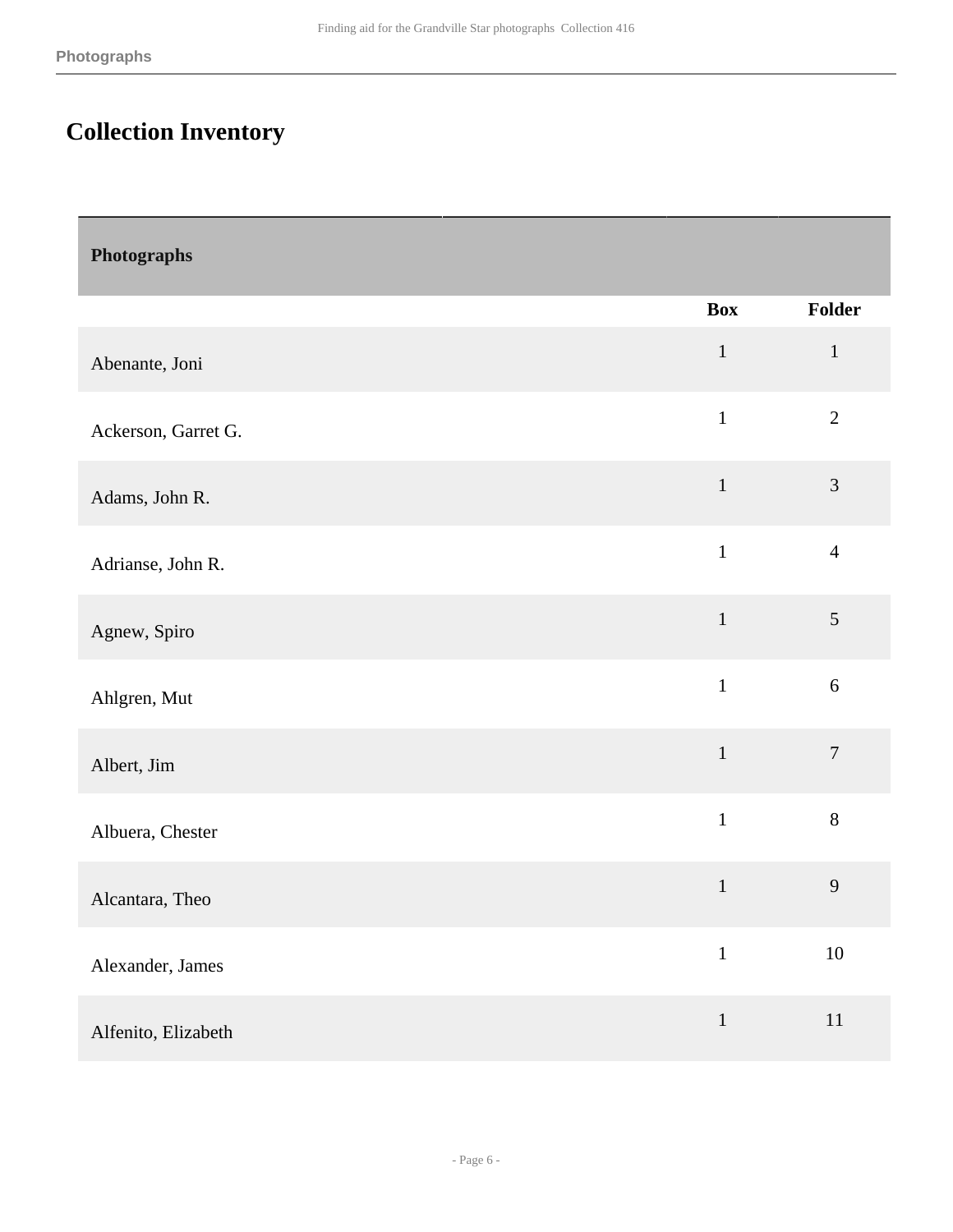Г

### <span id="page-5-0"></span>**Collection Inventory**

<span id="page-5-1"></span>

| Photographs         |              |                |
|---------------------|--------------|----------------|
|                     | <b>Box</b>   | Folder         |
| Abenante, Joni      | $\mathbf{1}$ | $\mathbf{1}$   |
| Ackerson, Garret G. | $\mathbf{1}$ | $\overline{2}$ |
| Adams, John R.      | $\mathbf{1}$ | $\mathfrak{Z}$ |
| Adrianse, John R.   | $\mathbf{1}$ | $\overline{4}$ |
| Agnew, Spiro        | $\mathbf 1$  | $\mathfrak s$  |
| Ahlgren, Mut        | $\mathbf{1}$ | 6              |
| Albert, Jim         | $\mathbf{1}$ | $\overline{7}$ |
| Albuera, Chester    | $\mathbf{1}$ | $8\,$          |
| Alcantara, Theo     | $\,1\,$      | 9              |
| Alexander, James    | $\mathbf{1}$ | $10\,$         |
| Alfenito, Elizabeth | $\,1$        | $11\,$         |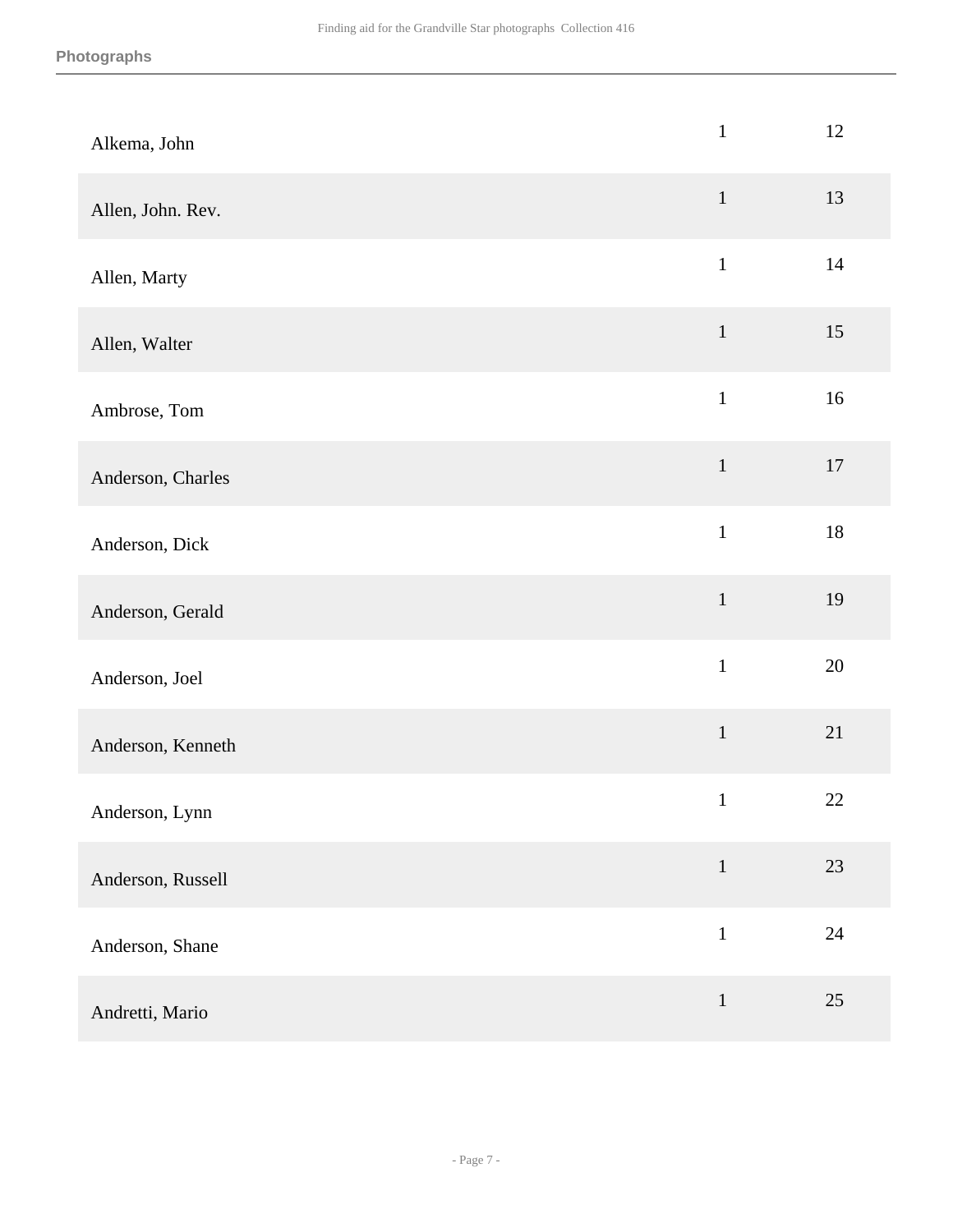| Alkema, John      | $\mathbf{1}$ | 12     |
|-------------------|--------------|--------|
| Allen, John. Rev. | $1\,$        | 13     |
| Allen, Marty      | $\mathbf 1$  | 14     |
| Allen, Walter     | $1\,$        | 15     |
| Ambrose, Tom      | $\mathbf{1}$ | $16\,$ |
| Anderson, Charles | $\,1\,$      | $17\,$ |
| Anderson, Dick    | $\mathbf{1}$ | $18\,$ |
| Anderson, Gerald  | $\,1\,$      | 19     |
| Anderson, Joel    | $\mathbf{1}$ | 20     |
| Anderson, Kenneth | $\mathbf 1$  | $21\,$ |
| Anderson, Lynn    | $\mathbf{1}$ | 22     |
| Anderson, Russell | $\mathbf{1}$ | 23     |
| Anderson, Shane   | $\,1\,$      | 24     |
| Andretti, Mario   | $\mathbf 1$  | 25     |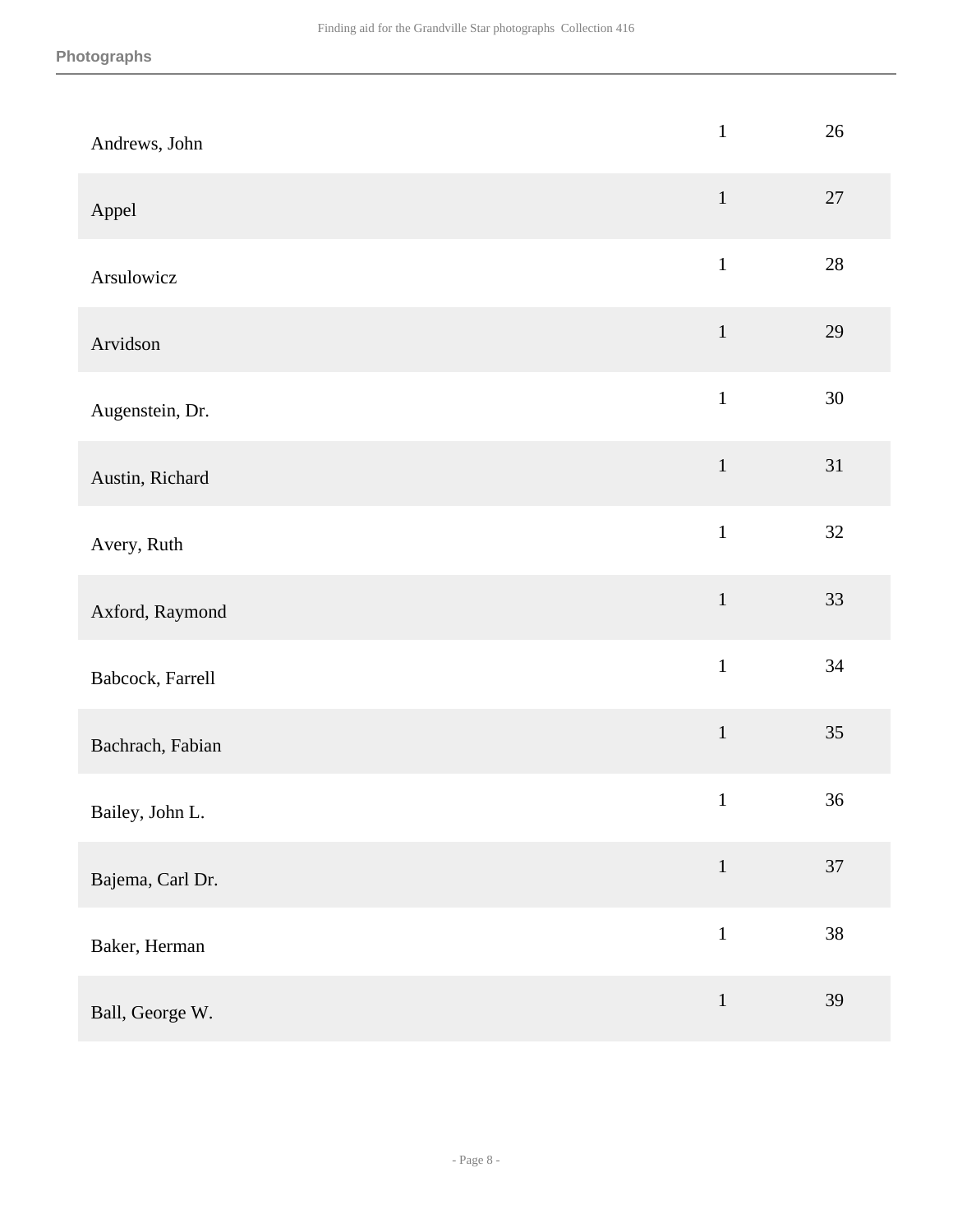| Andrews, John    | $\,1\,$      | 26     |
|------------------|--------------|--------|
| Appel            | $\mathbf{1}$ | 27     |
| Arsulowicz       | $\mathbf{1}$ | $28\,$ |
| Arvidson         | $\mathbf{1}$ | 29     |
| Augenstein, Dr.  | $\mathbf{1}$ | $30\,$ |
| Austin, Richard  | $\mathbf 1$  | 31     |
| Avery, Ruth      | $\mathbf{1}$ | 32     |
| Axford, Raymond  | $\,1\,$      | 33     |
| Babcock, Farrell | $\mathbf 1$  | 34     |
| Bachrach, Fabian | $\,1\,$      | 35     |
| Bailey, John L.  | $\,1\,$      | 36     |
| Bajema, Carl Dr. | $1\,$        | 37     |
| Baker, Herman    | $\mathbf{1}$ | $38\,$ |
| Ball, George W.  | $\mathbf 1$  | 39     |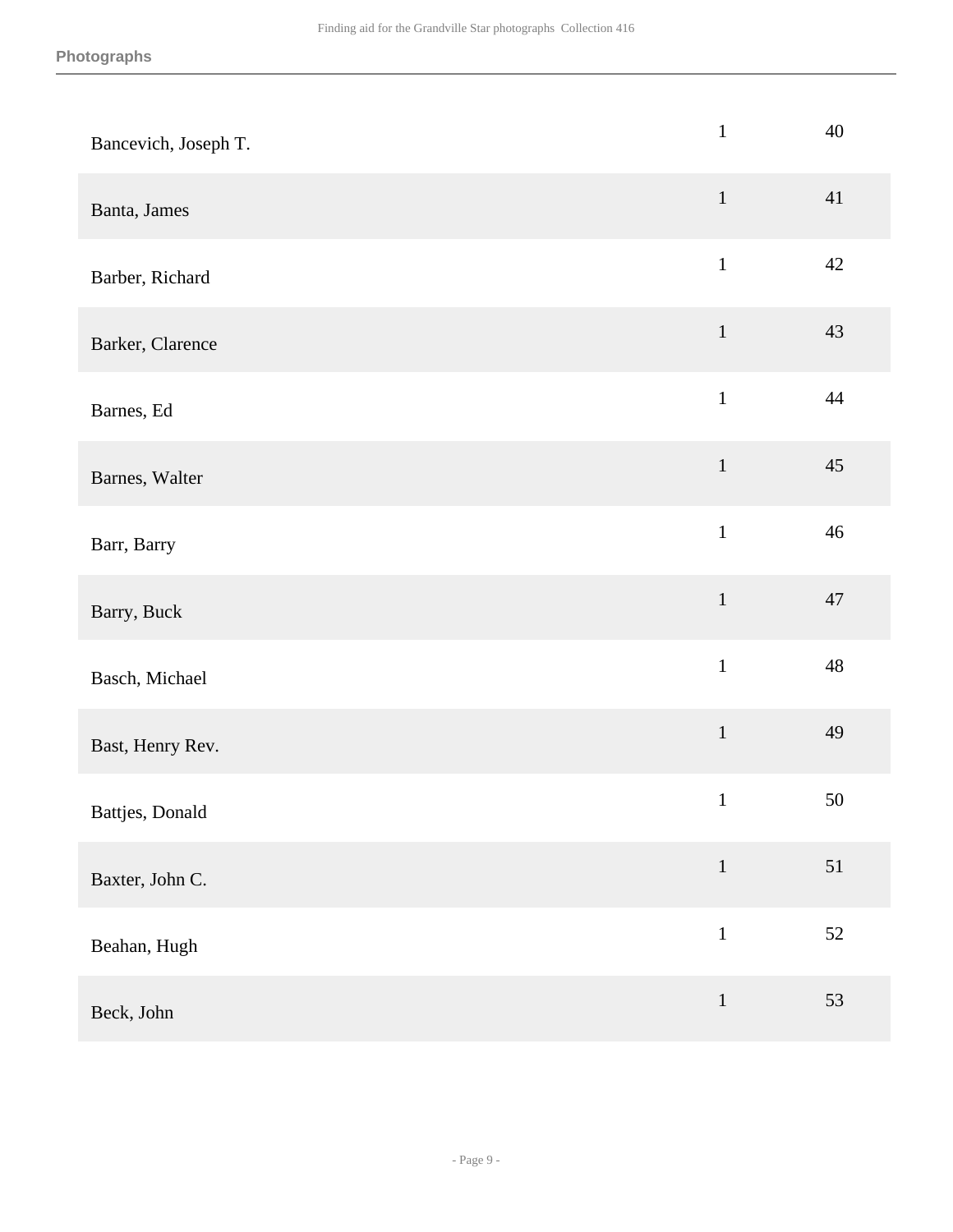| Bancevich, Joseph T. | $\,1$         | 40     |
|----------------------|---------------|--------|
| Banta, James         | $\mathbf{1}$  | 41     |
| Barber, Richard      | $\mathbf{1}$  | 42     |
| Barker, Clarence     | $\mathbf{1}$  | 43     |
| Barnes, Ed           | $\mathbbm{1}$ | 44     |
| Barnes, Walter       | $\mathbf{1}$  | 45     |
| Barr, Barry          | $\mathbf{1}$  | 46     |
| Barry, Buck          | $1\,$         | 47     |
| Basch, Michael       | $\mathbf{1}$  | 48     |
| Bast, Henry Rev.     | $\mathbf{1}$  | 49     |
| Battjes, Donald      | $\,1\,$       | $50\,$ |
| Baxter, John C.      | $\,1\,$       | 51     |
| Beahan, Hugh         | $\mathbf{1}$  | $52\,$ |
| Beck, John           | $1\,$         | 53     |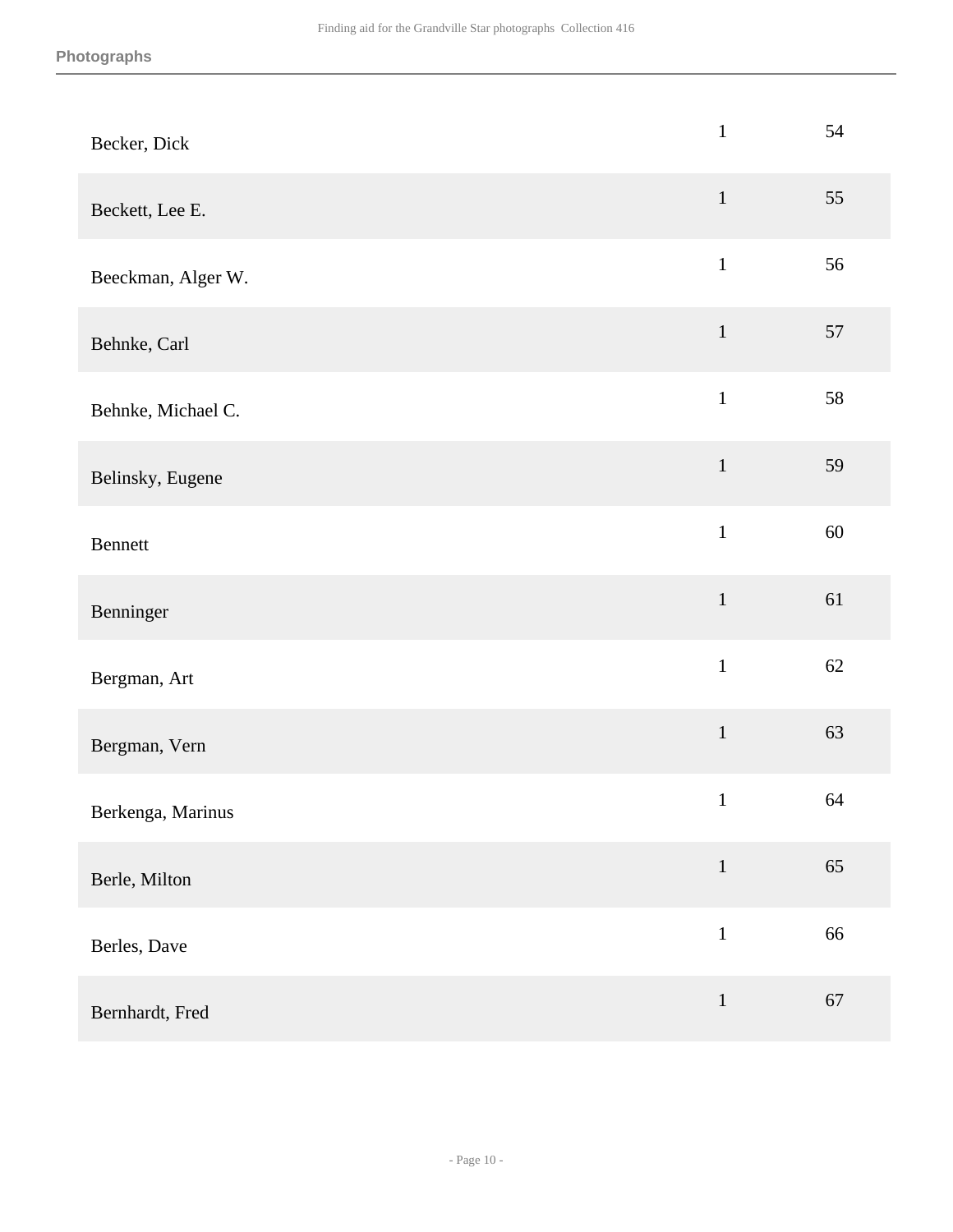| Becker, Dick       | $\mathbf 1$  | 54 |
|--------------------|--------------|----|
| Beckett, Lee E.    | $1\,$        | 55 |
| Beeckman, Alger W. | $\,1\,$      | 56 |
| Behnke, Carl       | $1\,$        | 57 |
| Behnke, Michael C. | $\mathbf 1$  | 58 |
| Belinsky, Eugene   | $\,1\,$      | 59 |
| Bennett            | $\mathbf{1}$ | 60 |
| Benninger          | $\,1$        | 61 |
| Bergman, Art       | $\mathbf 1$  | 62 |
| Bergman, Vern      | $\,1\,$      | 63 |
| Berkenga, Marinus  | $\mathbf{1}$ | 64 |
| Berle, Milton      | $\,1\,$      | 65 |
| Berles, Dave       | $\,1\,$      | 66 |
| Bernhardt, Fred    | $\,1\,$      | 67 |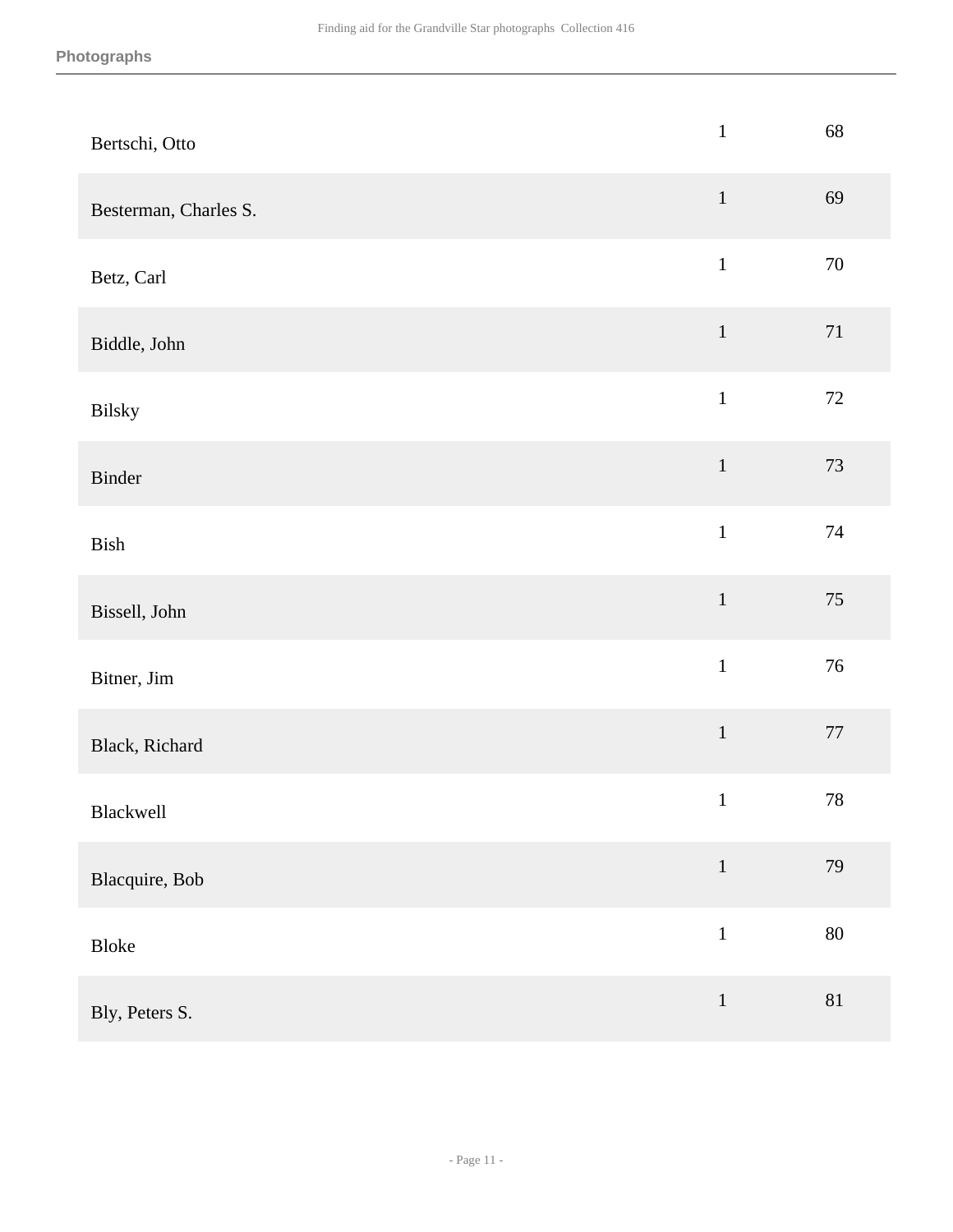| Bertschi, Otto        | $\,1$        | 68     |
|-----------------------|--------------|--------|
| Besterman, Charles S. | $\,1$        | 69     |
| Betz, Carl            | $\mathbf 1$  | $70\,$ |
| Biddle, John          | $\,1\,$      | 71     |
| Bilsky                | $\mathbf 1$  | $72\,$ |
| Binder                | $\mathbf 1$  | 73     |
| Bish                  | $\mathbf 1$  | 74     |
| Bissell, John         | $\mathbf 1$  | 75     |
| Bitner, Jim           | $\,1$        | 76     |
| Black, Richard        | $\,1\,$      | $77\,$ |
| Blackwell             | $\mathbf 1$  | $78\,$ |
| Blacquire, Bob        | $\,1\,$      | 79     |
| Bloke                 | $\mathbf{1}$ | 80     |
| Bly, Peters S.        | $\,1\,$      | $81\,$ |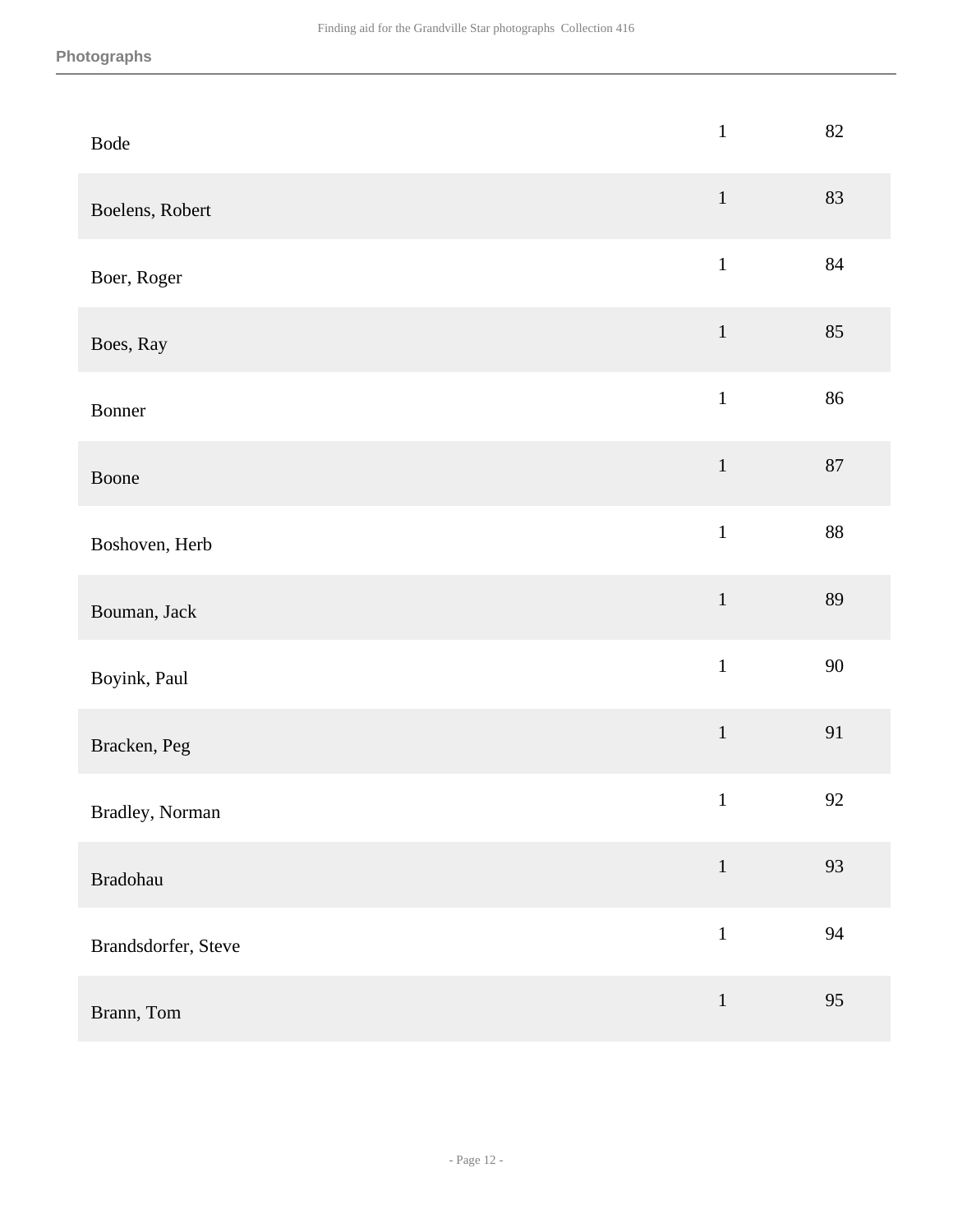| Bode                | $\,1$        | 82 |
|---------------------|--------------|----|
| Boelens, Robert     | $\,1\,$      | 83 |
| Boer, Roger         | $\mathbf{1}$ | 84 |
| Boes, Ray           | $1\,$        | 85 |
| Bonner              | $\mathbf{1}$ | 86 |
| Boone               | $\,1\,$      | 87 |
| Boshoven, Herb      | $\mathbf{1}$ | 88 |
| Bouman, Jack        | $\,1\,$      | 89 |
| Boyink, Paul        | $\mathbf 1$  | 90 |
| Bracken, Peg        | $\,1\,$      | 91 |
| Bradley, Norman     | $\mathbf{1}$ | 92 |
| Bradohau            | $1\,$        | 93 |
| Brandsdorfer, Steve | $\,1\,$      | 94 |
| Brann, Tom          | $\,1\,$      | 95 |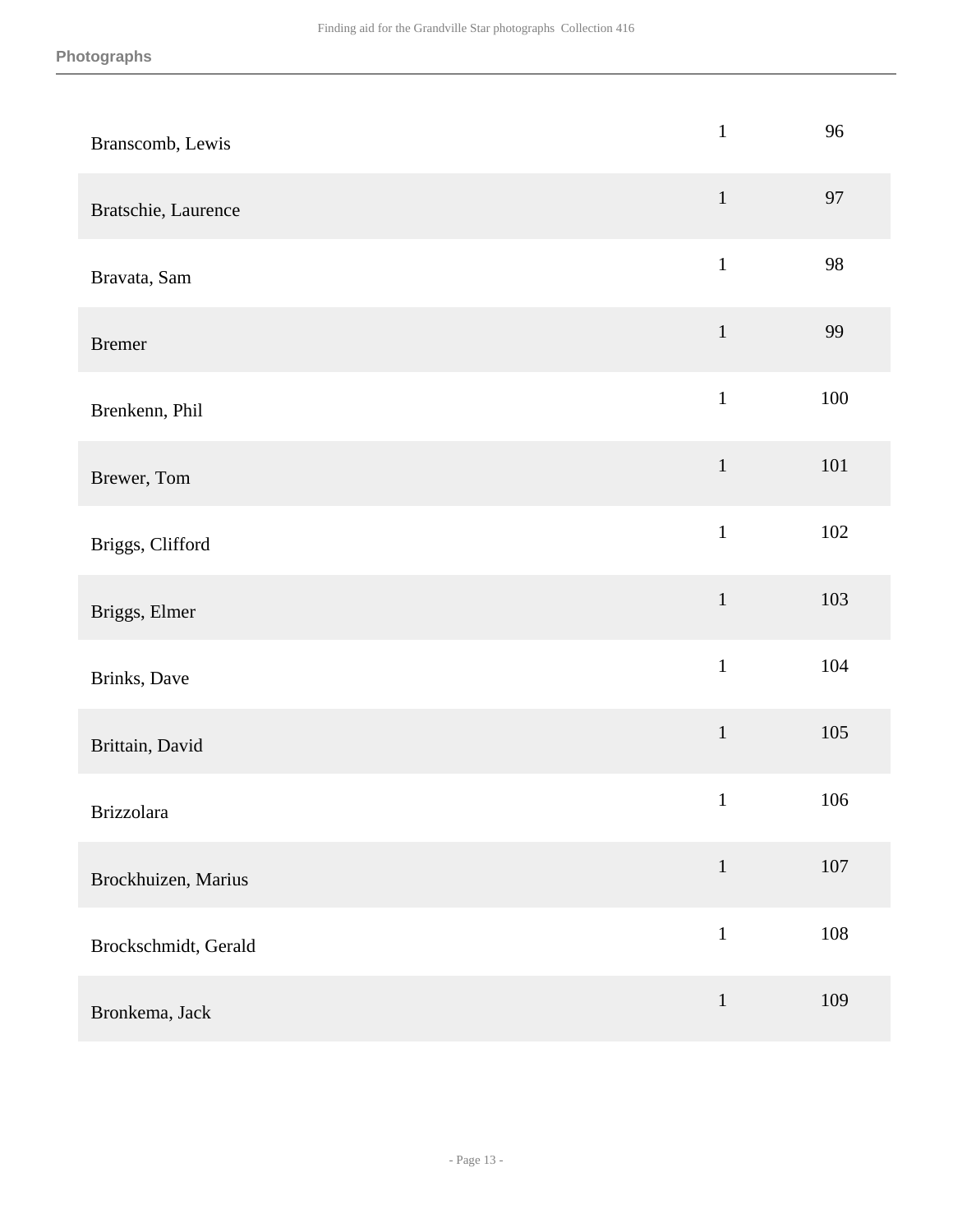| Branscomb, Lewis     | $\mathbf{1}$ | 96      |
|----------------------|--------------|---------|
| Bratschie, Laurence  | $\mathbf{1}$ | 97      |
| Bravata, Sam         | $\mathbf{1}$ | 98      |
| <b>Bremer</b>        | $\mathbf{1}$ | 99      |
| Brenkenn, Phil       | $\,1\,$      | 100     |
| Brewer, Tom          | $\mathbf{1}$ | 101     |
| Briggs, Clifford     | $\mathbf{1}$ | $102\,$ |
| Briggs, Elmer        | $\mathbf 1$  | 103     |
| Brinks, Dave         | $\mathbf 1$  | 104     |
| Brittain, David      | $\mathbf 1$  | 105     |
| <b>Brizzolara</b>    | $\mathbf{1}$ | 106     |
| Brockhuizen, Marius  | $\mathbf{1}$ | $107\,$ |
| Brockschmidt, Gerald | $1\,$        | $108\,$ |
| Bronkema, Jack       | $\mathbf{1}$ | 109     |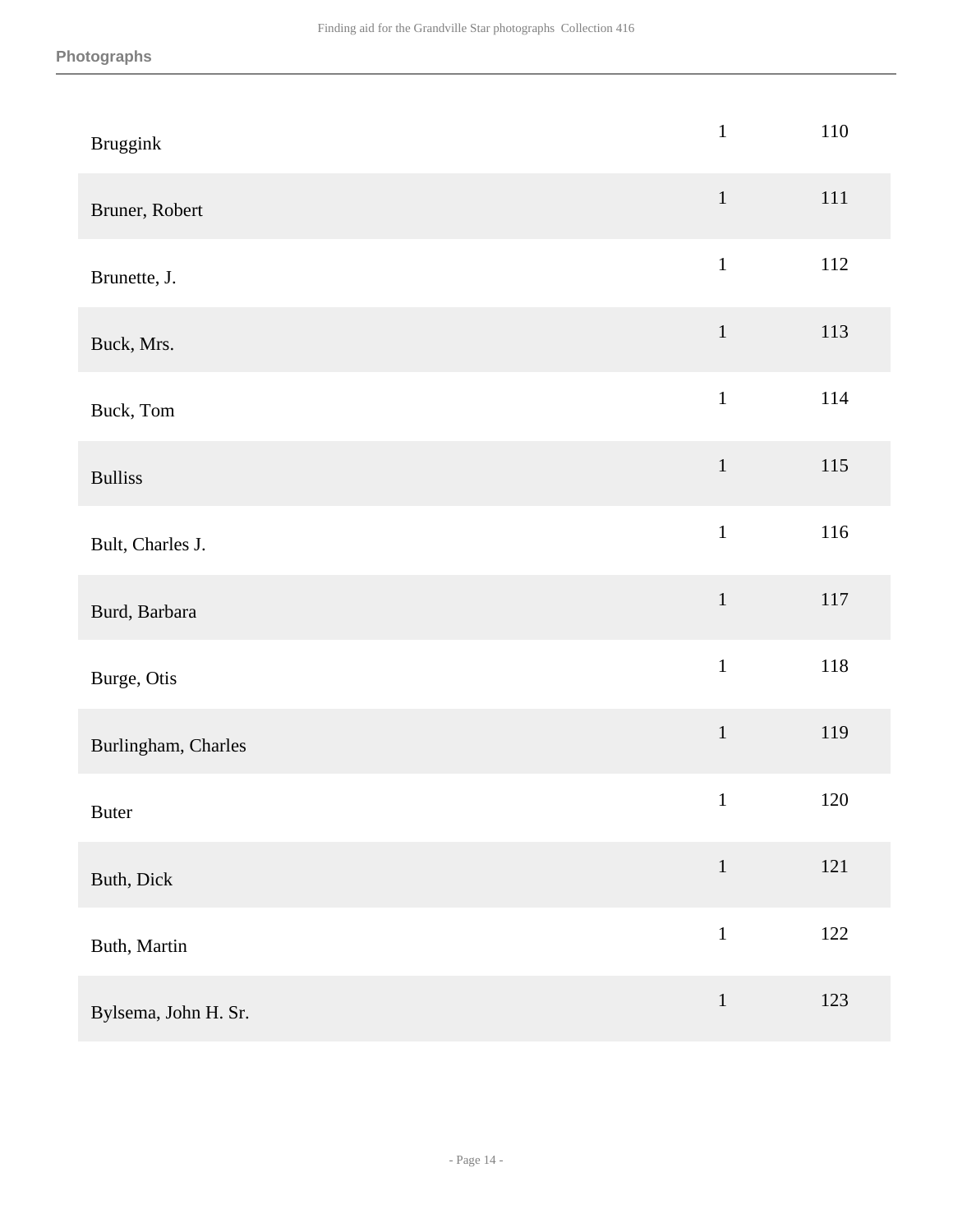| <b>Bruggink</b>      | $\,1\,$      | 110     |
|----------------------|--------------|---------|
| Bruner, Robert       | $\,1\,$      | $111\,$ |
| Brunette, J.         | $\,1\,$      | 112     |
| Buck, Mrs.           | $\mathbf 1$  | 113     |
| Buck, Tom            | $\mathbf{1}$ | 114     |
| <b>Bulliss</b>       | $\mathbf 1$  | $115\,$ |
| Bult, Charles J.     | $\mathbf{1}$ | 116     |
| Burd, Barbara        | $\mathbf 1$  | $117\,$ |
| Burge, Otis          | $\mathbf 1$  | 118     |
| Burlingham, Charles  | $\mathbf 1$  | 119     |
| <b>Buter</b>         | $\mathbf 1$  | 120     |
| Buth, Dick           | $\,1\,$      | 121     |
| Buth, Martin         | $\mathbf{1}$ | 122     |
| Bylsema, John H. Sr. | $\mathbf 1$  | 123     |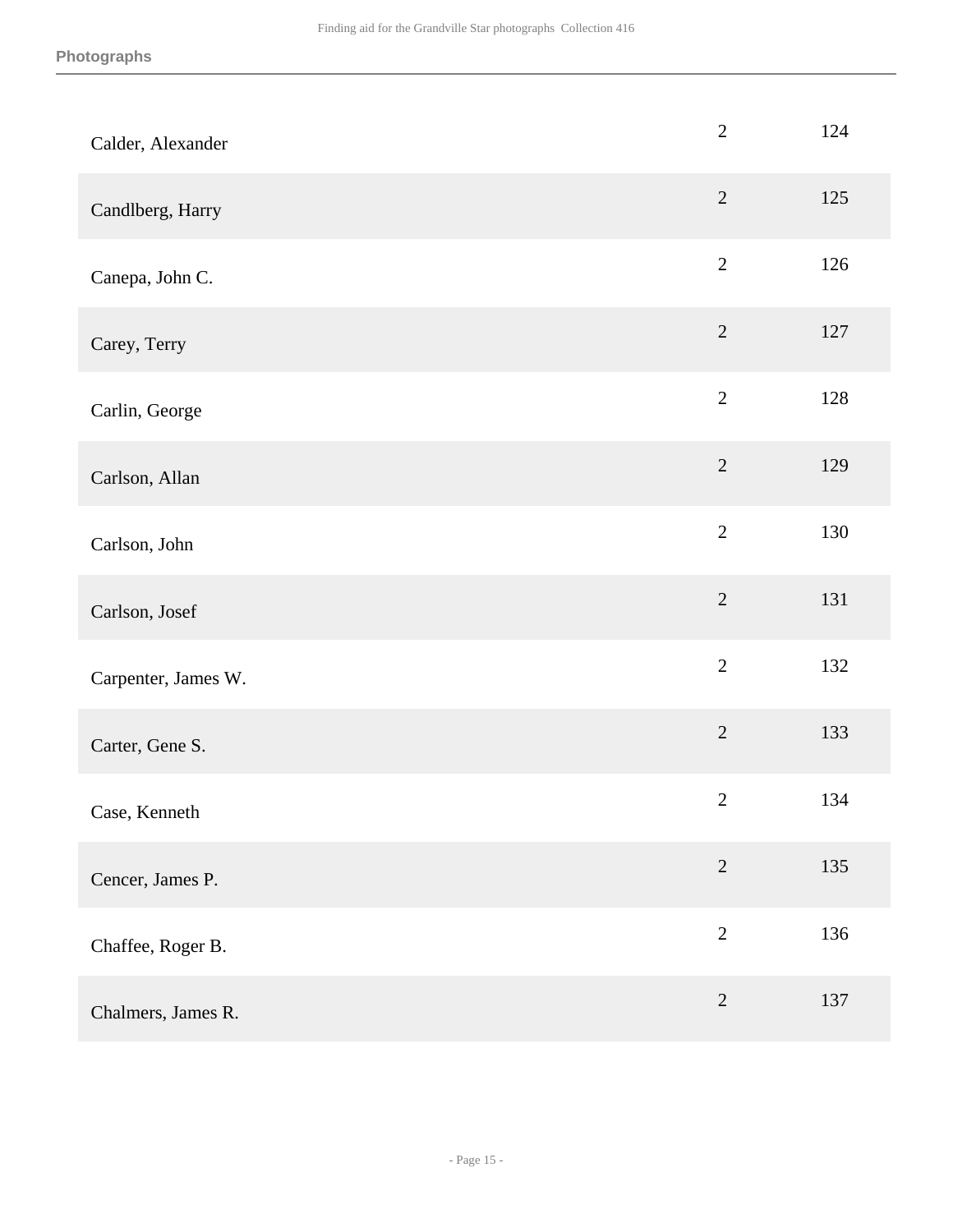| Calder, Alexander   | $\overline{2}$ | 124 |
|---------------------|----------------|-----|
| Candlberg, Harry    | $\overline{2}$ | 125 |
| Canepa, John C.     | $\sqrt{2}$     | 126 |
| Carey, Terry        | $\overline{2}$ | 127 |
| Carlin, George      | $\overline{2}$ | 128 |
| Carlson, Allan      | $\overline{2}$ | 129 |
| Carlson, John       | $\overline{2}$ | 130 |
| Carlson, Josef      | $\overline{2}$ | 131 |
| Carpenter, James W. | $\overline{2}$ | 132 |
| Carter, Gene S.     | $\overline{2}$ | 133 |
| Case, Kenneth       | $\mathbf{2}$   | 134 |
| Cencer, James P.    | $\overline{2}$ | 135 |
| Chaffee, Roger B.   | $\overline{2}$ | 136 |
| Chalmers, James R.  | $\sqrt{2}$     | 137 |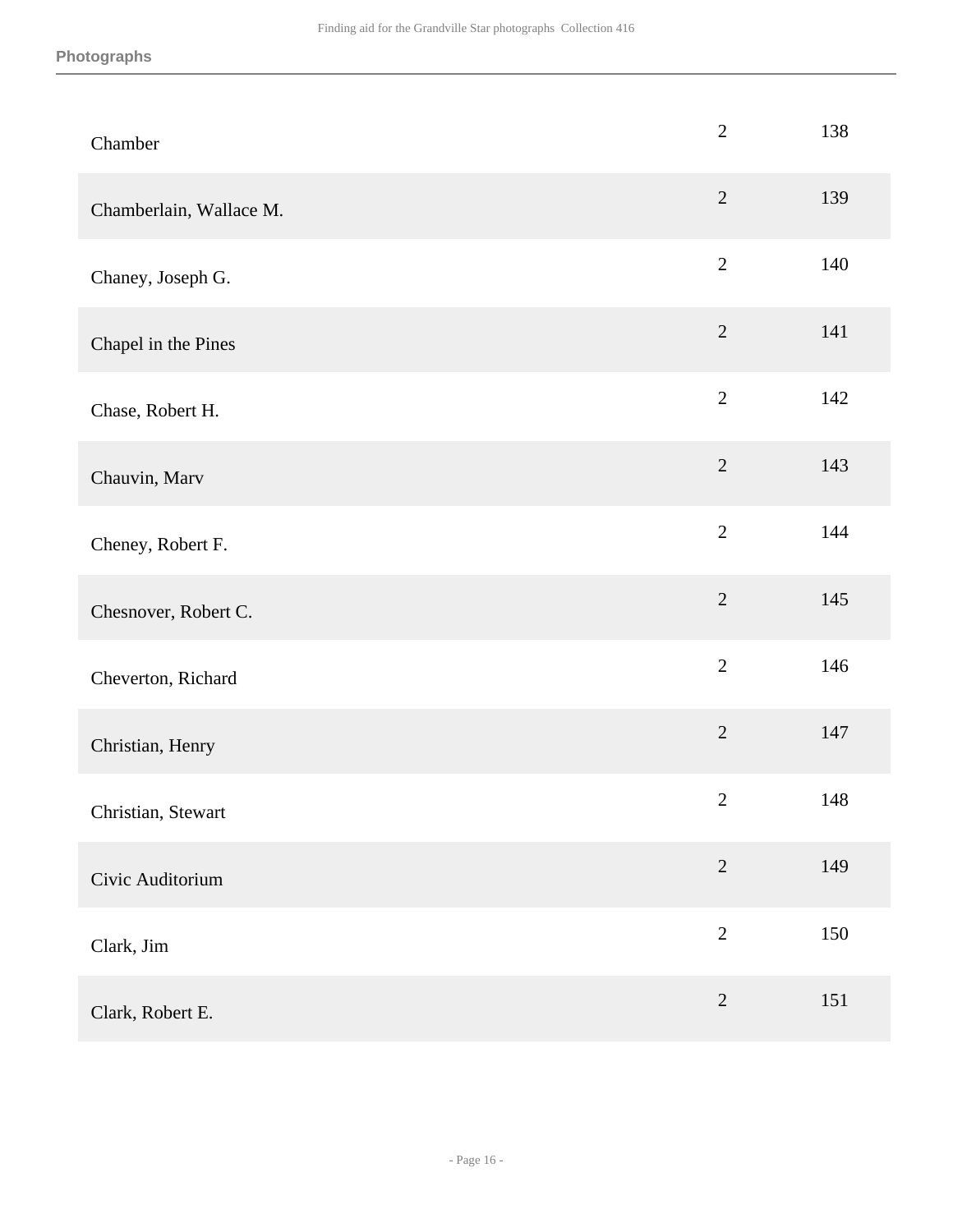| Chamber                 | $\overline{2}$ | 138 |
|-------------------------|----------------|-----|
| Chamberlain, Wallace M. | $\overline{2}$ | 139 |
| Chaney, Joseph G.       | $\overline{2}$ | 140 |
| Chapel in the Pines     | $\sqrt{2}$     | 141 |
| Chase, Robert H.        | $\overline{2}$ | 142 |
| Chauvin, Marv           | $\overline{2}$ | 143 |
| Cheney, Robert F.       | $\overline{2}$ | 144 |
| Chesnover, Robert C.    | $\overline{2}$ | 145 |
| Cheverton, Richard      | $\overline{2}$ | 146 |
| Christian, Henry        | $\overline{2}$ | 147 |
| Christian, Stewart      | $\sqrt{2}$     | 148 |
| Civic Auditorium        | $\sqrt{2}$     | 149 |
| Clark, Jim              | $\sqrt{2}$     | 150 |
| Clark, Robert E.        | $\sqrt{2}$     | 151 |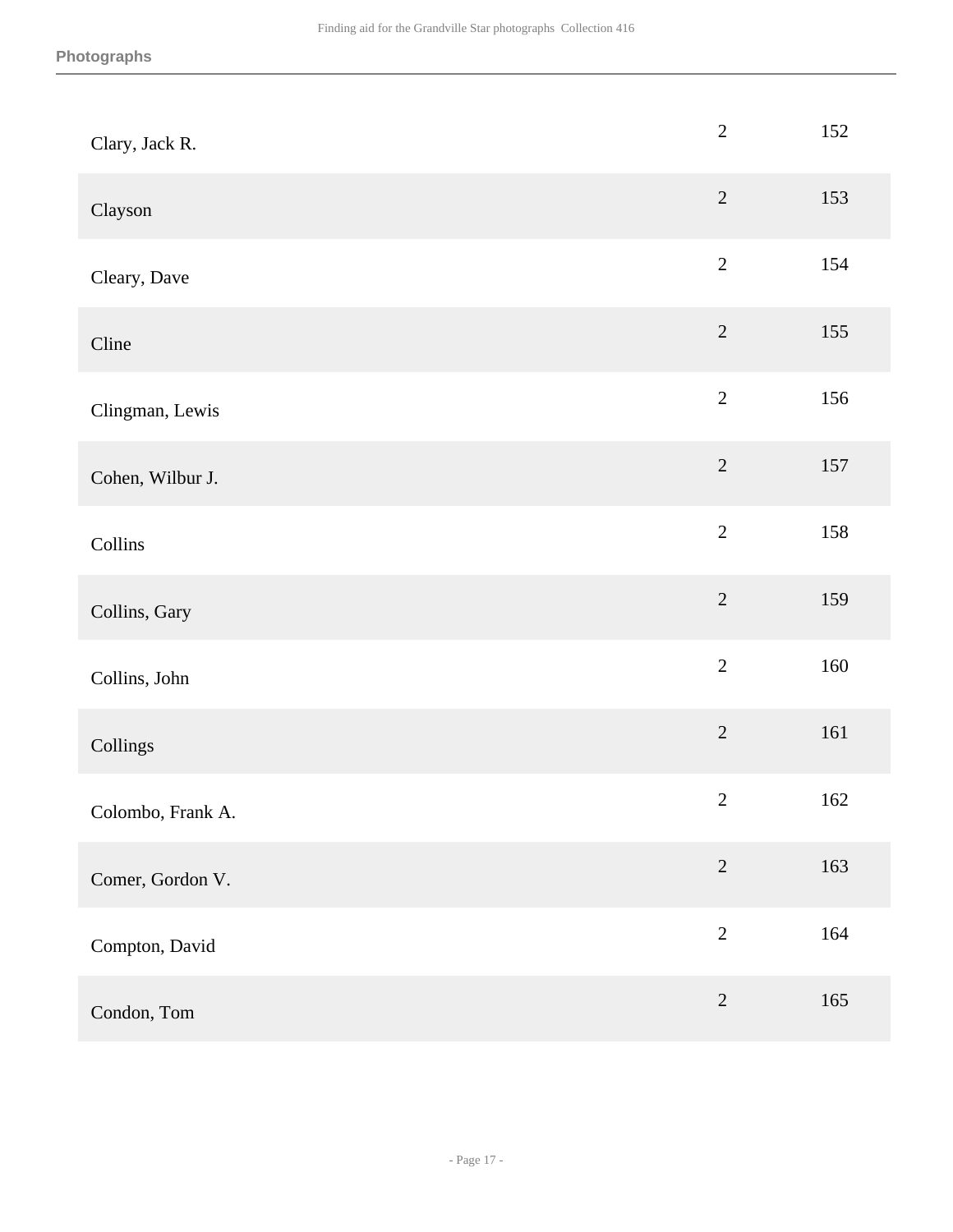| Clary, Jack R.    | $\overline{2}$ | 152 |
|-------------------|----------------|-----|
| Clayson           | $\sqrt{2}$     | 153 |
| Cleary, Dave      | $\sqrt{2}$     | 154 |
| Cline             | $\sqrt{2}$     | 155 |
| Clingman, Lewis   | $\overline{2}$ | 156 |
| Cohen, Wilbur J.  | $\sqrt{2}$     | 157 |
| Collins           | $\sqrt{2}$     | 158 |
| Collins, Gary     | $\overline{2}$ | 159 |
| Collins, John     | $\sqrt{2}$     | 160 |
| Collings          | $\sqrt{2}$     | 161 |
| Colombo, Frank A. | $\sqrt{2}$     | 162 |
| Comer, Gordon V.  | $\sqrt{2}$     | 163 |
| Compton, David    | $\sqrt{2}$     | 164 |
| Condon, Tom       | $\sqrt{2}$     | 165 |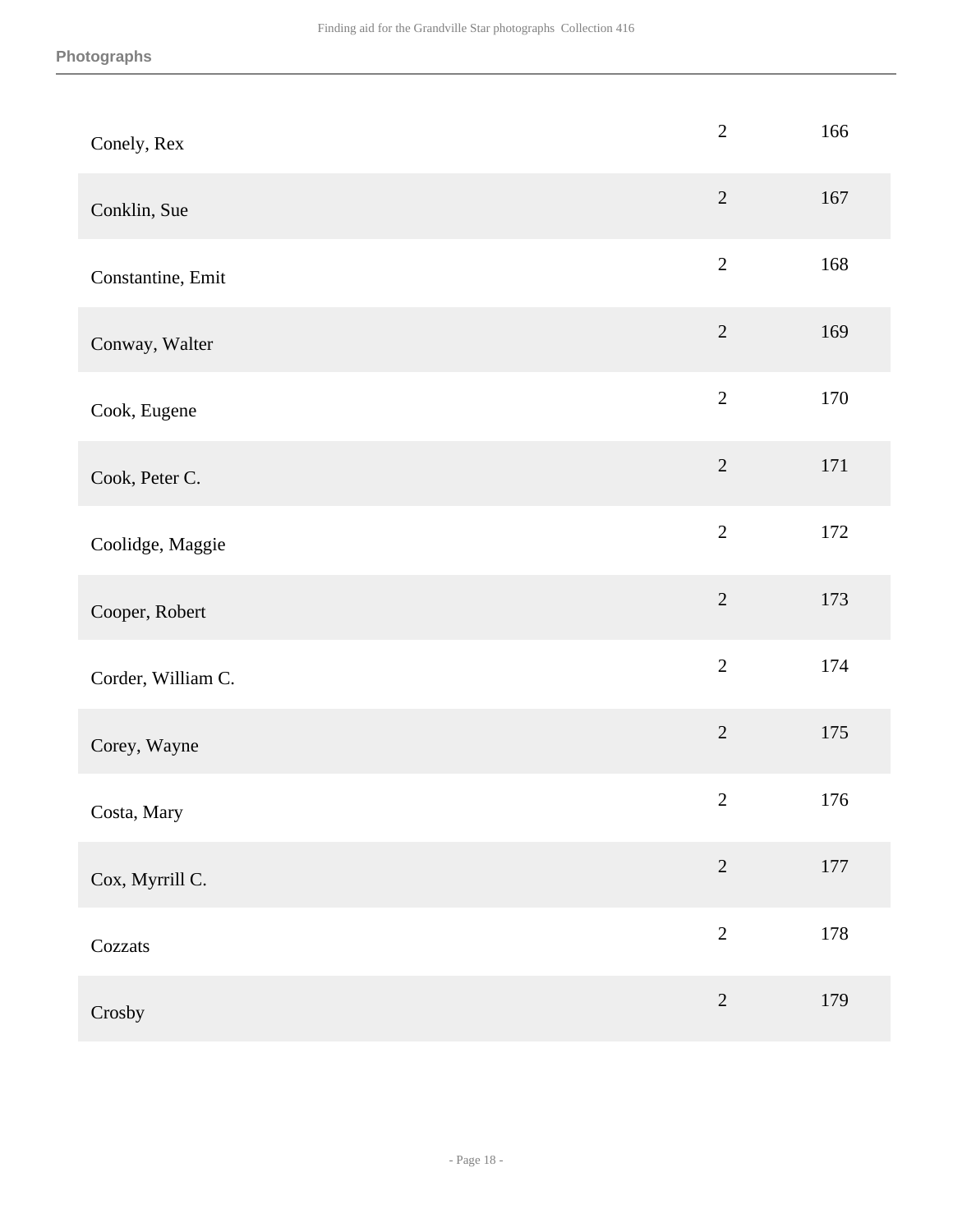| Conely, Rex        | $\sqrt{2}$     | 166     |
|--------------------|----------------|---------|
| Conklin, Sue       | $\overline{2}$ | 167     |
| Constantine, Emit  | $\sqrt{2}$     | 168     |
| Conway, Walter     | $\sqrt{2}$     | 169     |
| Cook, Eugene       | $\overline{2}$ | 170     |
| Cook, Peter C.     | $\overline{2}$ | $171\,$ |
| Coolidge, Maggie   | $\sqrt{2}$     | 172     |
| Cooper, Robert     | $\overline{2}$ | 173     |
| Corder, William C. | $\sqrt{2}$     | 174     |
| Corey, Wayne       | $\sqrt{2}$     | 175     |
| Costa, Mary        | $\overline{2}$ | 176     |
| Cox, Myrrill C.    | $\sqrt{2}$     | 177     |
| Cozzats            | $\overline{2}$ | 178     |
| Crosby             | $\sqrt{2}$     | 179     |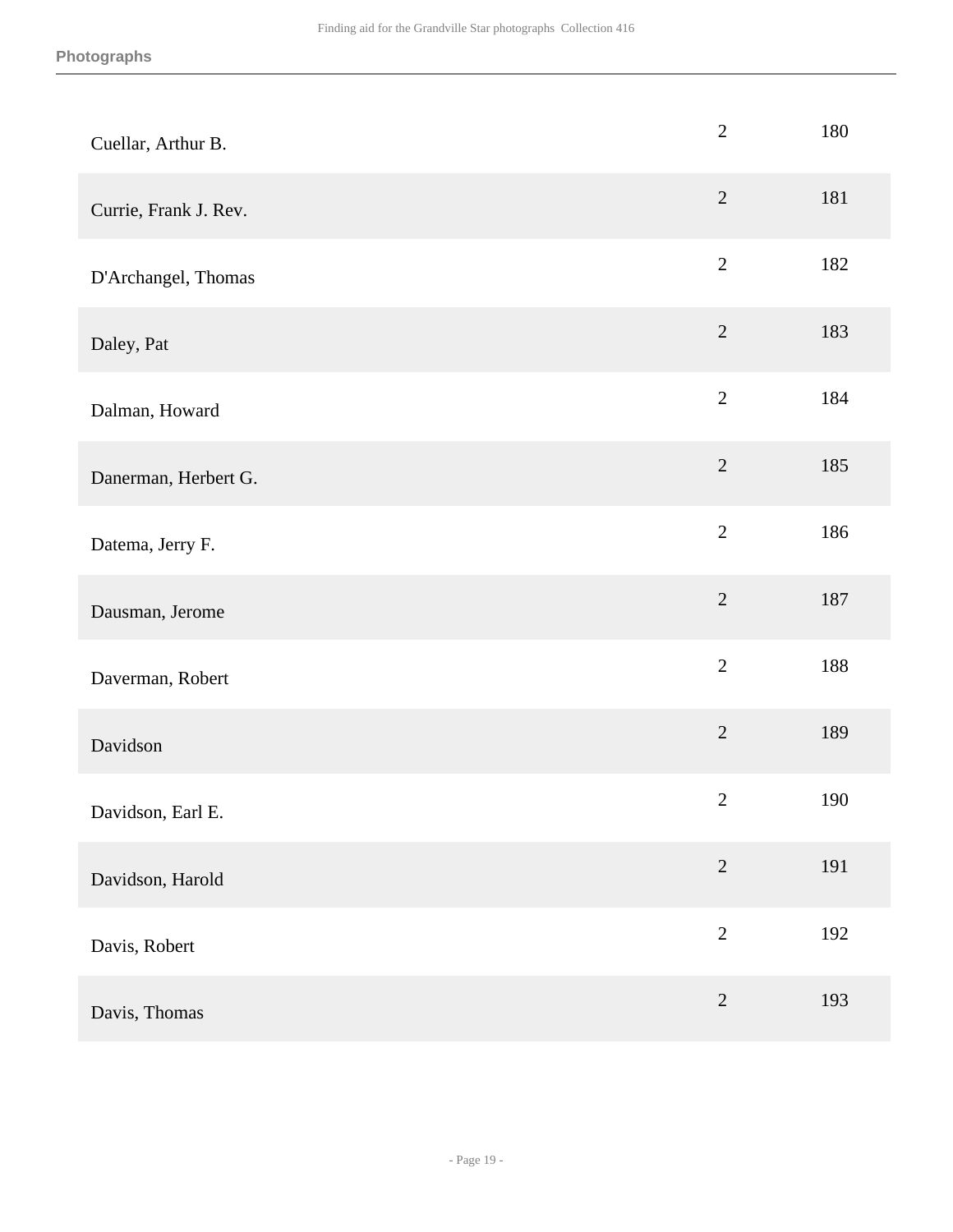| Cuellar, Arthur B.    | $\mathbf{2}$   | 180 |
|-----------------------|----------------|-----|
| Currie, Frank J. Rev. | $\overline{2}$ | 181 |
| D'Archangel, Thomas   | $\overline{2}$ | 182 |
| Daley, Pat            | $\sqrt{2}$     | 183 |
| Dalman, Howard        | $\overline{2}$ | 184 |
| Danerman, Herbert G.  | $\overline{2}$ | 185 |
| Datema, Jerry F.      | $\overline{2}$ | 186 |
| Dausman, Jerome       | $\overline{2}$ | 187 |
| Daverman, Robert      | $\overline{2}$ | 188 |
| Davidson              | $\sqrt{2}$     | 189 |
| Davidson, Earl E.     | $\overline{2}$ | 190 |
| Davidson, Harold      | $\sqrt{2}$     | 191 |
| Davis, Robert         | $\sqrt{2}$     | 192 |
| Davis, Thomas         | $\sqrt{2}$     | 193 |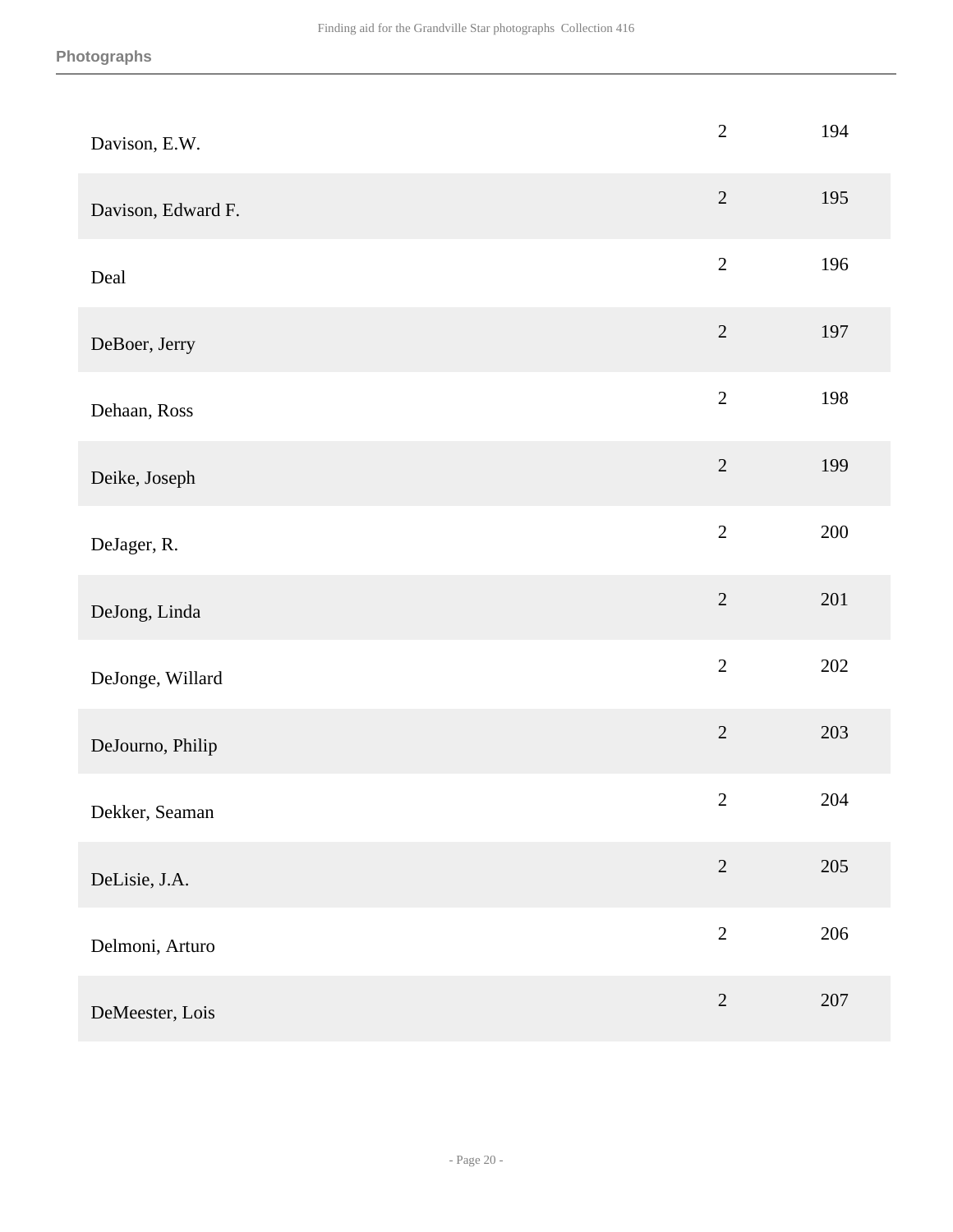| Davison, E.W.      | $\overline{2}$ | 194     |
|--------------------|----------------|---------|
| Davison, Edward F. | $\overline{2}$ | 195     |
| Deal               | $\overline{2}$ | 196     |
| DeBoer, Jerry      | $\sqrt{2}$     | 197     |
| Dehaan, Ross       | $\overline{2}$ | 198     |
| Deike, Joseph      | $\sqrt{2}$     | 199     |
| DeJager, R.        | $\overline{2}$ | 200     |
| DeJong, Linda      | $\sqrt{2}$     | 201     |
| DeJonge, Willard   | $\overline{2}$ | $202\,$ |
| DeJourno, Philip   | $\overline{2}$ | 203     |
| Dekker, Seaman     | $\sqrt{2}$     | 204     |
| DeLisie, J.A.      | $\overline{2}$ | 205     |
| Delmoni, Arturo    | $\overline{2}$ | 206     |
| DeMeester, Lois    | $\sqrt{2}$     | 207     |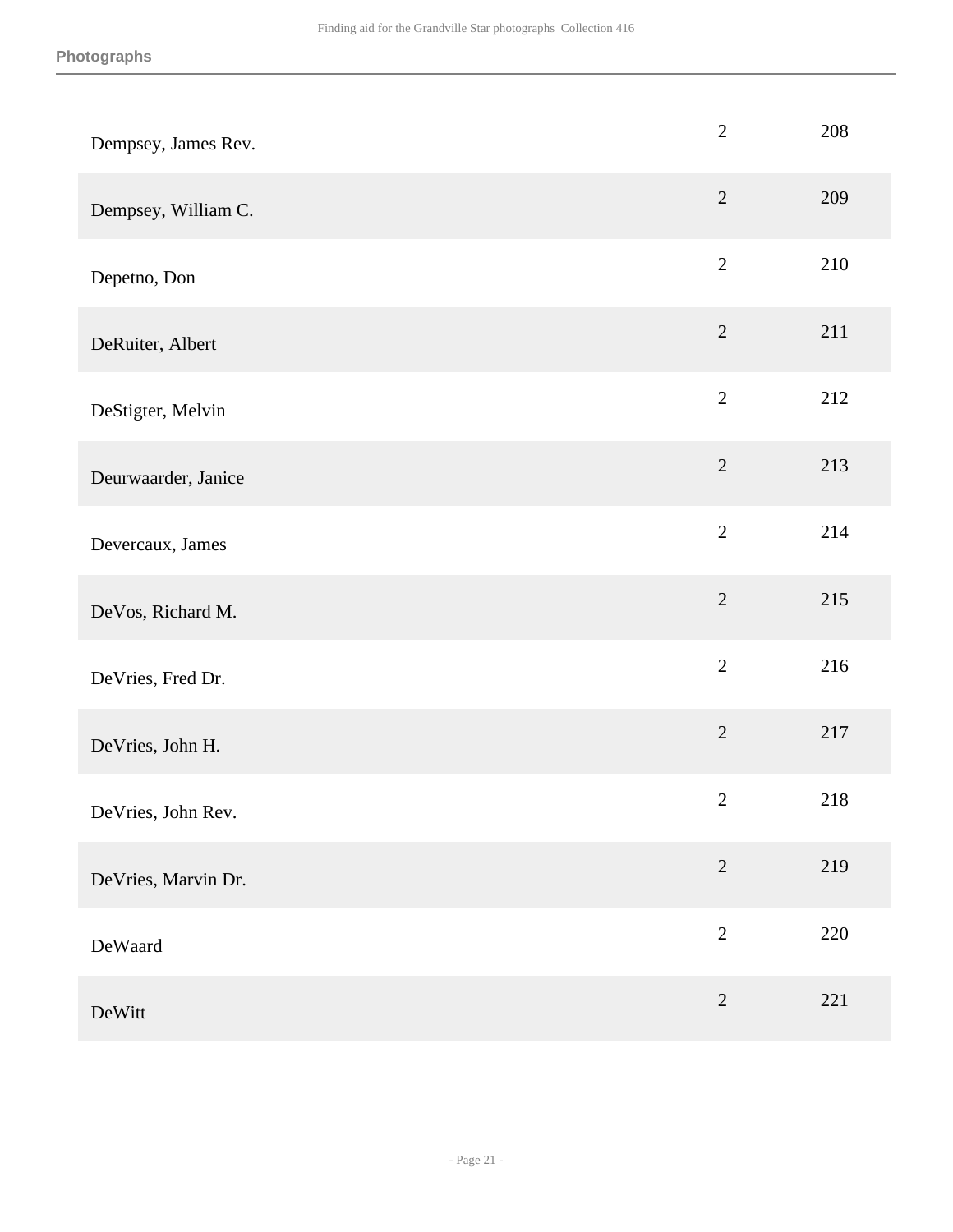| Dempsey, James Rev. | $\overline{2}$ | 208 |
|---------------------|----------------|-----|
| Dempsey, William C. | $\overline{2}$ | 209 |
| Depetno, Don        | $\overline{2}$ | 210 |
| DeRuiter, Albert    | $\overline{2}$ | 211 |
| DeStigter, Melvin   | $\overline{2}$ | 212 |
| Deurwaarder, Janice | $\sqrt{2}$     | 213 |
| Devercaux, James    | $\overline{2}$ | 214 |
| DeVos, Richard M.   | $\overline{2}$ | 215 |
| DeVries, Fred Dr.   | $\overline{2}$ | 216 |
| DeVries, John H.    | $\overline{2}$ | 217 |
| DeVries, John Rev.  | $\mathbf{2}$   | 218 |
| DeVries, Marvin Dr. | $\sqrt{2}$     | 219 |
| DeWaard             | $\overline{2}$ | 220 |
| DeWitt              | $\overline{2}$ | 221 |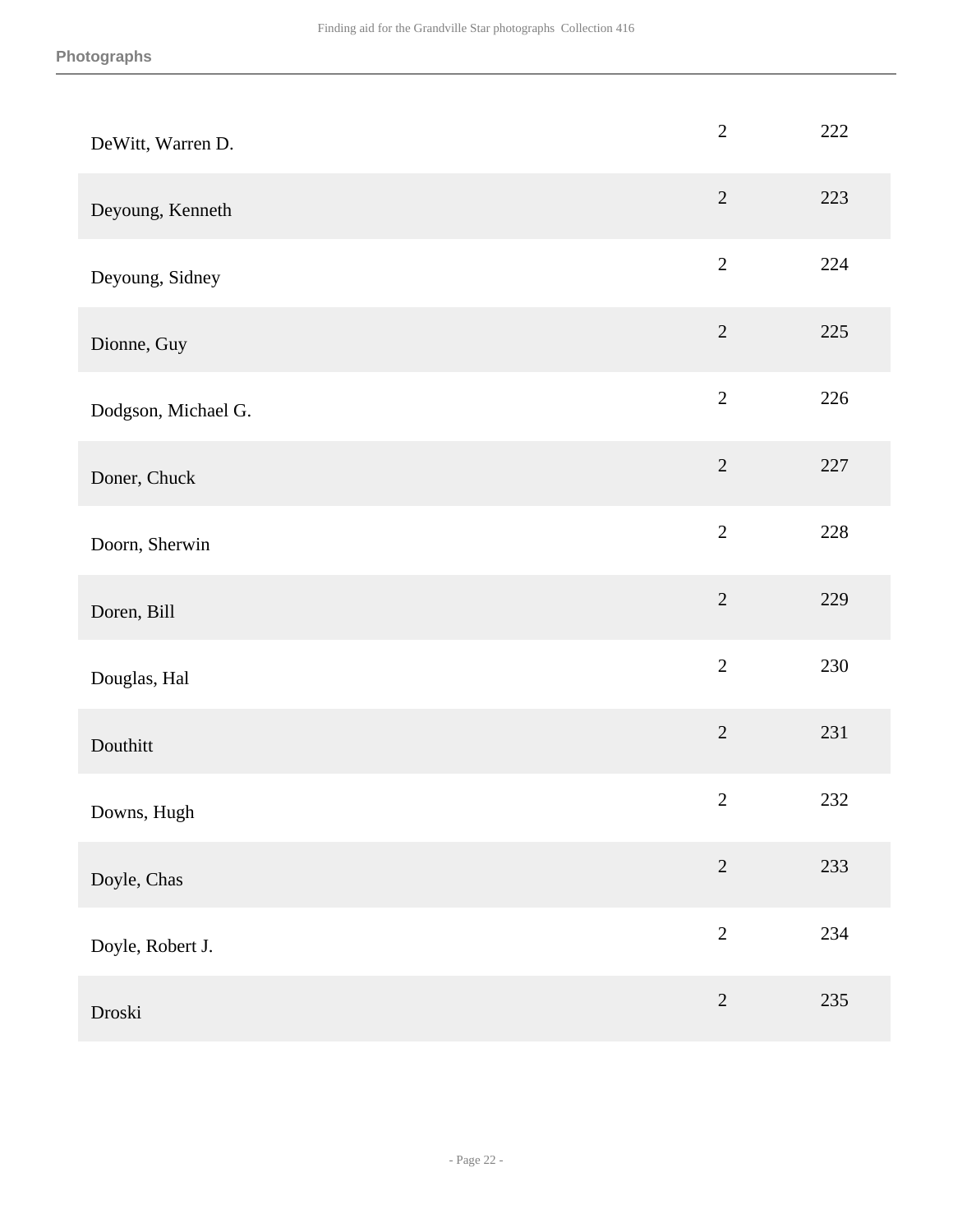| DeWitt, Warren D.   | $\overline{2}$ | 222 |
|---------------------|----------------|-----|
| Deyoung, Kenneth    | $\overline{2}$ | 223 |
| Deyoung, Sidney     | $\sqrt{2}$     | 224 |
| Dionne, Guy         | $\overline{2}$ | 225 |
| Dodgson, Michael G. | $\sqrt{2}$     | 226 |
| Doner, Chuck        | $\overline{2}$ | 227 |
| Doorn, Sherwin      | $\overline{2}$ | 228 |
| Doren, Bill         | $\overline{2}$ | 229 |
| Douglas, Hal        | $\overline{2}$ | 230 |
| Douthitt            | $\overline{2}$ | 231 |
| Downs, Hugh         | $\mathbf{2}$   | 232 |
| Doyle, Chas         | $\sqrt{2}$     | 233 |
| Doyle, Robert J.    | $\overline{2}$ | 234 |
| Droski              | $\sqrt{2}$     | 235 |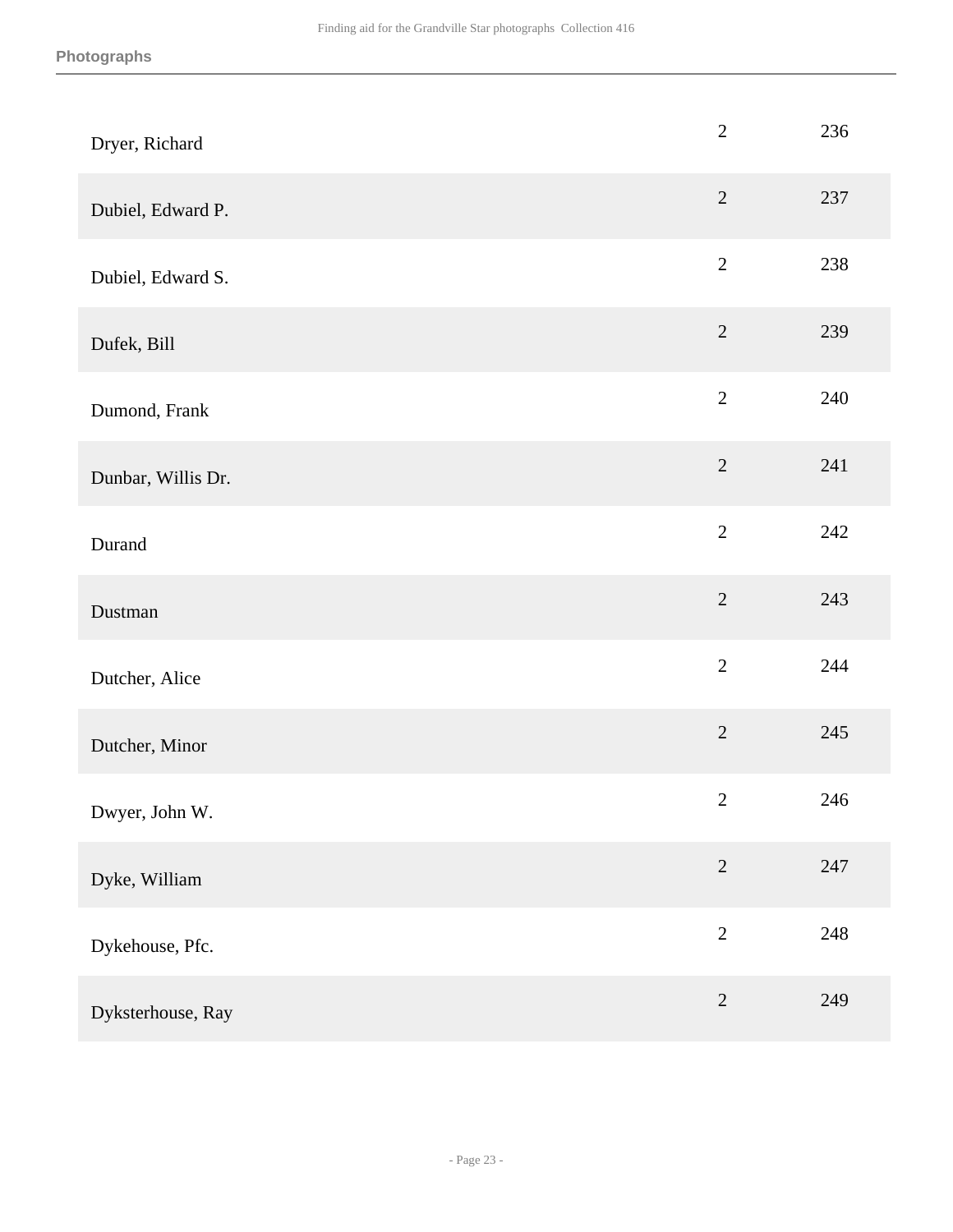| Dryer, Richard     | $\overline{2}$ | 236 |
|--------------------|----------------|-----|
| Dubiel, Edward P.  | $\overline{2}$ | 237 |
| Dubiel, Edward S.  | $\overline{2}$ | 238 |
| Dufek, Bill        | $\sqrt{2}$     | 239 |
| Dumond, Frank      | $\overline{2}$ | 240 |
| Dunbar, Willis Dr. | $\overline{2}$ | 241 |
| Durand             | $\overline{2}$ | 242 |
| Dustman            | $\overline{2}$ | 243 |
| Dutcher, Alice     | $\overline{2}$ | 244 |
| Dutcher, Minor     | $\overline{2}$ | 245 |
| Dwyer, John W.     | $\mathbf{2}$   | 246 |
| Dyke, William      | $\overline{2}$ | 247 |
| Dykehouse, Pfc.    | $\overline{2}$ | 248 |
| Dyksterhouse, Ray  | $\sqrt{2}$     | 249 |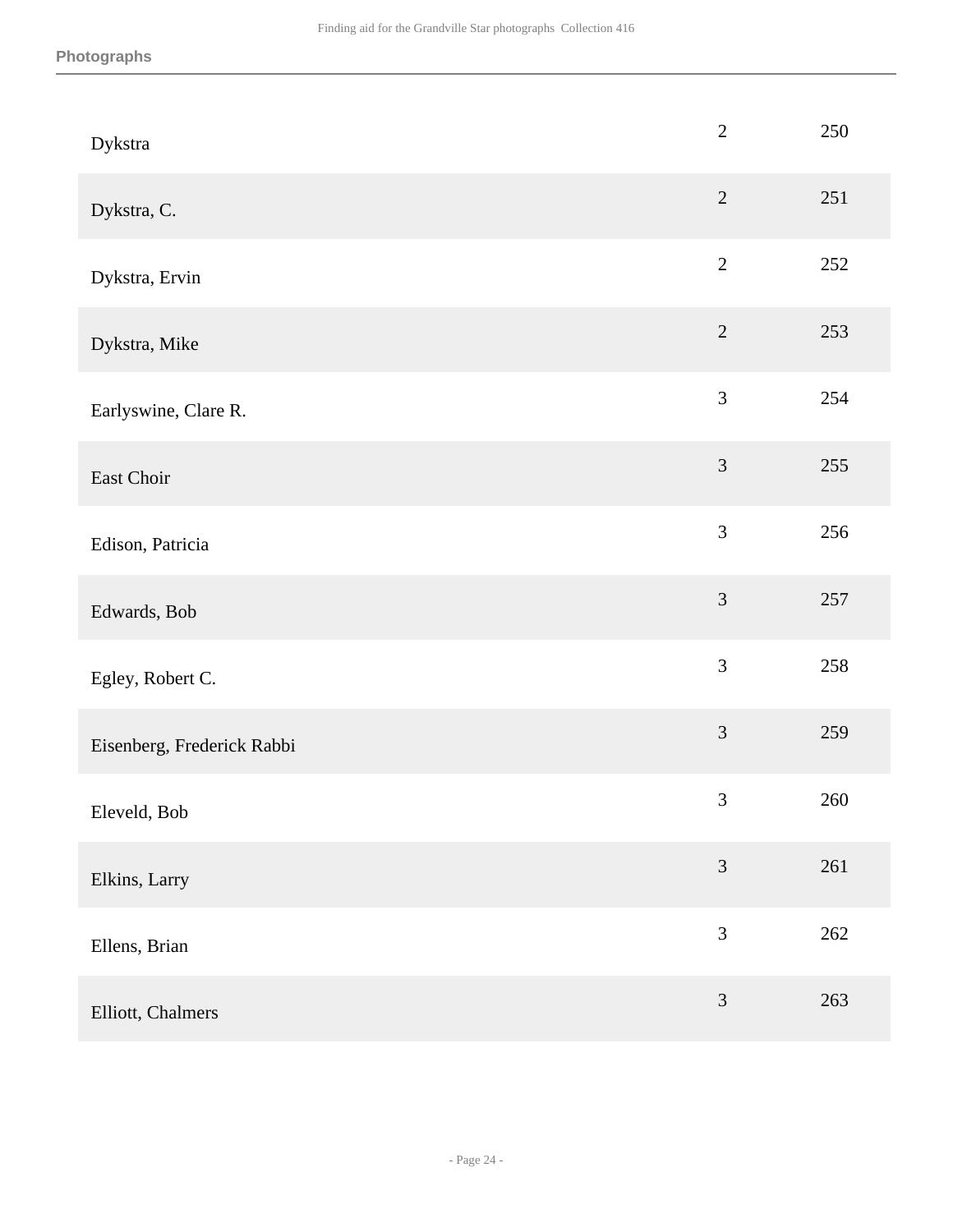| Dykstra                    | $\overline{2}$              | 250 |
|----------------------------|-----------------------------|-----|
| Dykstra, C.                | $\sqrt{2}$                  | 251 |
| Dykstra, Ervin             | $\sqrt{2}$                  | 252 |
| Dykstra, Mike              | $\overline{2}$              | 253 |
| Earlyswine, Clare R.       | 3                           | 254 |
| East Choir                 | $\mathfrak{Z}$              | 255 |
| Edison, Patricia           | $\mathfrak{Z}$              | 256 |
| Edwards, Bob               | 3                           | 257 |
| Egley, Robert C.           | 3                           | 258 |
| Eisenberg, Frederick Rabbi | $\mathfrak{Z}$              | 259 |
| Eleveld, Bob               | $\ensuremath{\mathfrak{Z}}$ | 260 |
| Elkins, Larry              | 3                           | 261 |
| Ellens, Brian              | $\mathfrak{Z}$              | 262 |
| Elliott, Chalmers          | $\mathfrak{Z}$              | 263 |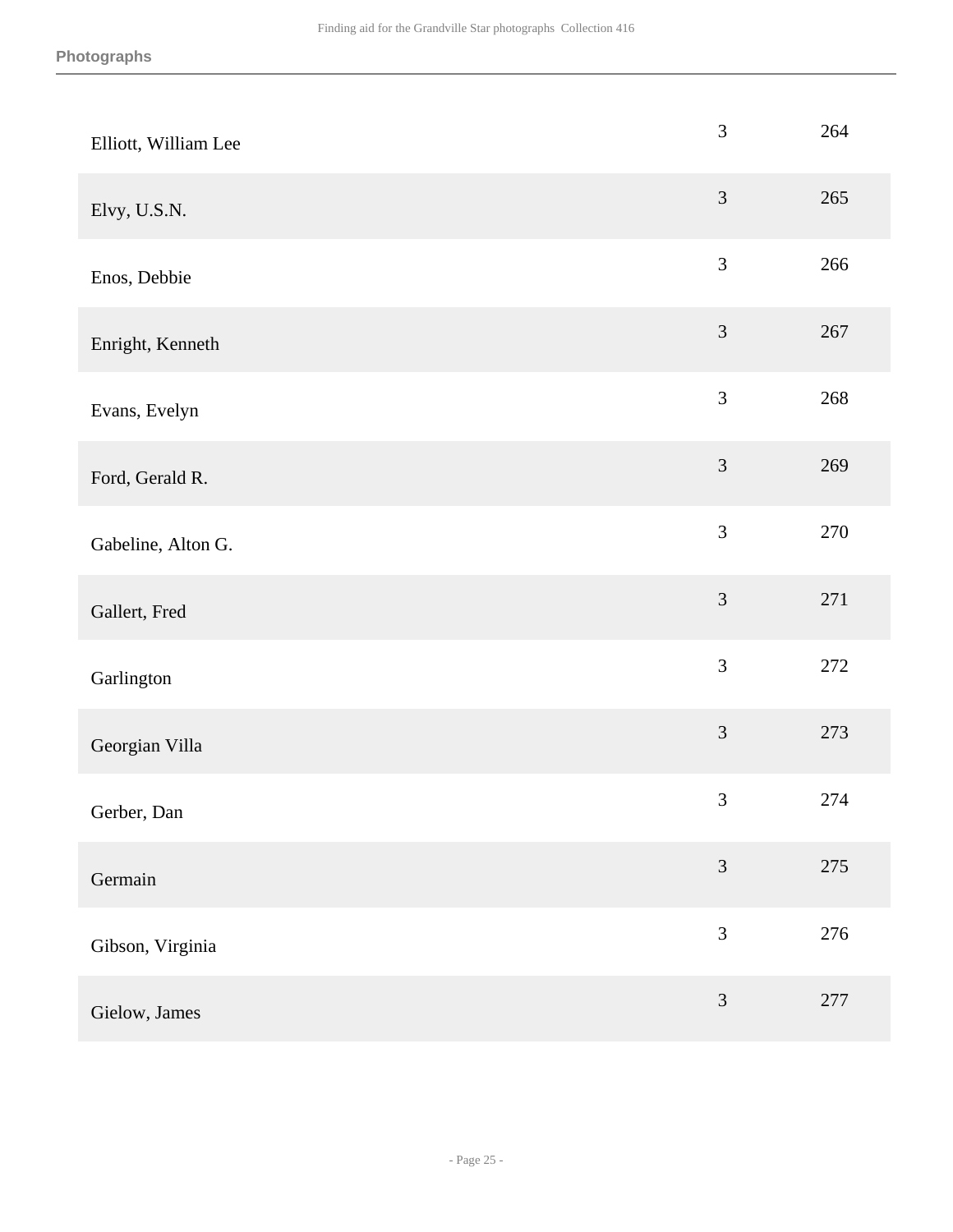| Elliott, William Lee | $\mathfrak{Z}$ | 264     |
|----------------------|----------------|---------|
| Elvy, U.S.N.         | 3              | 265     |
| Enos, Debbie         | $\mathfrak{Z}$ | 266     |
| Enright, Kenneth     | $\mathfrak{Z}$ | 267     |
| Evans, Evelyn        | $\mathfrak{Z}$ | 268     |
| Ford, Gerald R.      | $\mathfrak{Z}$ | 269     |
| Gabeline, Alton G.   | 3              | 270     |
| Gallert, Fred        | 3              | 271     |
| Garlington           | $\mathfrak{Z}$ | 272     |
| Georgian Villa       | $\mathfrak{Z}$ | 273     |
| Gerber, Dan          | $\mathfrak{Z}$ | 274     |
| Germain              | $\mathfrak{Z}$ | $275\,$ |
| Gibson, Virginia     | $\mathfrak{Z}$ | 276     |
| Gielow, James        | 3              | 277     |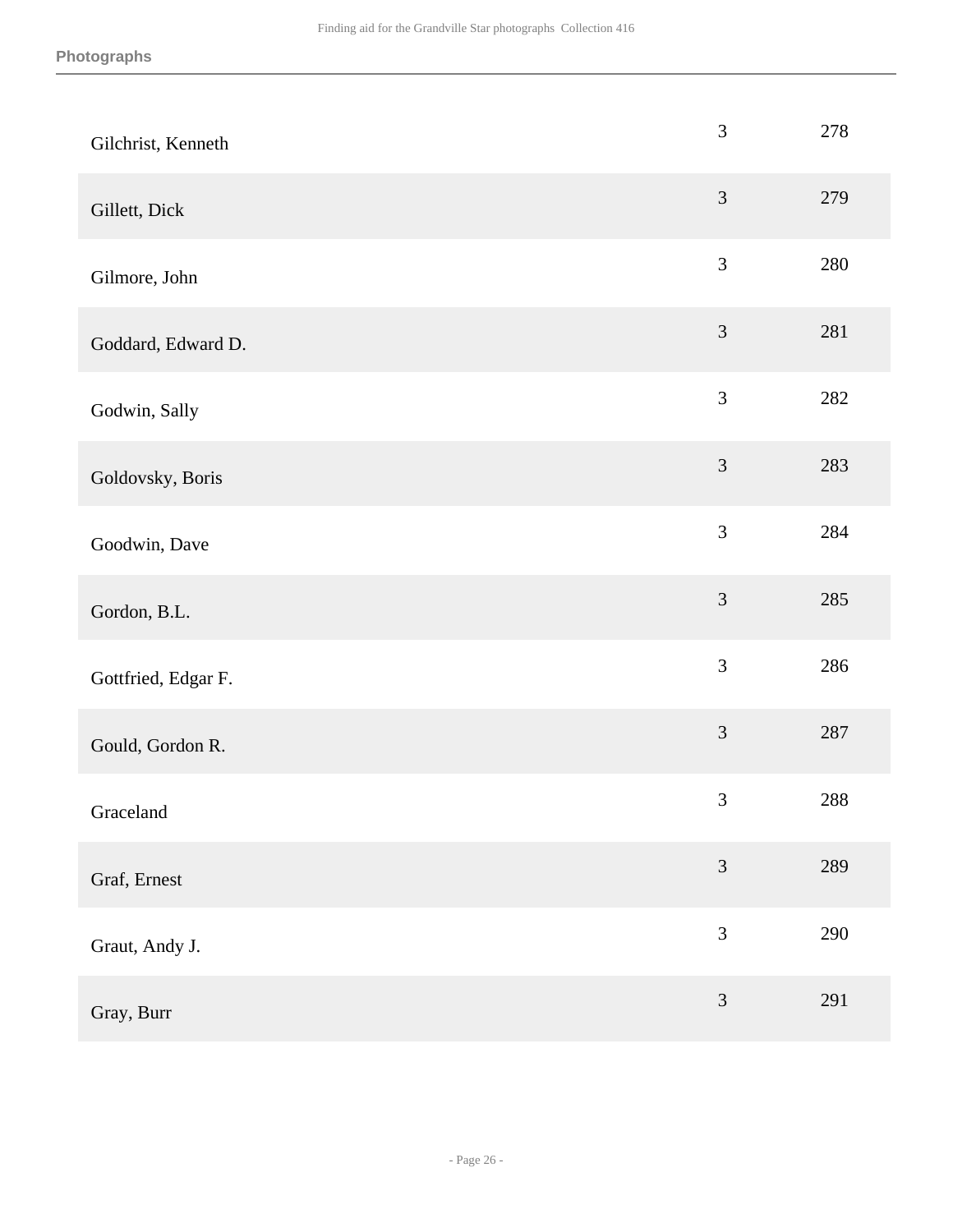| Gilchrist, Kenneth  | 3              | 278 |
|---------------------|----------------|-----|
| Gillett, Dick       | 3              | 279 |
| Gilmore, John       | $\mathfrak{Z}$ | 280 |
| Goddard, Edward D.  | $\mathfrak{Z}$ | 281 |
| Godwin, Sally       | $\mathfrak{Z}$ | 282 |
| Goldovsky, Boris    | $\mathfrak{Z}$ | 283 |
| Goodwin, Dave       | 3              | 284 |
| Gordon, B.L.        | $\mathfrak{Z}$ | 285 |
| Gottfried, Edgar F. | $\mathfrak{Z}$ | 286 |
| Gould, Gordon R.    | $\mathfrak{Z}$ | 287 |
| Graceland           | $\mathfrak{Z}$ | 288 |
| Graf, Ernest        | $\mathfrak{Z}$ | 289 |
| Graut, Andy J.      | 3              | 290 |
| Gray, Burr          | $\mathfrak{Z}$ | 291 |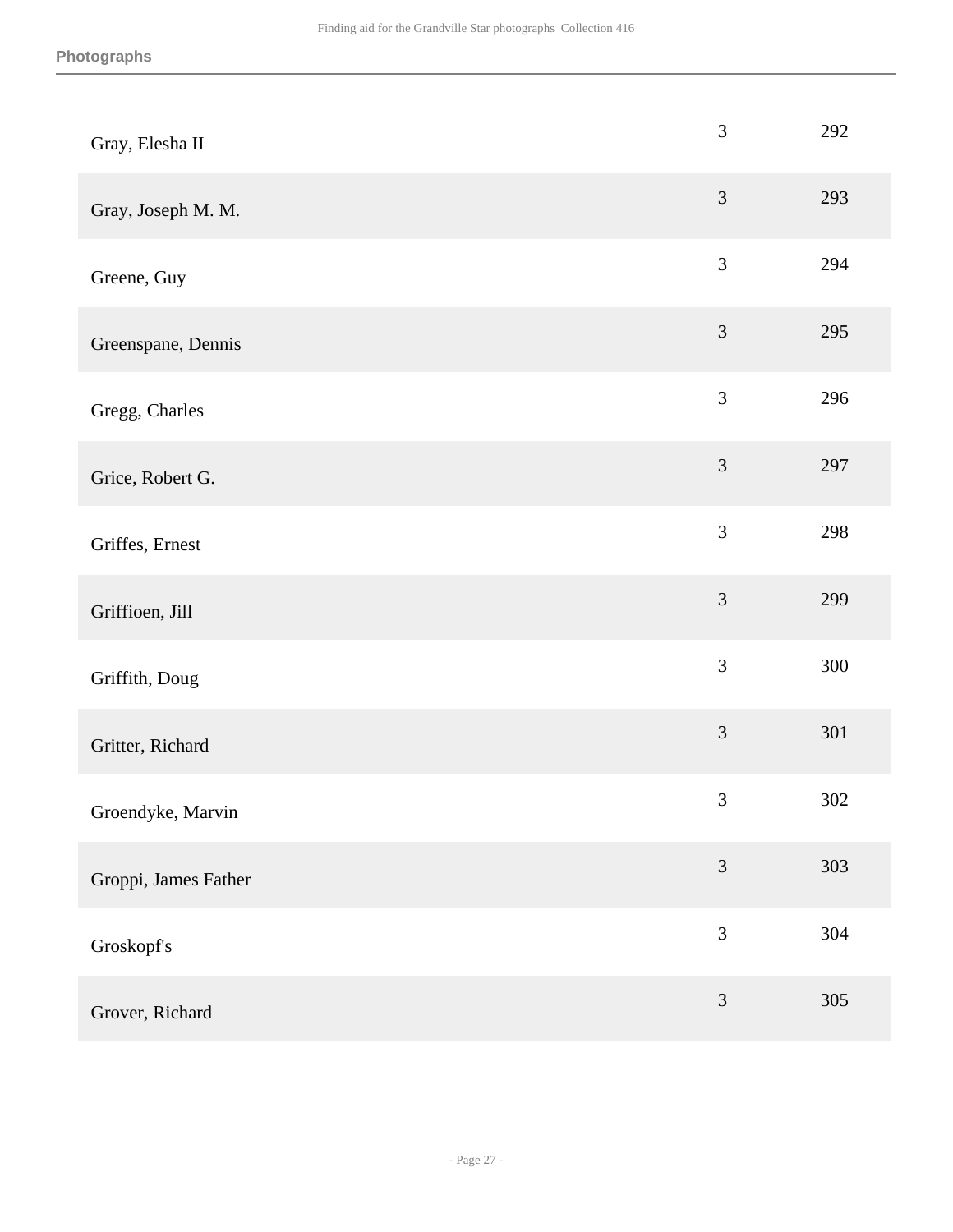| Gray, Elesha II      | $\mathfrak{Z}$ | 292 |
|----------------------|----------------|-----|
| Gray, Joseph M. M.   | $\mathfrak{Z}$ | 293 |
| Greene, Guy          | $\mathfrak{Z}$ | 294 |
| Greenspane, Dennis   | $\mathfrak{Z}$ | 295 |
| Gregg, Charles       | 3              | 296 |
| Grice, Robert G.     | $\mathfrak{Z}$ | 297 |
| Griffes, Ernest      | 3              | 298 |
| Griffioen, Jill      | $\mathfrak{Z}$ | 299 |
| Griffith, Doug       | $\mathfrak{Z}$ | 300 |
| Gritter, Richard     | $\mathfrak{Z}$ | 301 |
| Groendyke, Marvin    | $\mathfrak{Z}$ | 302 |
| Groppi, James Father | $\mathfrak{Z}$ | 303 |
| Groskopf's           | $\mathfrak{Z}$ | 304 |
| Grover, Richard      | $\mathfrak{Z}$ | 305 |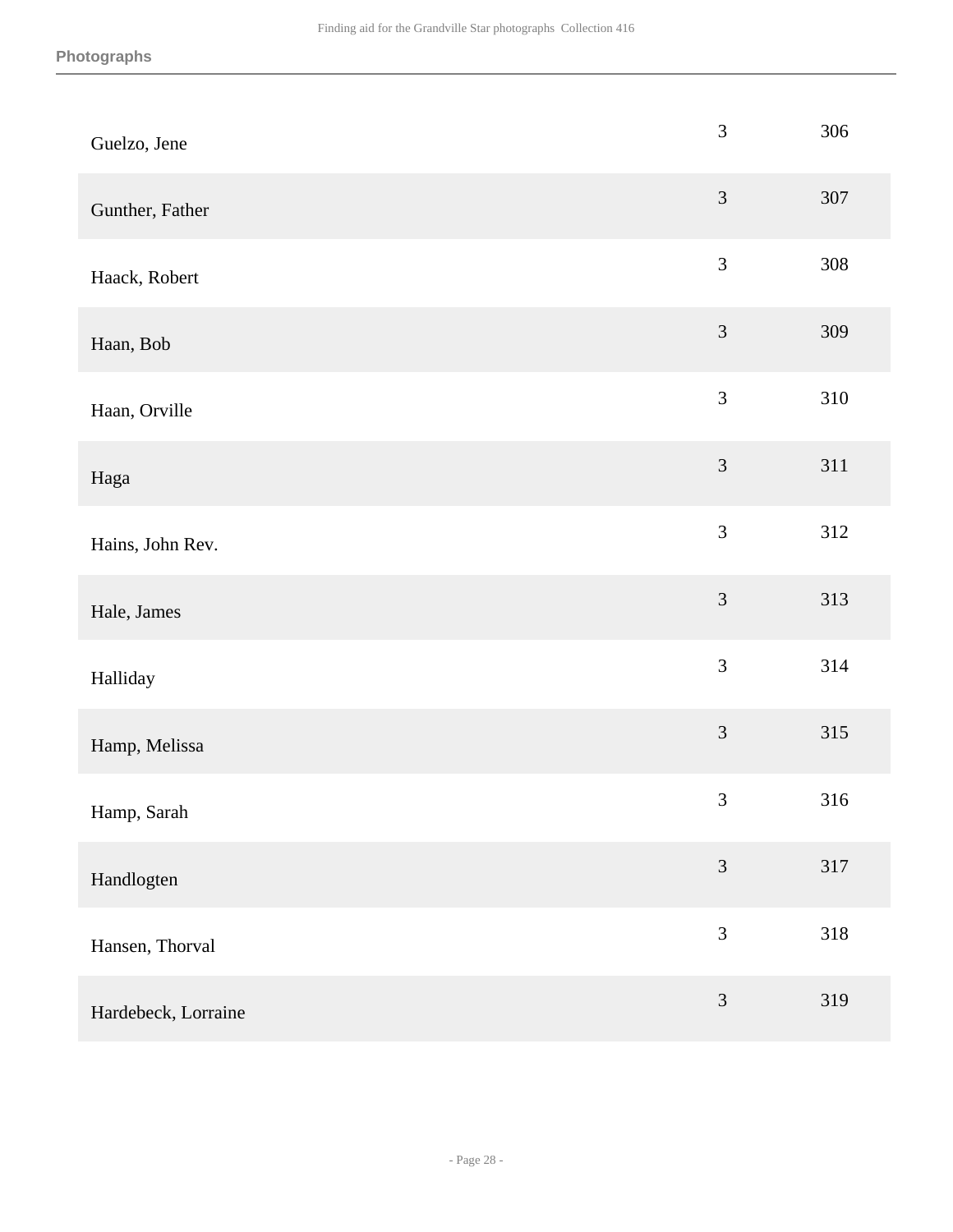| Guelzo, Jene        | $\mathfrak{Z}$ | 306 |
|---------------------|----------------|-----|
| Gunther, Father     | $\mathfrak{Z}$ | 307 |
| Haack, Robert       | $\mathfrak{Z}$ | 308 |
| Haan, Bob           | $\mathfrak{Z}$ | 309 |
| Haan, Orville       | $\mathfrak{Z}$ | 310 |
| Haga                | $\mathfrak{Z}$ | 311 |
| Hains, John Rev.    | 3              | 312 |
| Hale, James         | $\mathfrak{Z}$ | 313 |
| Halliday            | $\mathfrak{Z}$ | 314 |
| Hamp, Melissa       | 3              | 315 |
| Hamp, Sarah         | $\mathfrak{Z}$ | 316 |
| Handlogten          | $\mathfrak{Z}$ | 317 |
| Hansen, Thorval     | $\mathfrak{Z}$ | 318 |
| Hardebeck, Lorraine | $\mathfrak{Z}$ | 319 |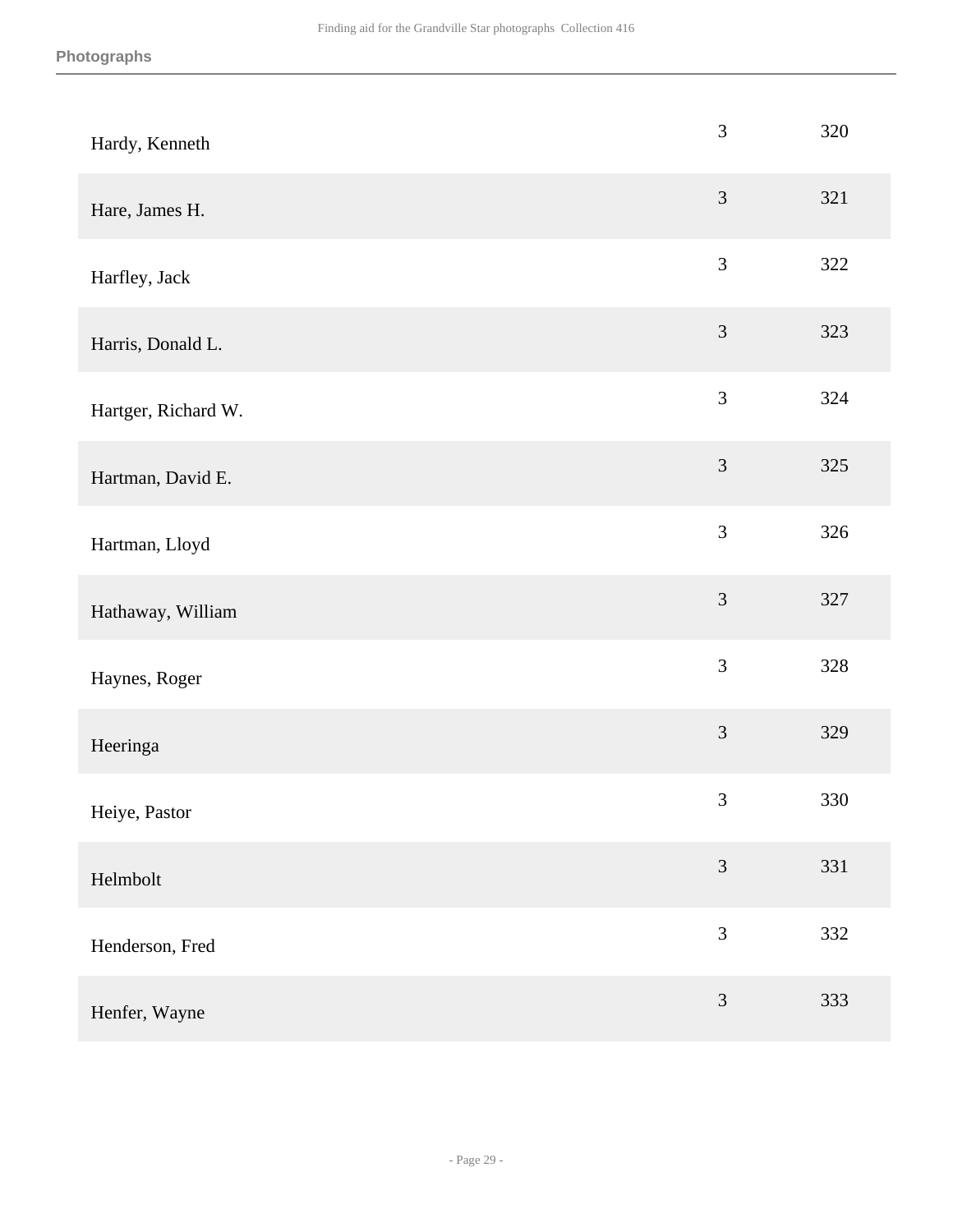| Hardy, Kenneth      | 3              | 320 |
|---------------------|----------------|-----|
| Hare, James H.      | 3              | 321 |
| Harfley, Jack       | $\mathfrak{Z}$ | 322 |
| Harris, Donald L.   | $\mathfrak{Z}$ | 323 |
| Hartger, Richard W. | 3              | 324 |
| Hartman, David E.   | $\mathfrak{Z}$ | 325 |
| Hartman, Lloyd      | 3              | 326 |
| Hathaway, William   | 3              | 327 |
| Haynes, Roger       | $\mathfrak{Z}$ | 328 |
| Heeringa            | 3              | 329 |
| Heiye, Pastor       | $\mathfrak{Z}$ | 330 |
| Helmbolt            | $\mathfrak{Z}$ | 331 |
| Henderson, Fred     | 3              | 332 |
| Henfer, Wayne       | $\mathfrak{Z}$ | 333 |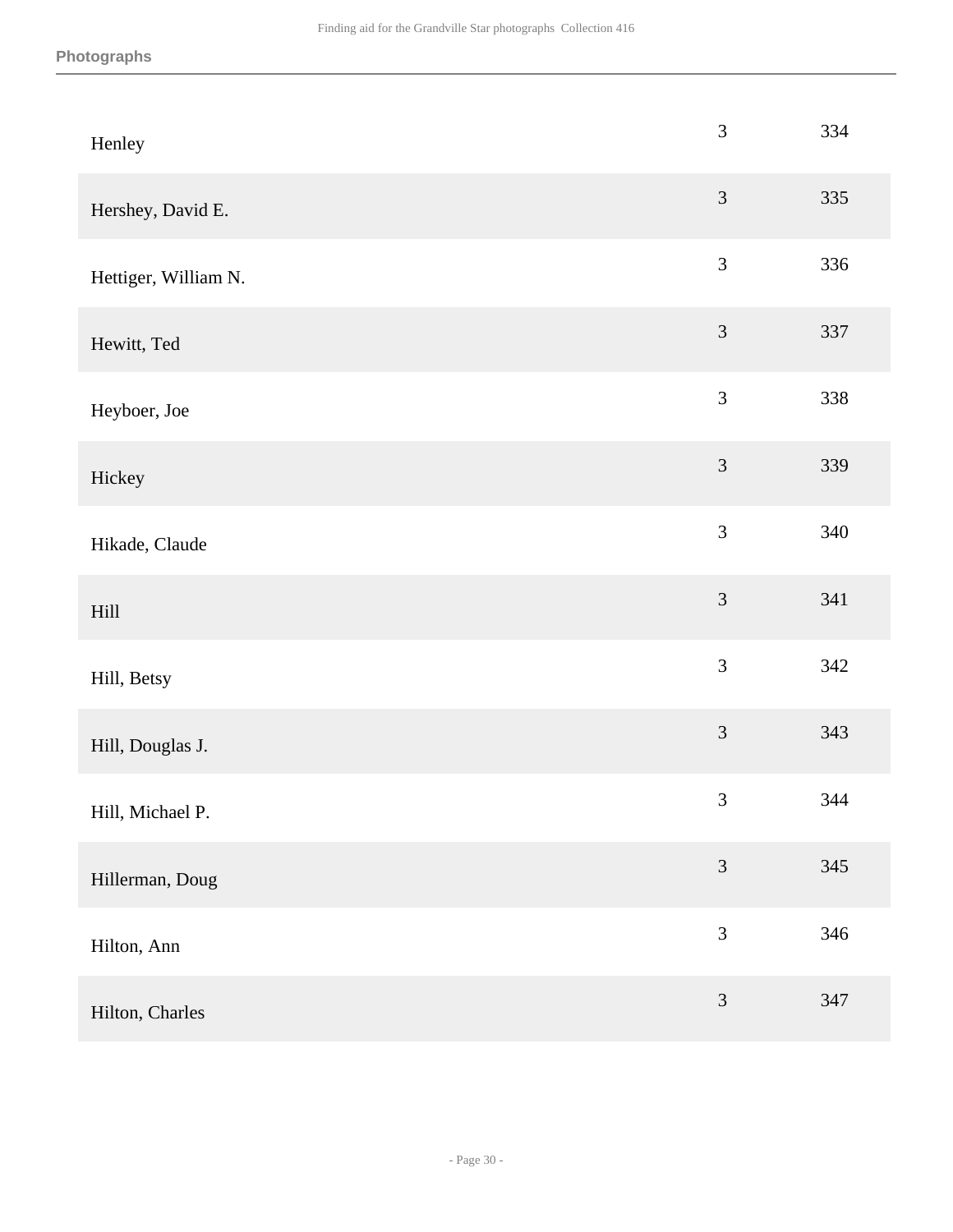| Henley               | $\mathfrak{Z}$ | 334 |
|----------------------|----------------|-----|
| Hershey, David E.    | $\mathfrak{Z}$ | 335 |
| Hettiger, William N. | $\mathfrak{Z}$ | 336 |
| Hewitt, Ted          | $\mathfrak{Z}$ | 337 |
| Heyboer, Joe         | $\mathfrak{Z}$ | 338 |
| Hickey               | $\mathfrak{Z}$ | 339 |
| Hikade, Claude       | $\overline{3}$ | 340 |
| Hill                 | 3              | 341 |
| Hill, Betsy          | $\mathfrak{Z}$ | 342 |
| Hill, Douglas J.     | $\overline{3}$ | 343 |
| Hill, Michael P.     | $\mathfrak{Z}$ | 344 |
| Hillerman, Doug      | $\mathfrak{Z}$ | 345 |
| Hilton, Ann          | 3              | 346 |
| Hilton, Charles      | $\mathfrak{Z}$ | 347 |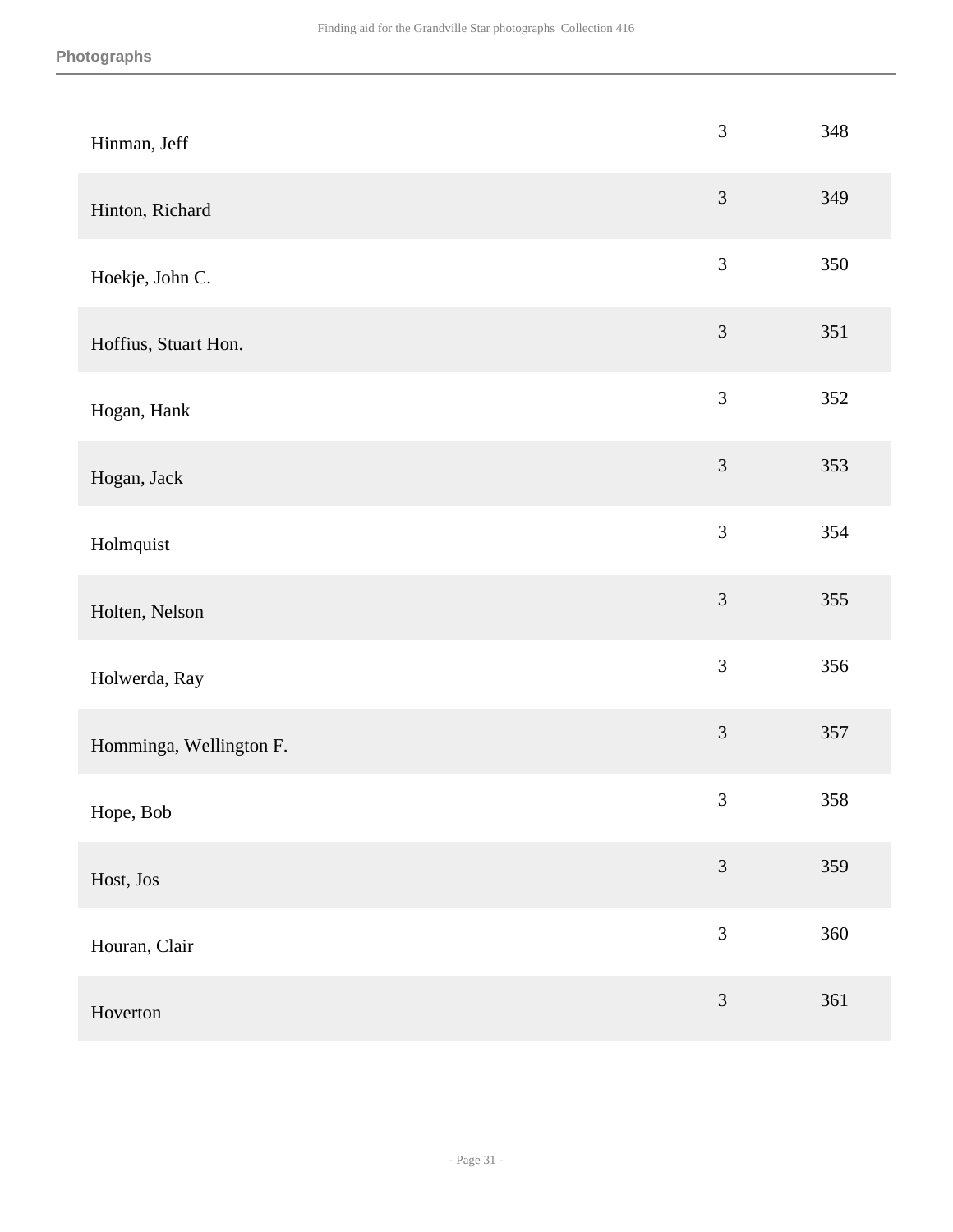| Hinman, Jeff            | $\mathfrak{Z}$ | 348 |
|-------------------------|----------------|-----|
| Hinton, Richard         | $\mathfrak{Z}$ | 349 |
| Hoekje, John C.         | $\mathfrak{Z}$ | 350 |
| Hoffius, Stuart Hon.    | $\mathfrak{Z}$ | 351 |
| Hogan, Hank             | 3              | 352 |
| Hogan, Jack             | $\mathfrak{Z}$ | 353 |
| Holmquist               | $\overline{3}$ | 354 |
| Holten, Nelson          | $\mathfrak{Z}$ | 355 |
| Holwerda, Ray           | $\mathfrak{Z}$ | 356 |
| Homminga, Wellington F. | $\mathfrak{Z}$ | 357 |
| Hope, Bob               | $\mathfrak 3$  | 358 |
| Host, Jos               | $\overline{3}$ | 359 |
| Houran, Clair           | 3              | 360 |
| Hoverton                | $\mathfrak{Z}$ | 361 |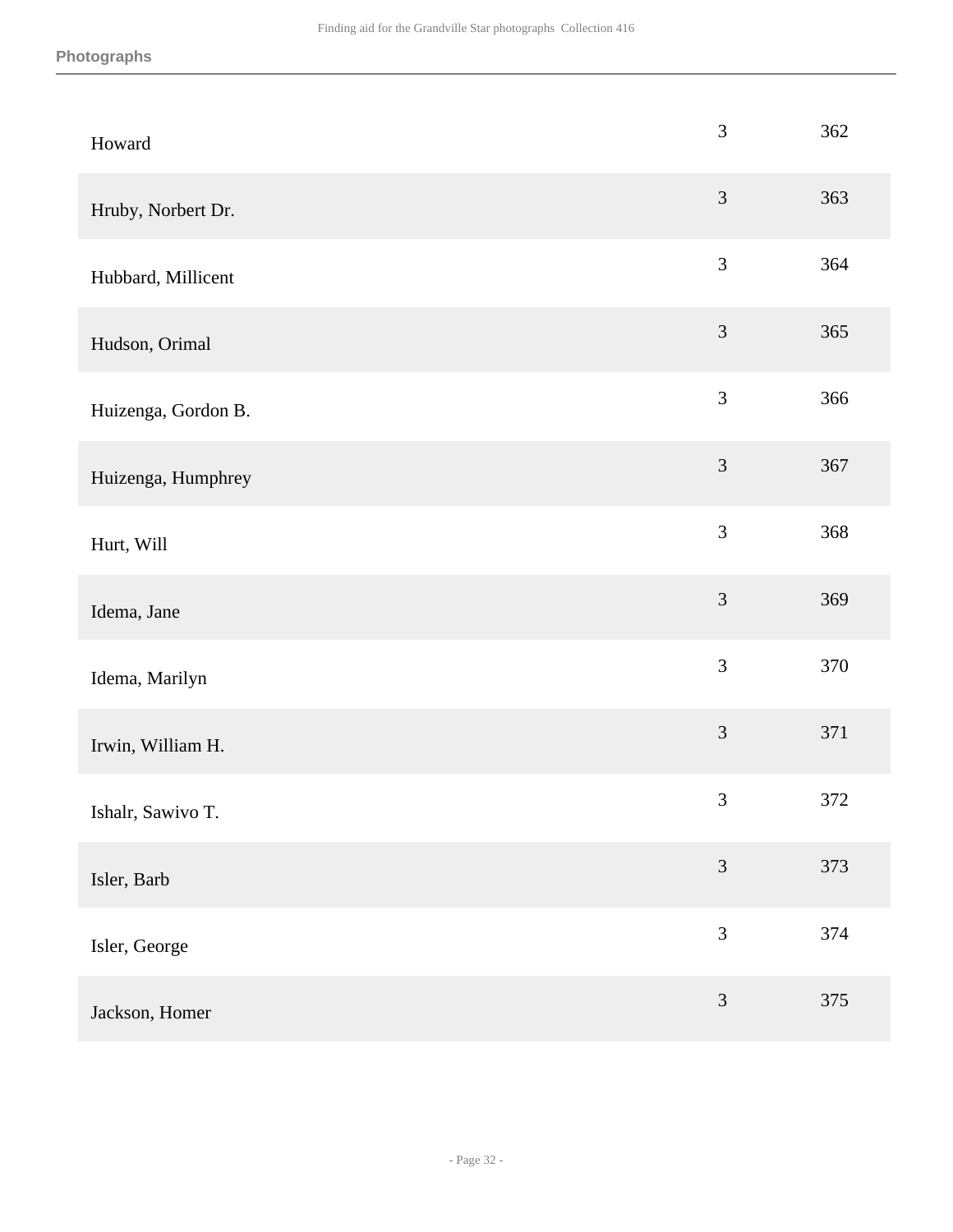| Howard              | 3              | 362 |
|---------------------|----------------|-----|
| Hruby, Norbert Dr.  | $\mathfrak{Z}$ | 363 |
| Hubbard, Millicent  | $\mathfrak{Z}$ | 364 |
| Hudson, Orimal      | $\mathfrak{Z}$ | 365 |
| Huizenga, Gordon B. | $\mathfrak{Z}$ | 366 |
| Huizenga, Humphrey  | 3              | 367 |
| Hurt, Will          | 3              | 368 |
| Idema, Jane         | $\mathfrak{Z}$ | 369 |
| Idema, Marilyn      | 3              | 370 |
| Irwin, William H.   | $\mathfrak{Z}$ | 371 |
| Ishalr, Sawivo T.   | $\mathfrak{Z}$ | 372 |
| Isler, Barb         | 3              | 373 |
| Isler, George       | 3              | 374 |
| Jackson, Homer      | $\mathfrak{Z}$ | 375 |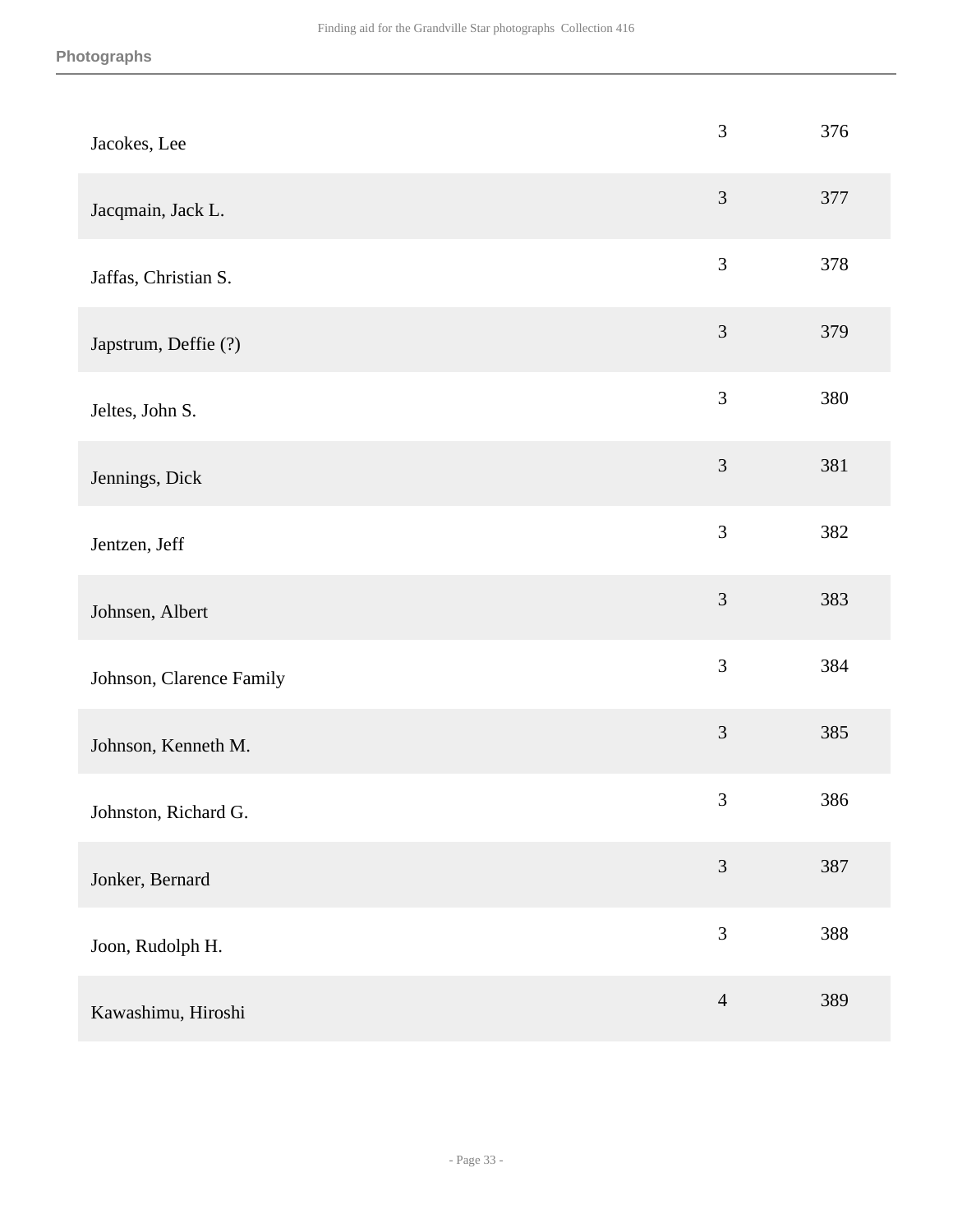| Jacokes, Lee             | 3              | 376 |
|--------------------------|----------------|-----|
| Jacqmain, Jack L.        | 3              | 377 |
| Jaffas, Christian S.     | 3              | 378 |
| Japstrum, Deffie (?)     | $\mathfrak{Z}$ | 379 |
| Jeltes, John S.          | 3              | 380 |
| Jennings, Dick           | 3              | 381 |
| Jentzen, Jeff            | 3              | 382 |
| Johnsen, Albert          | 3              | 383 |
| Johnson, Clarence Family | 3              | 384 |
| Johnson, Kenneth M.      | 3              | 385 |
| Johnston, Richard G.     | $\mathfrak{Z}$ | 386 |
| Jonker, Bernard          | $\mathfrak{Z}$ | 387 |
| Joon, Rudolph H.         | $\mathfrak{Z}$ | 388 |
| Kawashimu, Hiroshi       | $\overline{4}$ | 389 |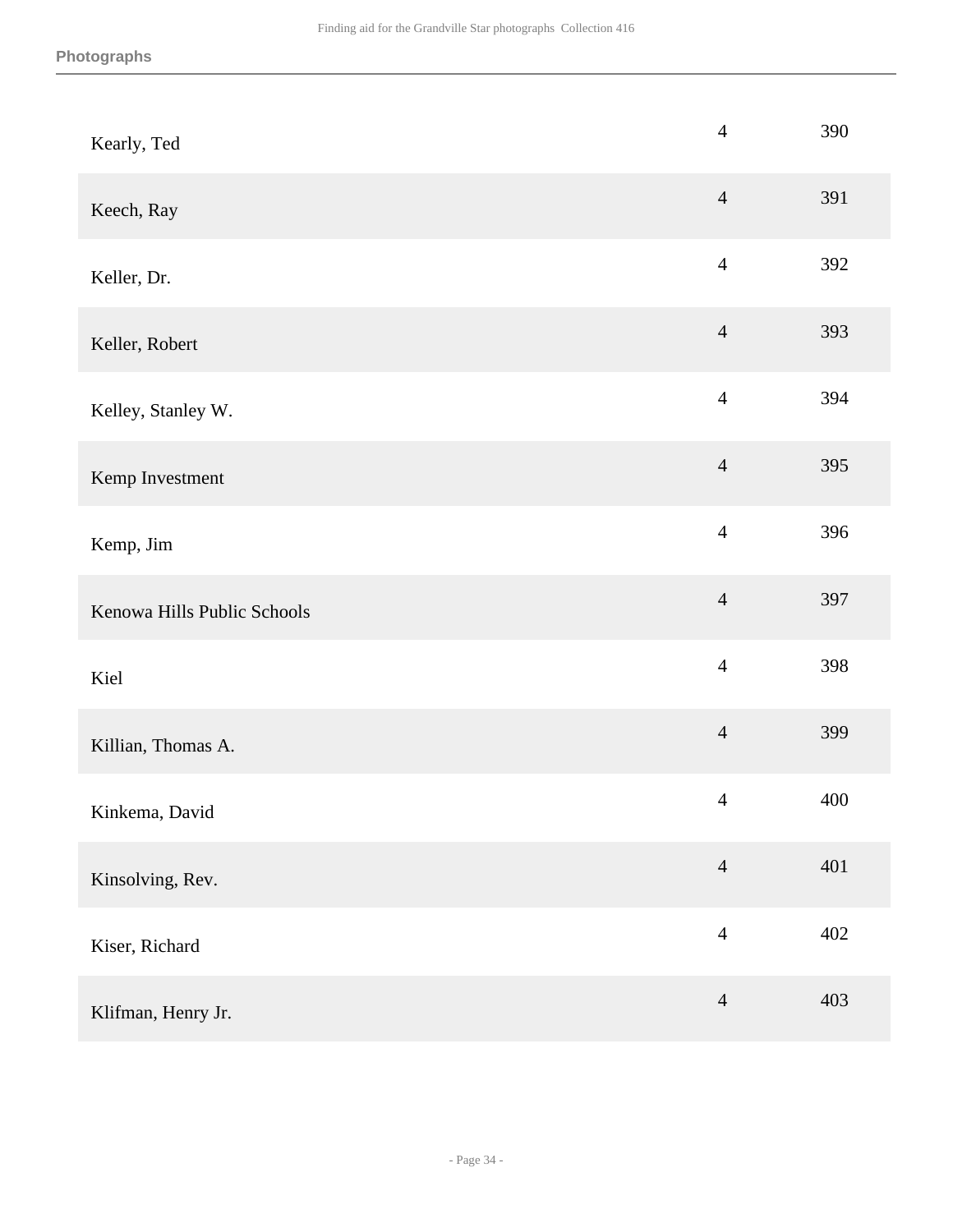| Kearly, Ted                 | $\overline{4}$ | 390 |
|-----------------------------|----------------|-----|
| Keech, Ray                  | $\overline{4}$ | 391 |
| Keller, Dr.                 | $\overline{4}$ | 392 |
| Keller, Robert              | $\overline{4}$ | 393 |
| Kelley, Stanley W.          | $\overline{4}$ | 394 |
| Kemp Investment             | $\overline{4}$ | 395 |
| Kemp, Jim                   | $\overline{4}$ | 396 |
| Kenowa Hills Public Schools | $\overline{4}$ | 397 |
| Kiel                        | $\overline{4}$ | 398 |
| Killian, Thomas A.          | $\overline{4}$ | 399 |
| Kinkema, David              | $\overline{4}$ | 400 |
| Kinsolving, Rev.            | $\overline{4}$ | 401 |
| Kiser, Richard              | $\overline{4}$ | 402 |
| Klifman, Henry Jr.          | $\overline{4}$ | 403 |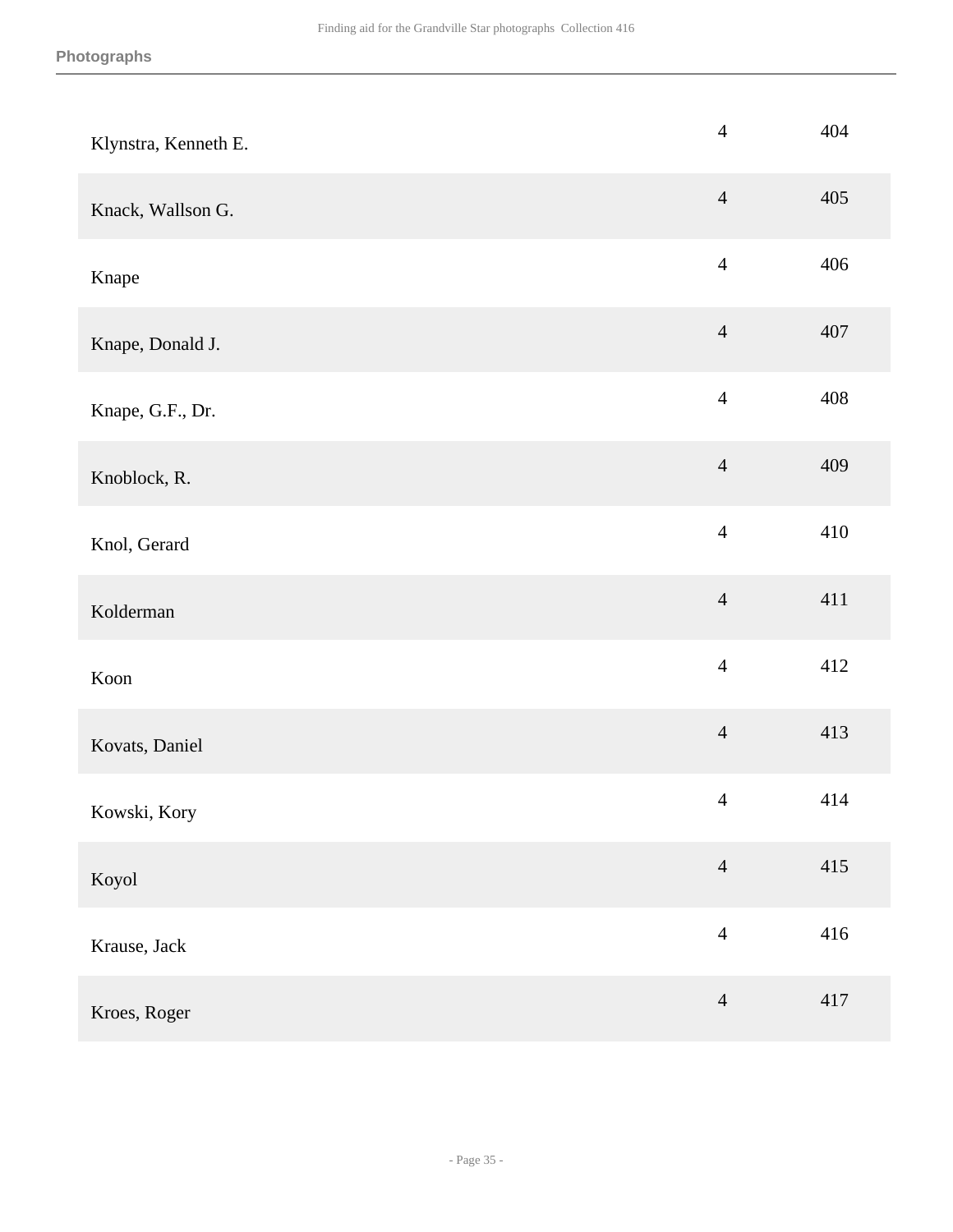| Klynstra, Kenneth E. | $\overline{4}$ | 404     |
|----------------------|----------------|---------|
| Knack, Wallson G.    | $\overline{4}$ | 405     |
| Knape                | $\overline{4}$ | 406     |
| Knape, Donald J.     | $\overline{4}$ | 407     |
| Knape, G.F., Dr.     | $\overline{4}$ | 408     |
| Knoblock, R.         | $\overline{4}$ | 409     |
| Knol, Gerard         | $\overline{4}$ | 410     |
| Kolderman            | $\overline{4}$ | 411     |
| Koon                 | $\overline{4}$ | 412     |
| Kovats, Daniel       | $\overline{4}$ | 413     |
| Kowski, Kory         | $\overline{4}$ | 414     |
| Koyol                | $\overline{4}$ | 415     |
| Krause, Jack         | $\overline{4}$ | 416     |
| Kroes, Roger         | $\overline{4}$ | $417\,$ |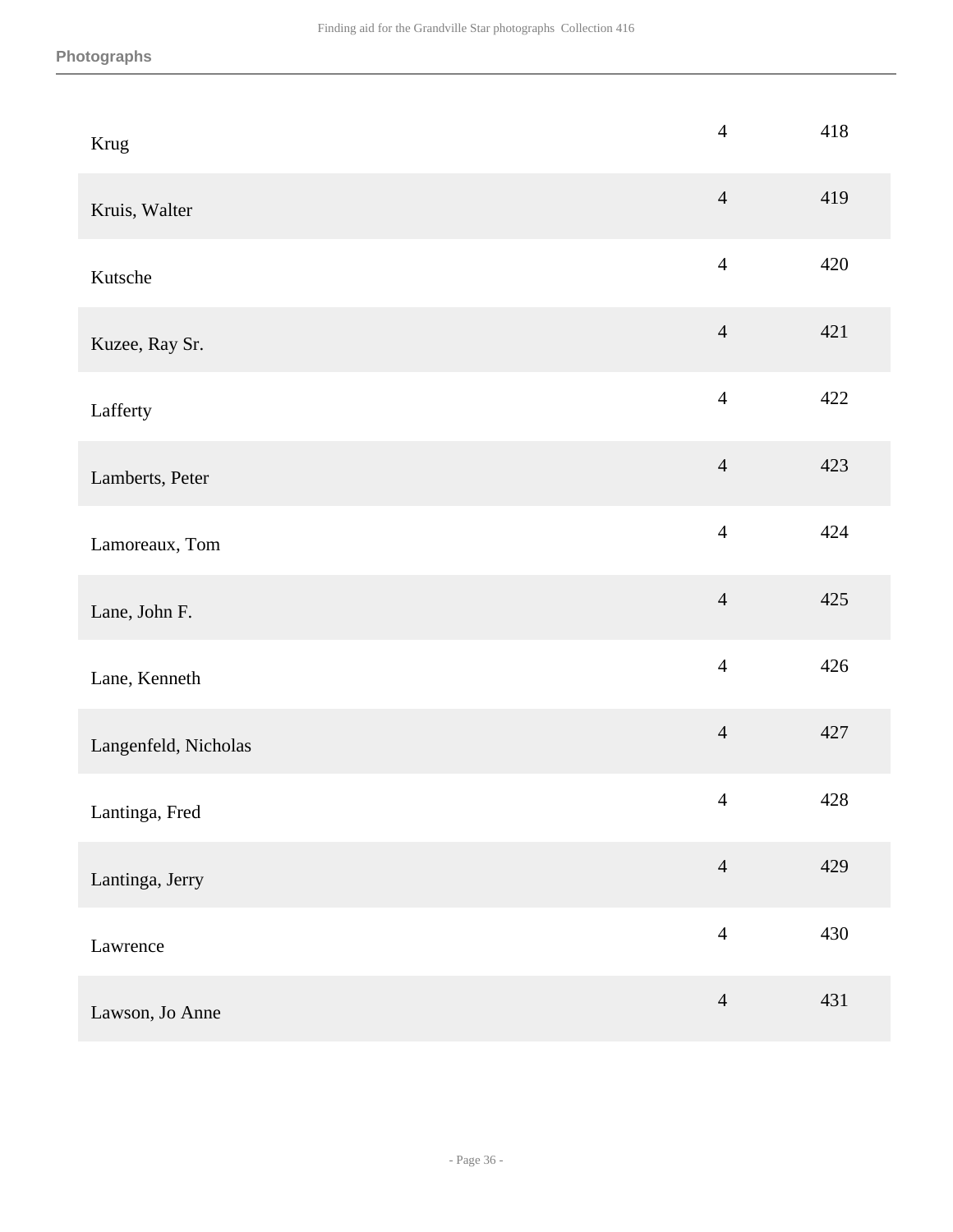| Krug                 | $\overline{4}$ | 418 |
|----------------------|----------------|-----|
| Kruis, Walter        | $\overline{4}$ | 419 |
| Kutsche              | $\overline{4}$ | 420 |
| Kuzee, Ray Sr.       | $\overline{4}$ | 421 |
| Lafferty             | $\overline{4}$ | 422 |
| Lamberts, Peter      | $\overline{4}$ | 423 |
| Lamoreaux, Tom       | $\overline{4}$ | 424 |
| Lane, John F.        | $\overline{4}$ | 425 |
| Lane, Kenneth        | $\overline{4}$ | 426 |
| Langenfeld, Nicholas | $\overline{4}$ | 427 |
| Lantinga, Fred       | $\overline{4}$ | 428 |
| Lantinga, Jerry      | $\overline{4}$ | 429 |
| Lawrence             | $\overline{4}$ | 430 |
| Lawson, Jo Anne      | $\overline{4}$ | 431 |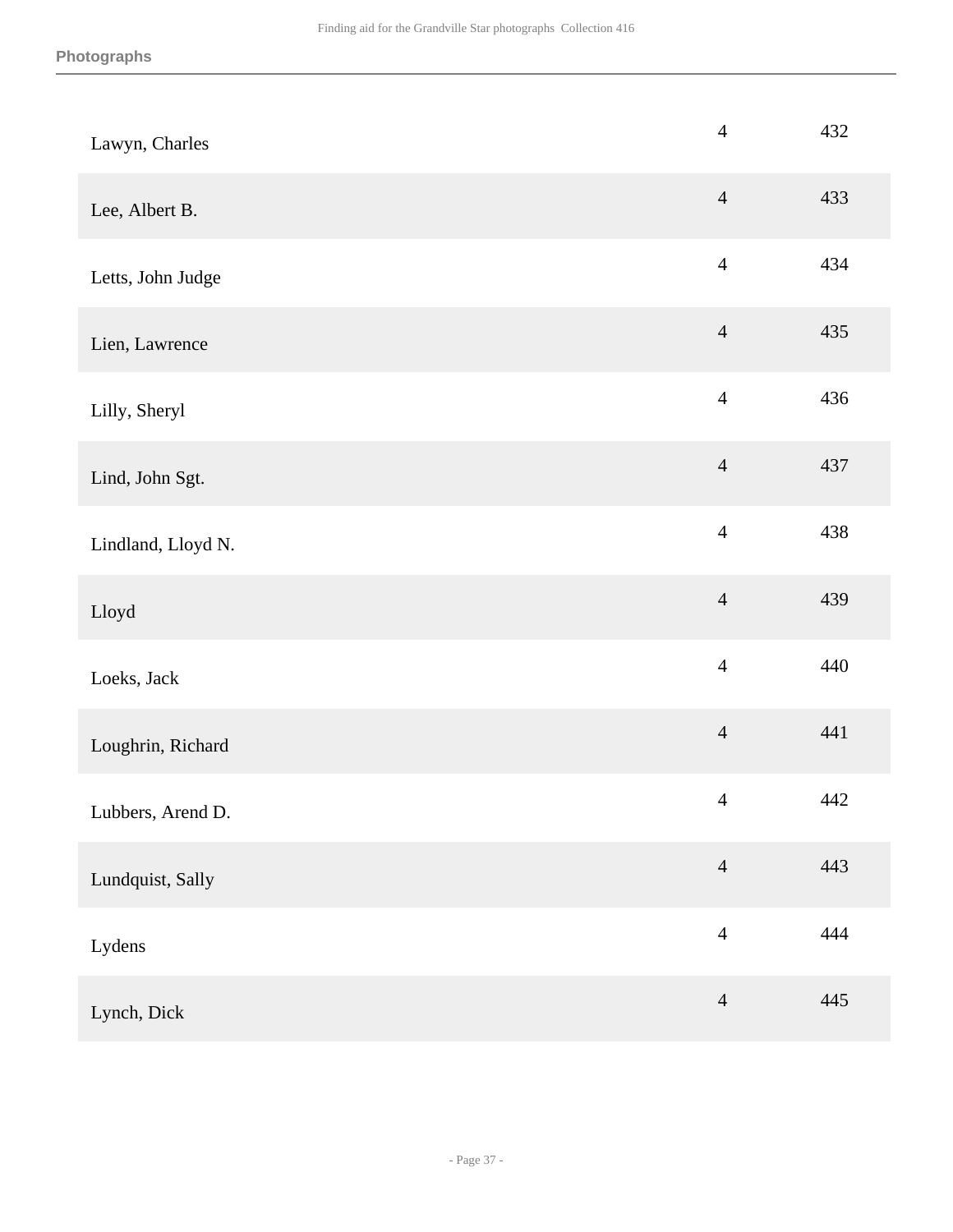| Lawyn, Charles     | $\overline{4}$ | 432 |
|--------------------|----------------|-----|
| Lee, Albert B.     | $\overline{4}$ | 433 |
| Letts, John Judge  | $\overline{4}$ | 434 |
| Lien, Lawrence     | $\overline{4}$ | 435 |
| Lilly, Sheryl      | $\overline{4}$ | 436 |
| Lind, John Sgt.    | $\overline{4}$ | 437 |
| Lindland, Lloyd N. | $\overline{4}$ | 438 |
| Lloyd              | $\overline{4}$ | 439 |
| Loeks, Jack        | $\overline{4}$ | 440 |
| Loughrin, Richard  | $\overline{4}$ | 441 |
| Lubbers, Arend D.  | $\overline{4}$ | 442 |
| Lundquist, Sally   | $\overline{4}$ | 443 |
| Lydens             | $\overline{4}$ | 444 |
| Lynch, Dick        | $\overline{4}$ | 445 |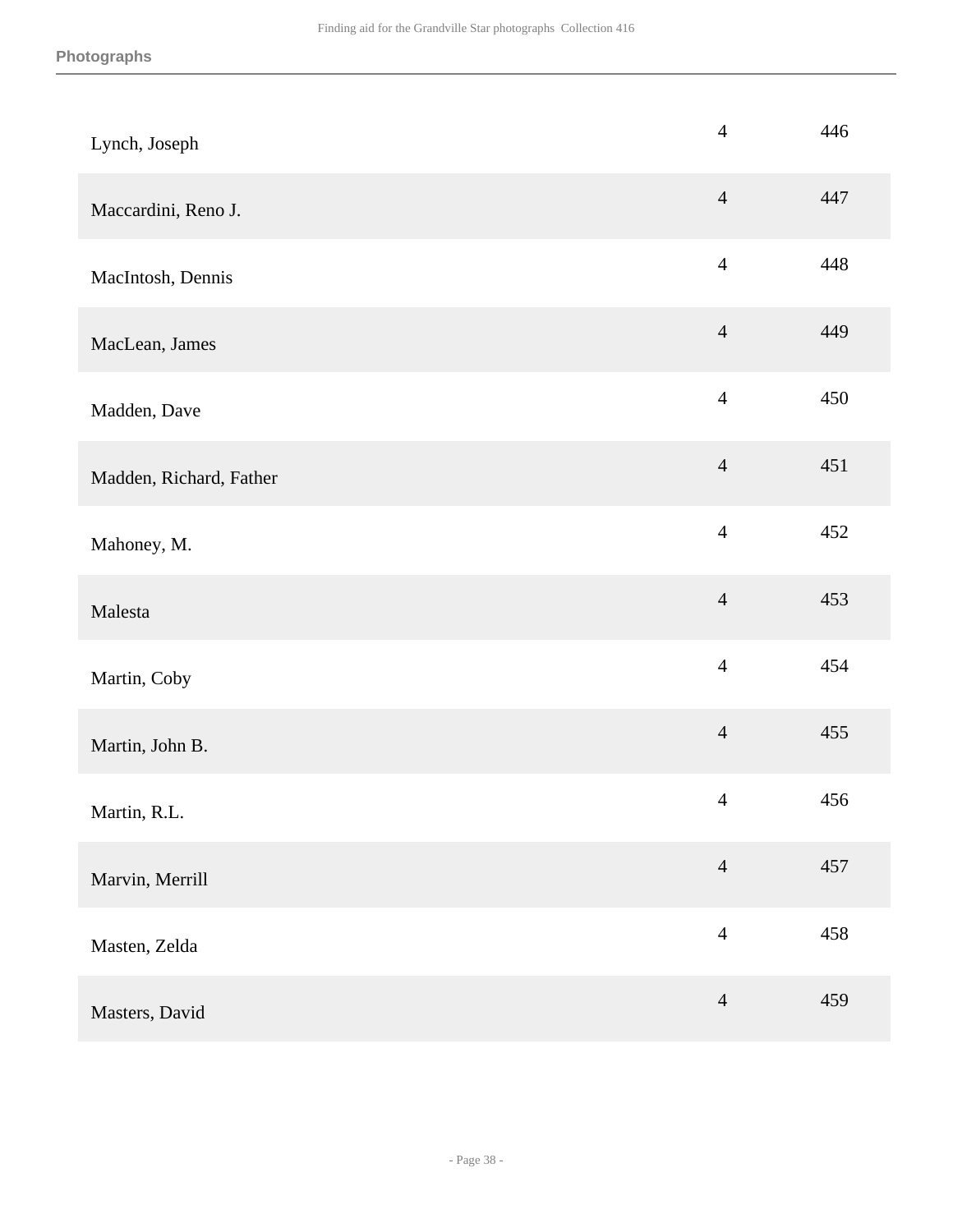| Lynch, Joseph           | $\overline{4}$ | 446 |
|-------------------------|----------------|-----|
| Maccardini, Reno J.     | $\overline{4}$ | 447 |
| MacIntosh, Dennis       | $\overline{4}$ | 448 |
| MacLean, James          | $\overline{4}$ | 449 |
| Madden, Dave            | $\overline{4}$ | 450 |
| Madden, Richard, Father | $\overline{4}$ | 451 |
| Mahoney, M.             | $\overline{4}$ | 452 |
| Malesta                 | $\overline{4}$ | 453 |
| Martin, Coby            | $\overline{4}$ | 454 |
| Martin, John B.         | $\overline{4}$ | 455 |
| Martin, R.L.            | $\overline{4}$ | 456 |
| Marvin, Merrill         | $\overline{4}$ | 457 |
| Masten, Zelda           | $\overline{4}$ | 458 |
| Masters, David          | $\overline{4}$ | 459 |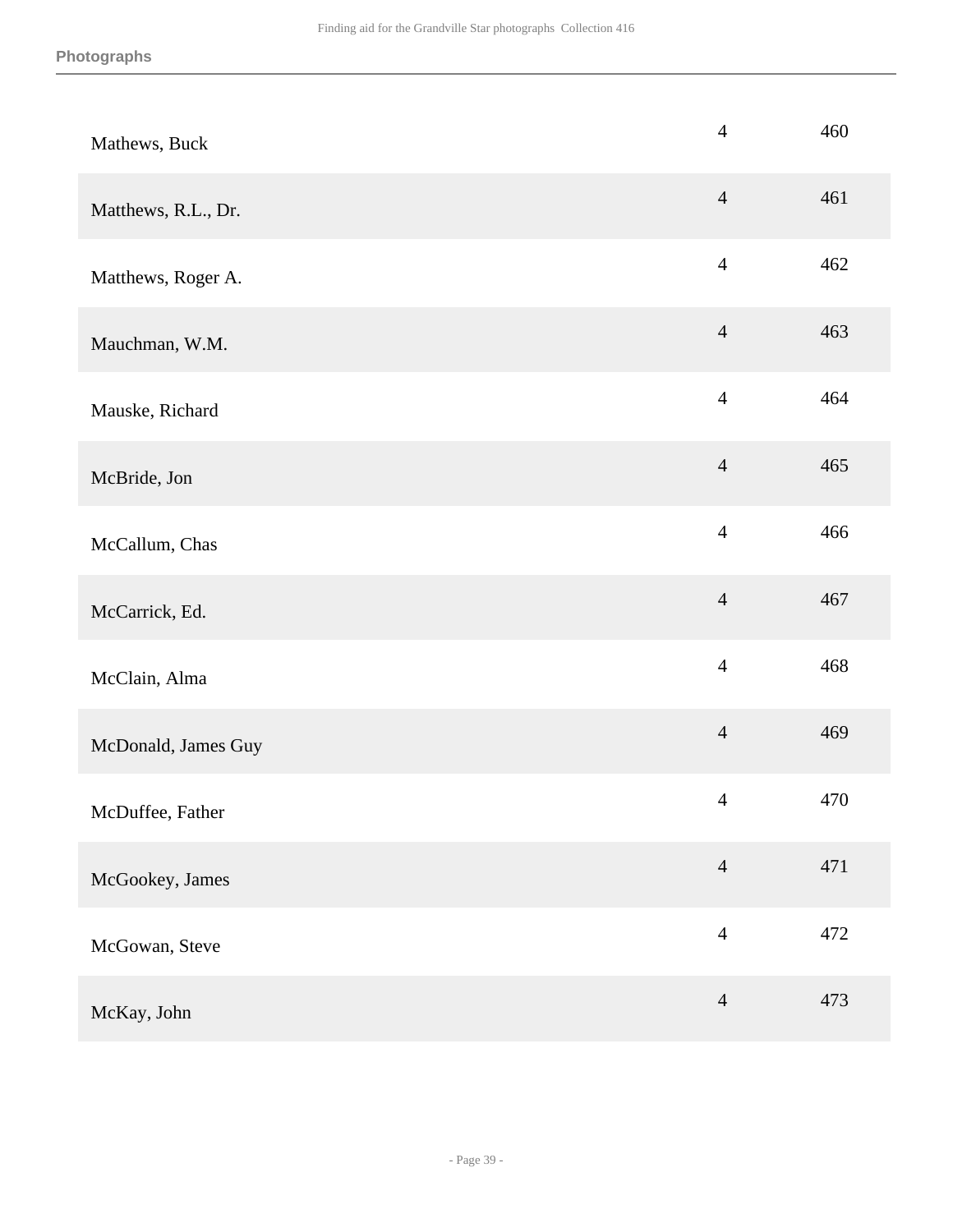| Mathews, Buck       | $\overline{4}$ | 460 |
|---------------------|----------------|-----|
| Matthews, R.L., Dr. | $\overline{4}$ | 461 |
| Matthews, Roger A.  | $\overline{4}$ | 462 |
| Mauchman, W.M.      | $\overline{4}$ | 463 |
| Mauske, Richard     | $\overline{4}$ | 464 |
| McBride, Jon        | $\overline{4}$ | 465 |
| McCallum, Chas      | $\overline{4}$ | 466 |
| McCarrick, Ed.      | $\overline{4}$ | 467 |
| McClain, Alma       | $\overline{4}$ | 468 |
| McDonald, James Guy | $\overline{4}$ | 469 |
| McDuffee, Father    | $\overline{4}$ | 470 |
| McGookey, James     | $\overline{4}$ | 471 |
| McGowan, Steve      | $\overline{4}$ | 472 |
| McKay, John         | $\overline{4}$ | 473 |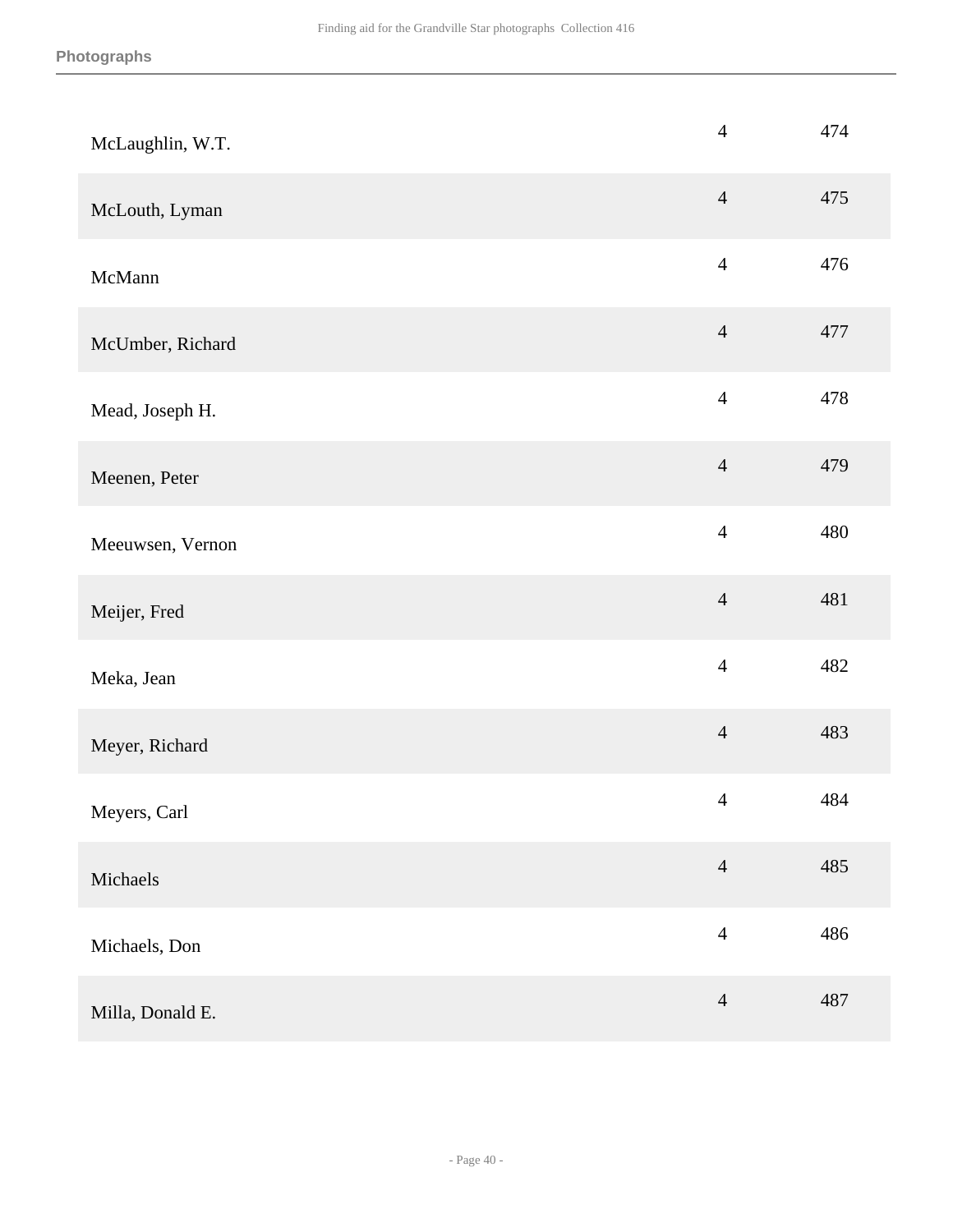| McLaughlin, W.T. | $\overline{4}$ | 474 |
|------------------|----------------|-----|
| McLouth, Lyman   | $\overline{4}$ | 475 |
| McMann           | $\overline{4}$ | 476 |
| McUmber, Richard | $\overline{4}$ | 477 |
| Mead, Joseph H.  | $\overline{4}$ | 478 |
| Meenen, Peter    | $\overline{4}$ | 479 |
| Meeuwsen, Vernon | $\overline{4}$ | 480 |
| Meijer, Fred     | $\overline{4}$ | 481 |
| Meka, Jean       | $\overline{4}$ | 482 |
| Meyer, Richard   | $\overline{4}$ | 483 |
| Meyers, Carl     | $\overline{4}$ | 484 |
| Michaels         | $\overline{4}$ | 485 |
| Michaels, Don    | $\overline{4}$ | 486 |
| Milla, Donald E. | $\overline{4}$ | 487 |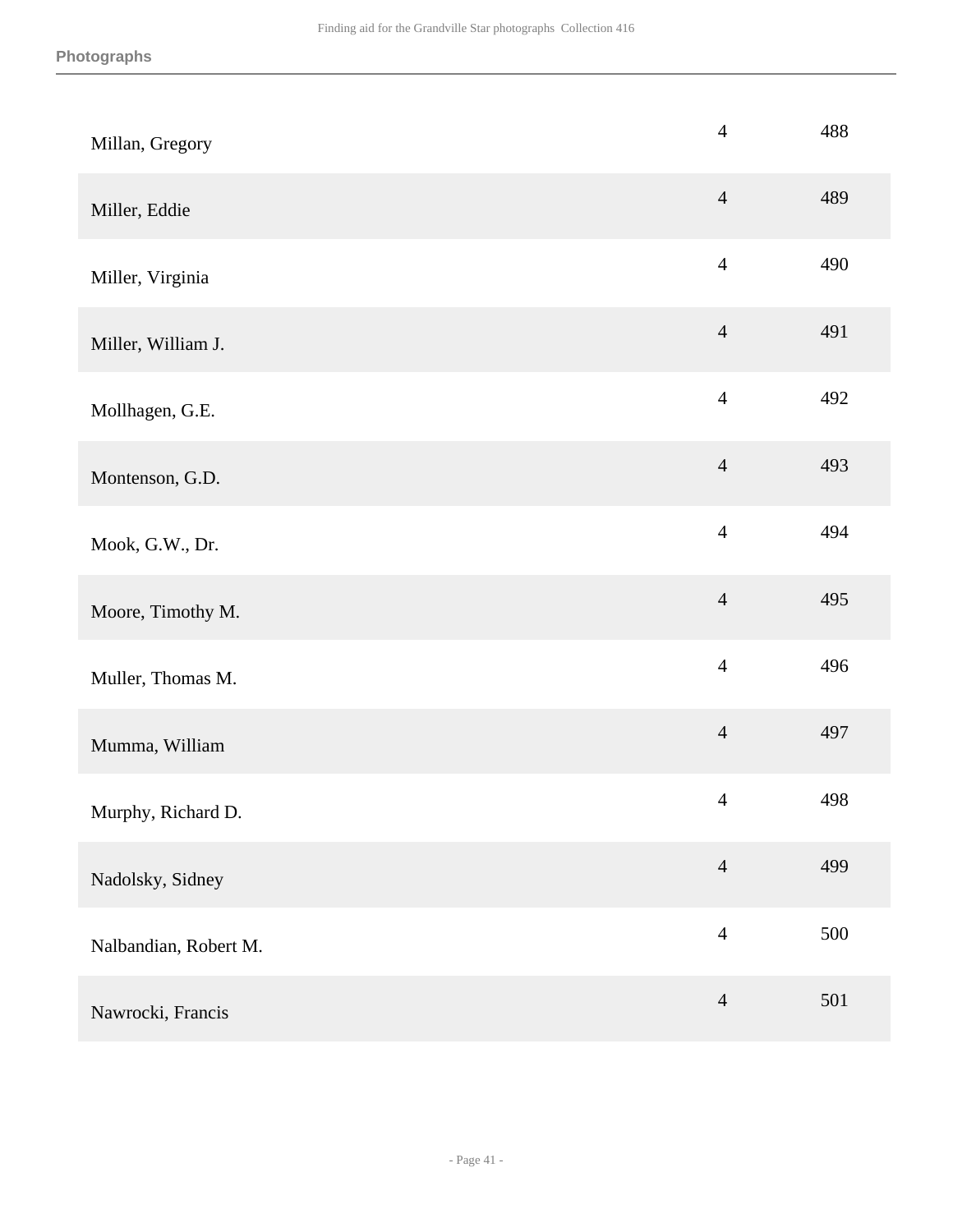| Millan, Gregory       | $\overline{4}$ | 488 |
|-----------------------|----------------|-----|
| Miller, Eddie         | $\overline{4}$ | 489 |
| Miller, Virginia      | $\overline{4}$ | 490 |
| Miller, William J.    | $\overline{4}$ | 491 |
| Mollhagen, G.E.       | $\overline{4}$ | 492 |
| Montenson, G.D.       | $\overline{4}$ | 493 |
| Mook, G.W., Dr.       | $\overline{4}$ | 494 |
| Moore, Timothy M.     | $\overline{4}$ | 495 |
| Muller, Thomas M.     | $\overline{4}$ | 496 |
| Mumma, William        | $\overline{4}$ | 497 |
| Murphy, Richard D.    | $\overline{4}$ | 498 |
| Nadolsky, Sidney      | $\overline{4}$ | 499 |
| Nalbandian, Robert M. | $\overline{4}$ | 500 |
| Nawrocki, Francis     | $\overline{4}$ | 501 |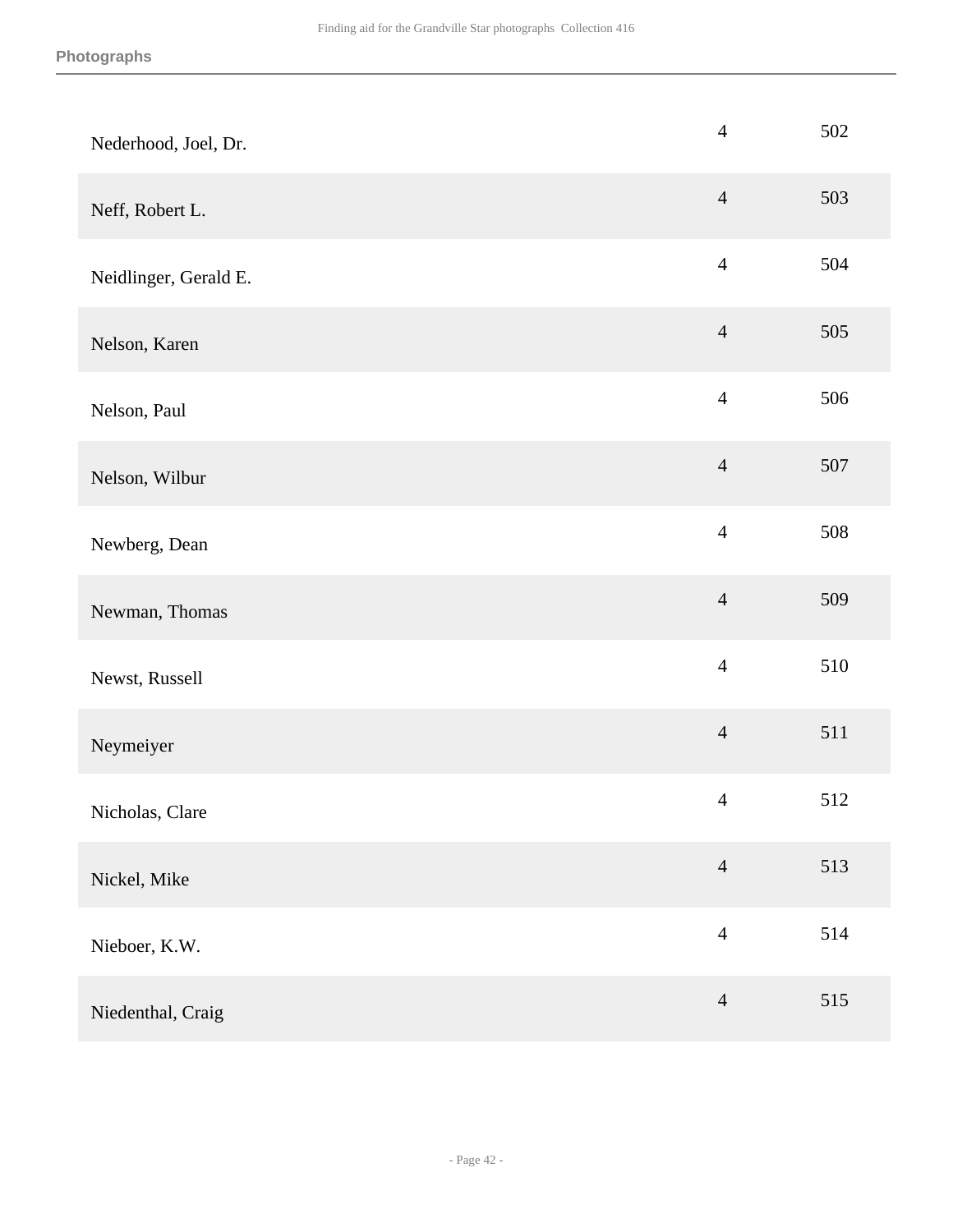| Nederhood, Joel, Dr.  | $\overline{4}$ | 502 |
|-----------------------|----------------|-----|
| Neff, Robert L.       | $\overline{4}$ | 503 |
| Neidlinger, Gerald E. | $\overline{4}$ | 504 |
| Nelson, Karen         | $\overline{4}$ | 505 |
| Nelson, Paul          | $\overline{4}$ | 506 |
| Nelson, Wilbur        | $\overline{4}$ | 507 |
| Newberg, Dean         | $\overline{4}$ | 508 |
| Newman, Thomas        | $\overline{4}$ | 509 |
| Newst, Russell        | $\overline{4}$ | 510 |
| Neymeiyer             | $\overline{4}$ | 511 |
| Nicholas, Clare       | $\overline{4}$ | 512 |
| Nickel, Mike          | $\overline{4}$ | 513 |
| Nieboer, K.W.         | $\overline{4}$ | 514 |
| Niedenthal, Craig     | $\overline{4}$ | 515 |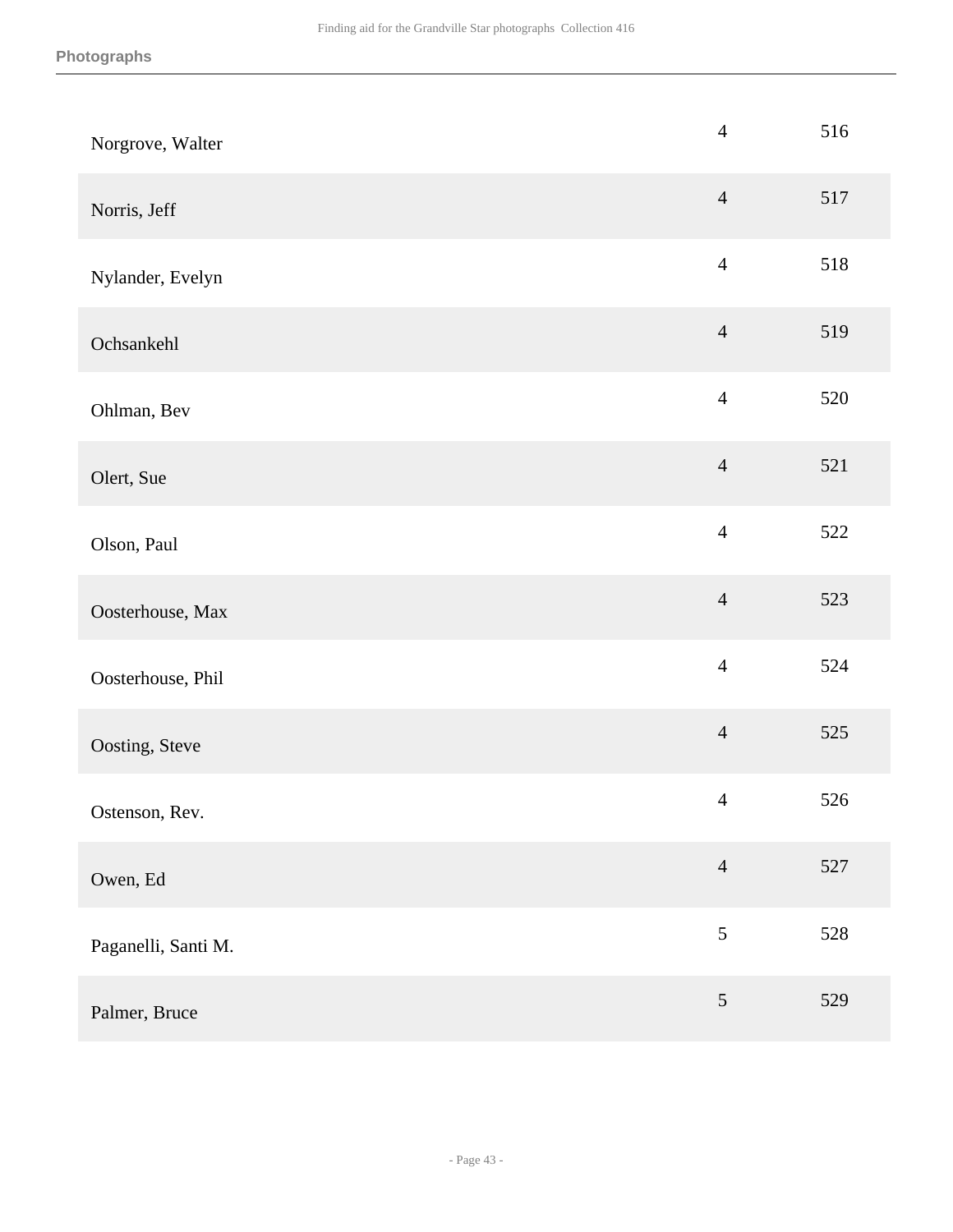| Norgrove, Walter    | $\overline{4}$ | 516 |
|---------------------|----------------|-----|
| Norris, Jeff        | $\overline{4}$ | 517 |
| Nylander, Evelyn    | $\overline{4}$ | 518 |
| Ochsankehl          | $\overline{4}$ | 519 |
| Ohlman, Bev         | $\overline{4}$ | 520 |
| Olert, Sue          | $\overline{4}$ | 521 |
| Olson, Paul         | $\overline{4}$ | 522 |
| Oosterhouse, Max    | $\overline{4}$ | 523 |
| Oosterhouse, Phil   | $\overline{4}$ | 524 |
| Oosting, Steve      | $\overline{4}$ | 525 |
| Ostenson, Rev.      | $\overline{4}$ | 526 |
| Owen, Ed            | $\overline{4}$ | 527 |
| Paganelli, Santi M. | $\sqrt{5}$     | 528 |
| Palmer, Bruce       | $\mathfrak{S}$ | 529 |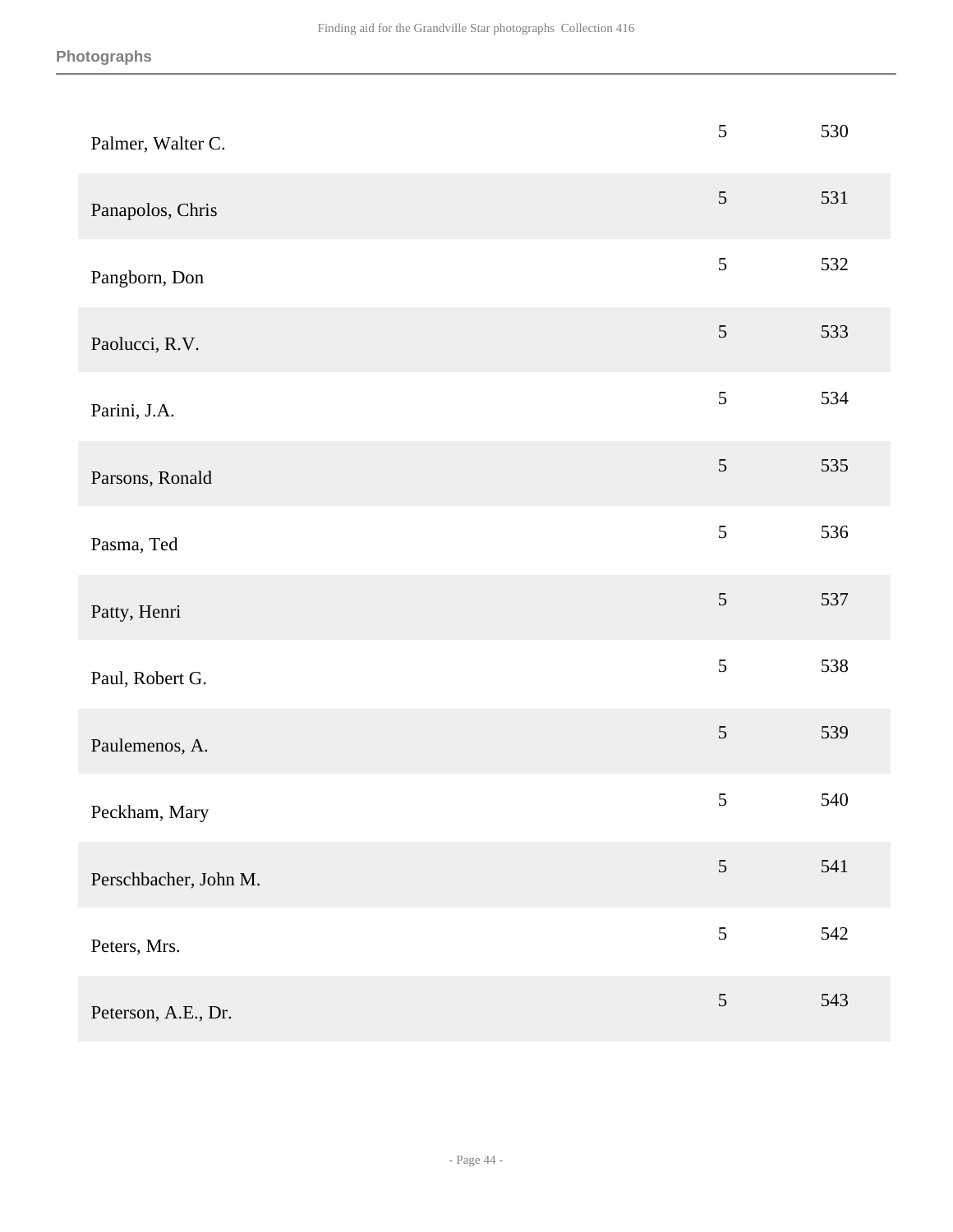| Palmer, Walter C.     | $\sqrt{5}$     | 530 |
|-----------------------|----------------|-----|
| Panapolos, Chris      | $\mathfrak{S}$ | 531 |
| Pangborn, Don         | $\mathfrak{S}$ | 532 |
| Paolucci, R.V.        | $\sqrt{5}$     | 533 |
| Parini, J.A.          | $\mathfrak{S}$ | 534 |
| Parsons, Ronald       | $\mathfrak{S}$ | 535 |
| Pasma, Ted            | 5              | 536 |
| Patty, Henri          | $\sqrt{5}$     | 537 |
| Paul, Robert G.       | $\mathfrak{S}$ | 538 |
| Paulemenos, A.        | $\sqrt{5}$     | 539 |
| Peckham, Mary         | $\sqrt{5}$     | 540 |
| Perschbacher, John M. | $\mathfrak{S}$ | 541 |
| Peters, Mrs.          | $\mathfrak{S}$ | 542 |
| Peterson, A.E., Dr.   | $\sqrt{5}$     | 543 |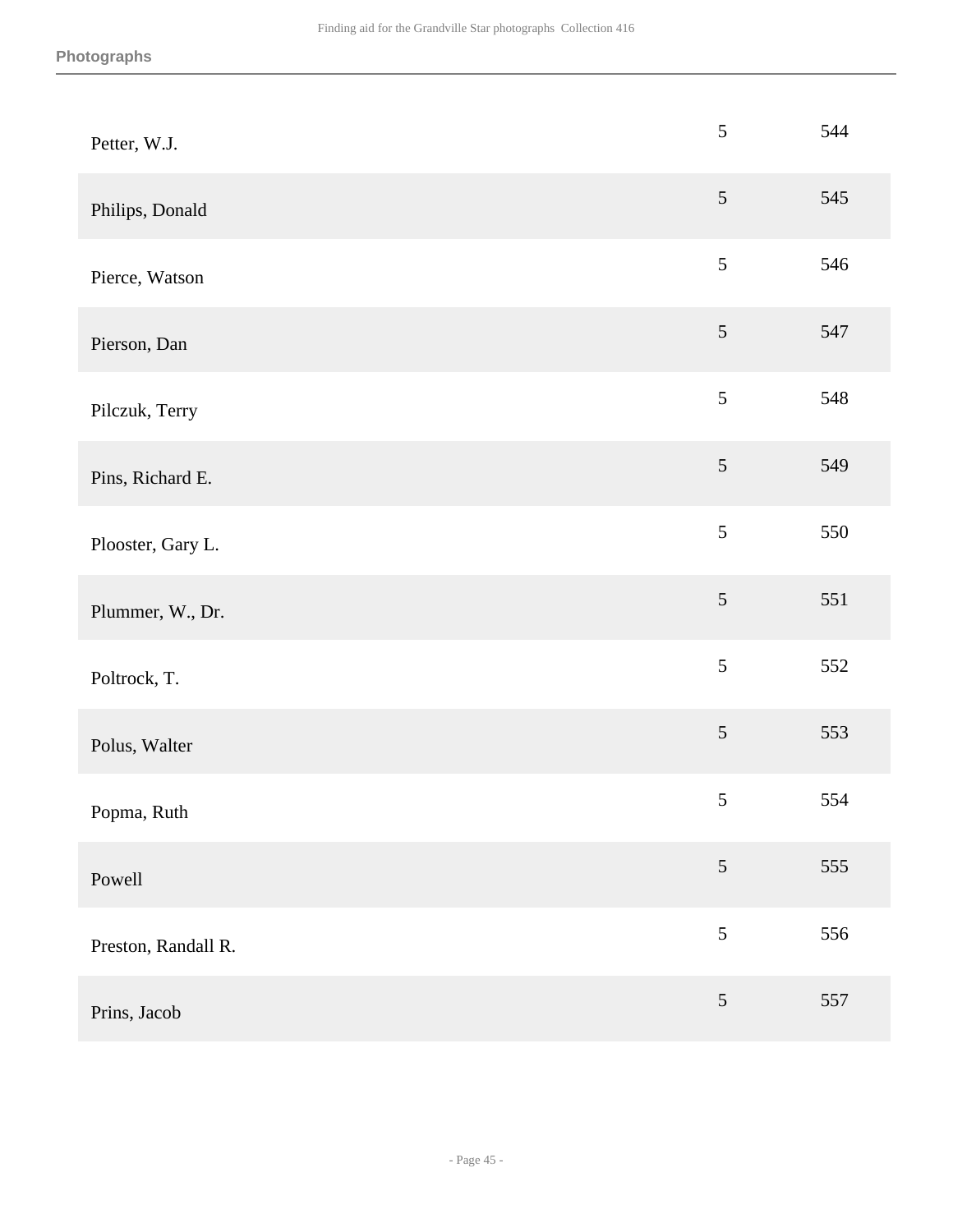| Petter, W.J.        | $\sqrt{5}$     | 544 |
|---------------------|----------------|-----|
| Philips, Donald     | $\mathfrak{S}$ | 545 |
| Pierce, Watson      | 5              | 546 |
| Pierson, Dan        | $\mathfrak{S}$ | 547 |
| Pilczuk, Terry      | 5              | 548 |
| Pins, Richard E.    | $\mathfrak{S}$ | 549 |
| Plooster, Gary L.   | $\mathfrak{S}$ | 550 |
| Plummer, W., Dr.    | $\mathfrak{S}$ | 551 |
| Poltrock, T.        | 5              | 552 |
| Polus, Walter       | $\mathfrak{S}$ | 553 |
| Popma, Ruth         | $\sqrt{5}$     | 554 |
| Powell              | $\mathfrak{S}$ | 555 |
| Preston, Randall R. | $\mathfrak{S}$ | 556 |
| Prins, Jacob        | $\mathfrak{S}$ | 557 |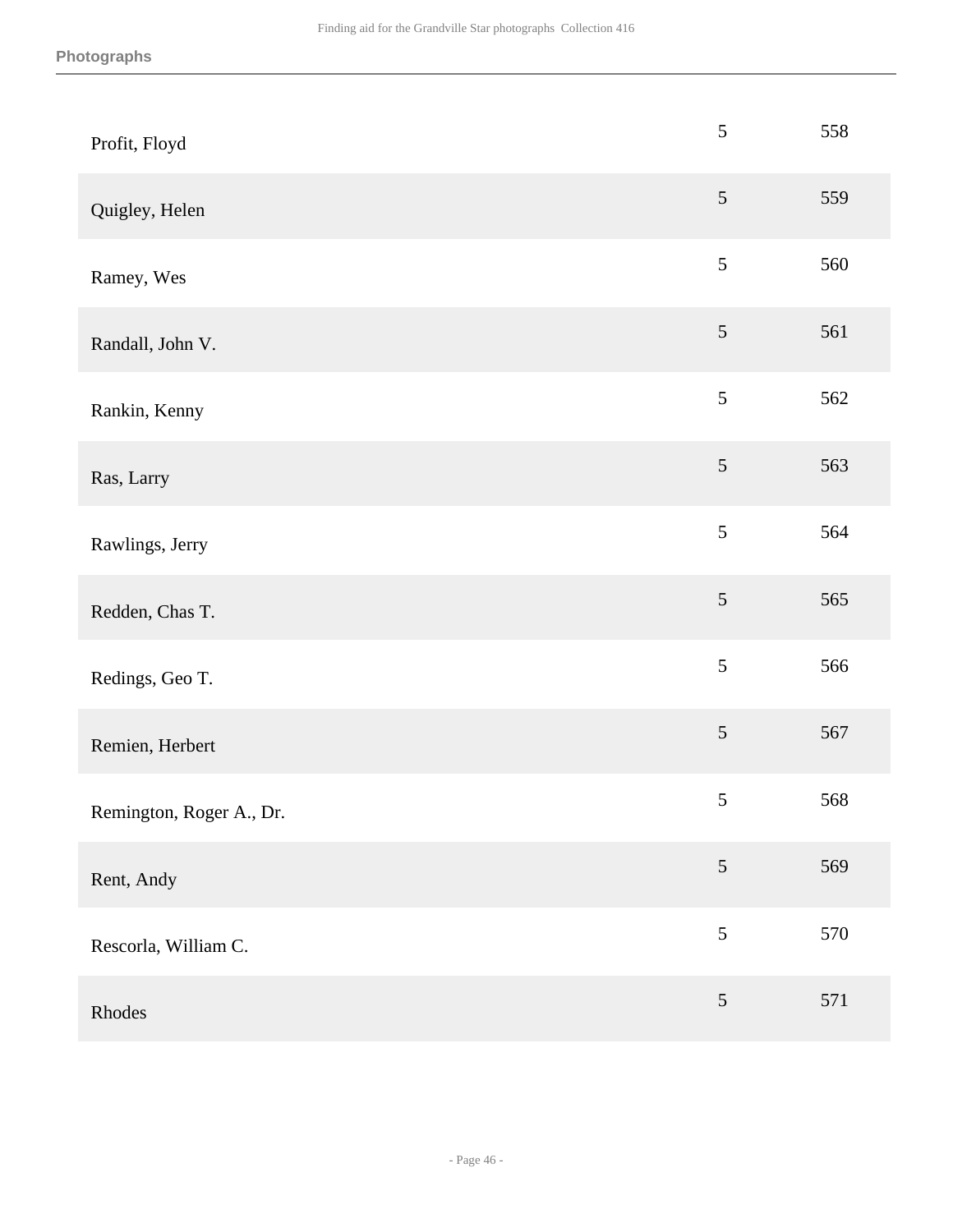| Profit, Floyd            | 5               | 558 |
|--------------------------|-----------------|-----|
| Quigley, Helen           | $5\overline{)}$ | 559 |
| Ramey, Wes               | 5               | 560 |
| Randall, John V.         | $5\overline{)}$ | 561 |
| Rankin, Kenny            | 5               | 562 |
| Ras, Larry               | $\mathfrak{S}$  | 563 |
| Rawlings, Jerry          | 5               | 564 |
| Redden, Chas T.          | $\mathfrak s$   | 565 |
| Redings, Geo T.          | 5               | 566 |
| Remien, Herbert          | $5\overline{)}$ | 567 |
| Remington, Roger A., Dr. | $\mathfrak s$   | 568 |
| Rent, Andy               | $5\overline{)}$ | 569 |
| Rescorla, William C.     | 5               | 570 |
| Rhodes                   | $\sqrt{5}$      | 571 |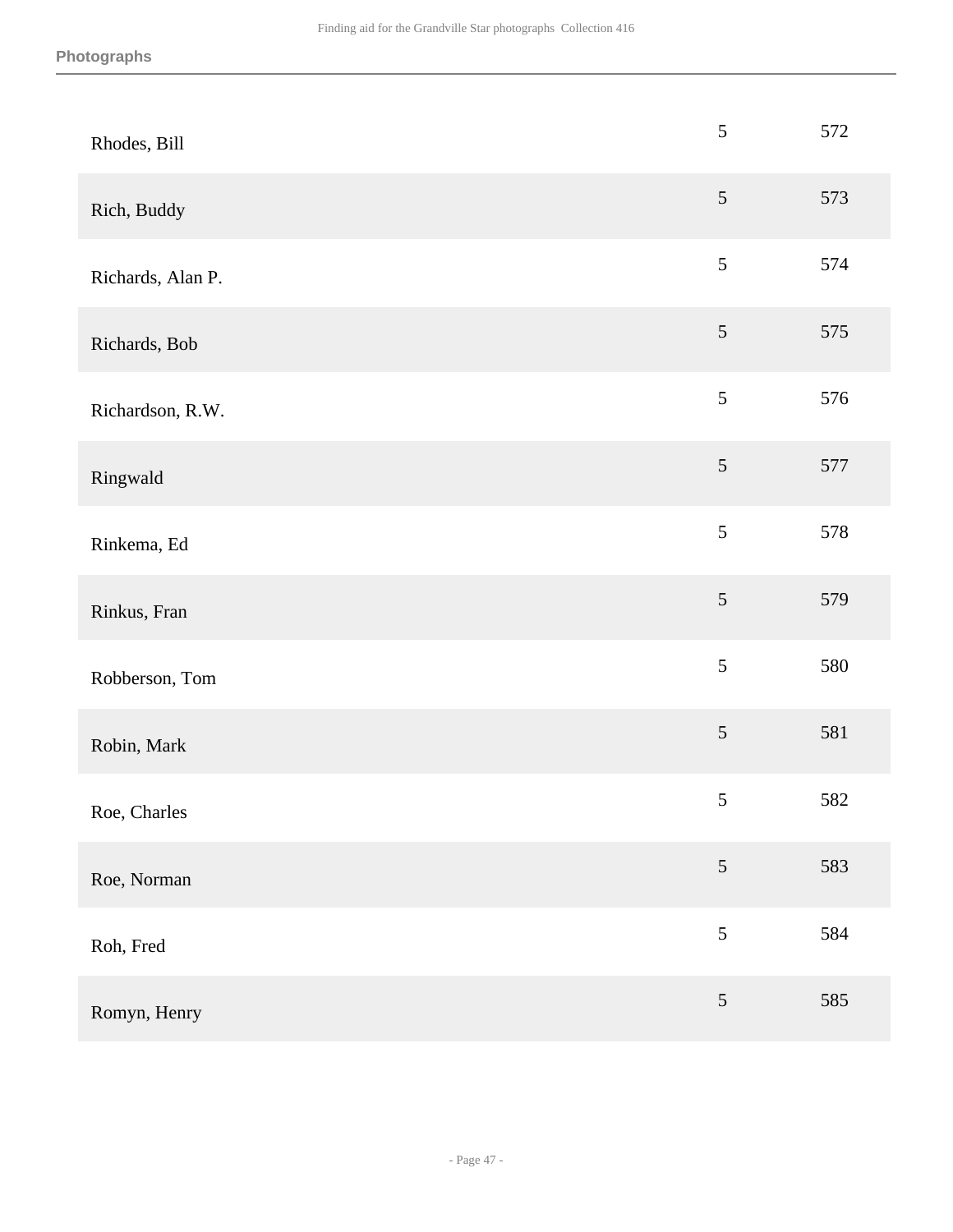| Rhodes, Bill      | $\sqrt{5}$     | 572 |
|-------------------|----------------|-----|
| Rich, Buddy       | $\sqrt{5}$     | 573 |
| Richards, Alan P. | 5              | 574 |
| Richards, Bob     | $\mathfrak{S}$ | 575 |
| Richardson, R.W.  | 5              | 576 |
| Ringwald          | $\sqrt{5}$     | 577 |
| Rinkema, Ed       | 5              | 578 |
| Rinkus, Fran      | 5              | 579 |
| Robberson, Tom    | 5              | 580 |
| Robin, Mark       | 5              | 581 |
| Roe, Charles      | $\mathfrak s$  | 582 |
| Roe, Norman       | $\mathfrak{S}$ | 583 |
| Roh, Fred         | 5              | 584 |
| Romyn, Henry      | $\sqrt{5}$     | 585 |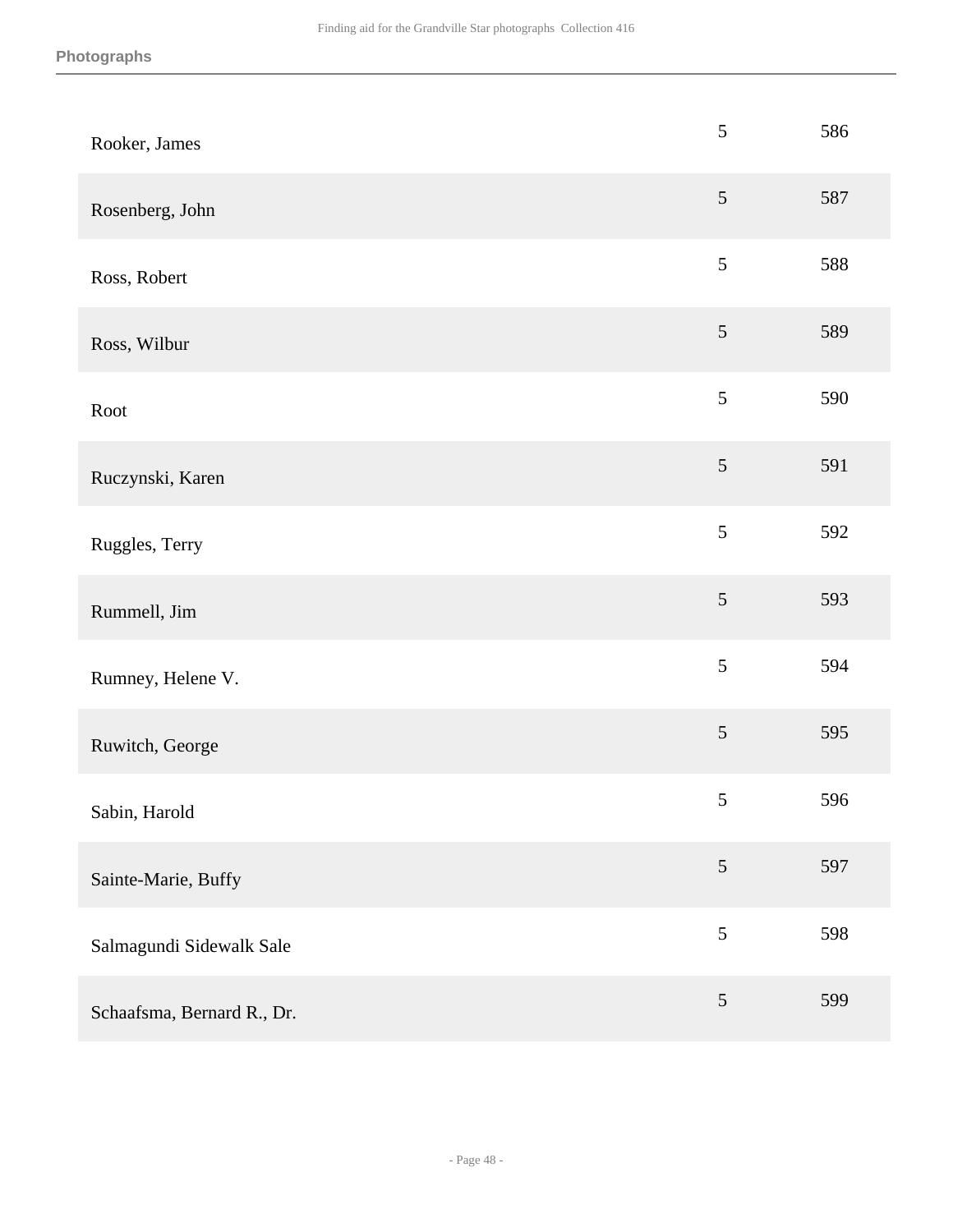| Rooker, James              | $\sqrt{5}$     | 586 |
|----------------------------|----------------|-----|
| Rosenberg, John            | 5              | 587 |
| Ross, Robert               | $\sqrt{5}$     | 588 |
| Ross, Wilbur               | $\sqrt{5}$     | 589 |
| Root                       | $\sqrt{5}$     | 590 |
| Ruczynski, Karen           | $\sqrt{5}$     | 591 |
| Ruggles, Terry             | 5              | 592 |
| Rummell, Jim               | 5              | 593 |
| Rumney, Helene V.          | $\sqrt{5}$     | 594 |
| Ruwitch, George            | $\sqrt{5}$     | 595 |
| Sabin, Harold              | 5              | 596 |
| Sainte-Marie, Buffy        | $\mathfrak{S}$ | 597 |
| Salmagundi Sidewalk Sale   | 5              | 598 |
| Schaafsma, Bernard R., Dr. | $\mathfrak{S}$ | 599 |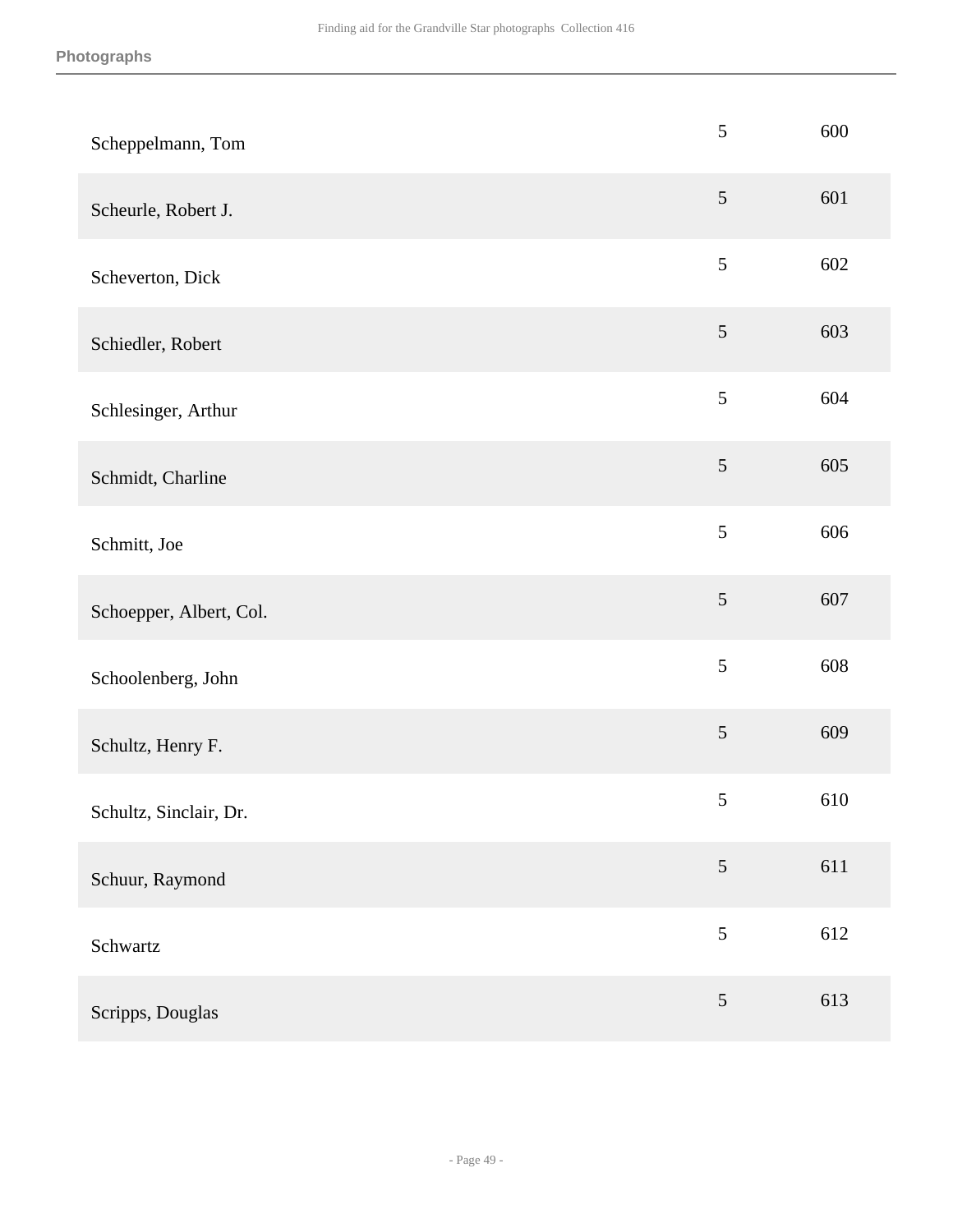| Scheppelmann, Tom       | 5               | 600 |
|-------------------------|-----------------|-----|
| Scheurle, Robert J.     | $\mathfrak{S}$  | 601 |
| Scheverton, Dick        | $\mathfrak{S}$  | 602 |
| Schiedler, Robert       | $\sqrt{5}$      | 603 |
| Schlesinger, Arthur     | 5               | 604 |
| Schmidt, Charline       | $\mathfrak{S}$  | 605 |
| Schmitt, Joe            | 5               | 606 |
| Schoepper, Albert, Col. | $\mathfrak s$   | 607 |
| Schoolenberg, John      | 5               | 608 |
| Schultz, Henry F.       | $\sqrt{5}$      | 609 |
| Schultz, Sinclair, Dr.  | $\mathfrak{S}$  | 610 |
| Schuur, Raymond         | $5\overline{)}$ | 611 |
| Schwartz                | 5               | 612 |
| Scripps, Douglas        | 5               | 613 |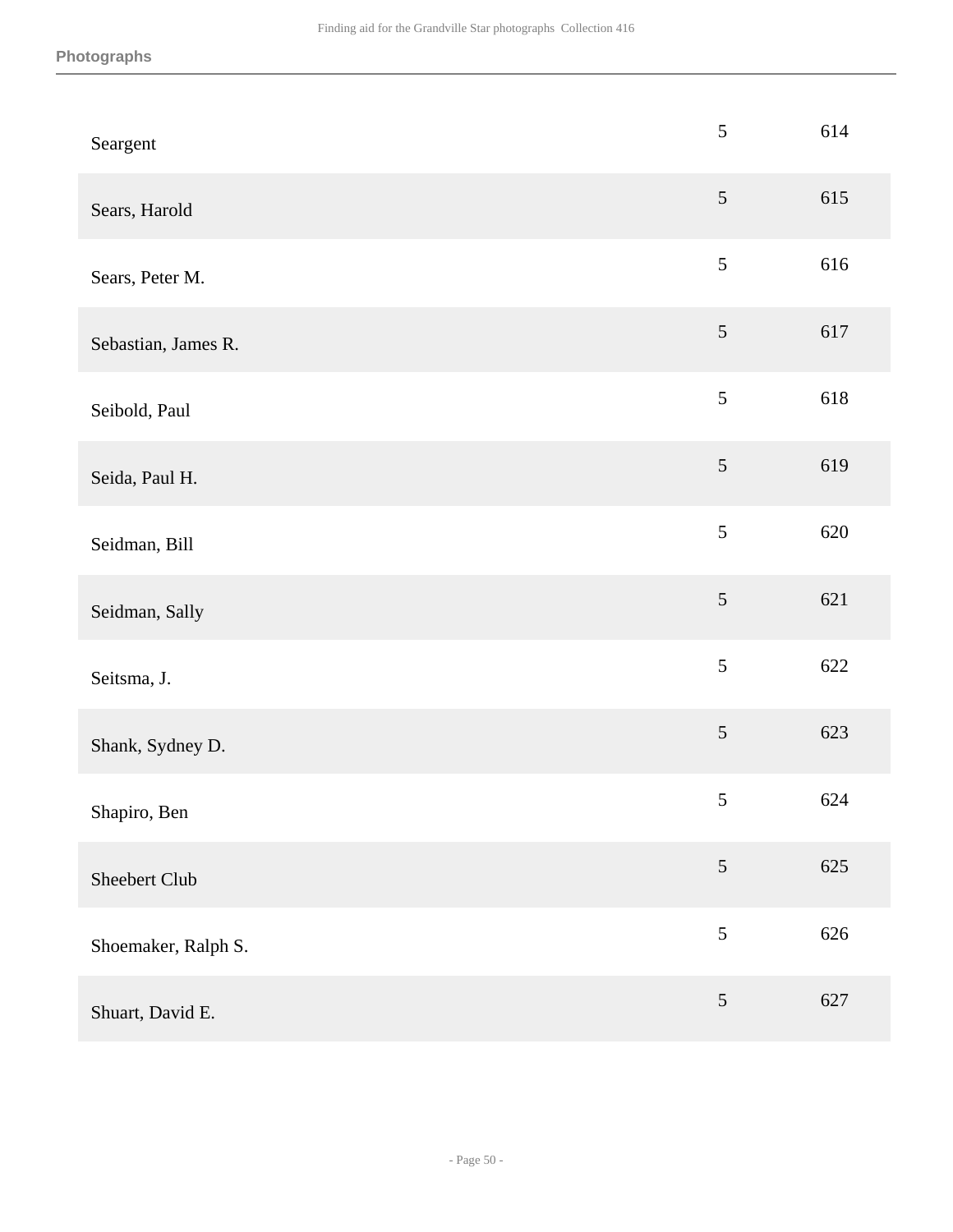| Seargent            | 5              | 614 |
|---------------------|----------------|-----|
| Sears, Harold       | $\mathfrak{S}$ | 615 |
| Sears, Peter M.     | $\sqrt{5}$     | 616 |
| Sebastian, James R. | $\sqrt{5}$     | 617 |
| Seibold, Paul       | 5              | 618 |
| Seida, Paul H.      | $\sqrt{5}$     | 619 |
| Seidman, Bill       | 5              | 620 |
| Seidman, Sally      | $\sqrt{5}$     | 621 |
| Seitsma, J.         | 5              | 622 |
| Shank, Sydney D.    | $\sqrt{5}$     | 623 |
| Shapiro, Ben        | $\sqrt{5}$     | 624 |
| Sheebert Club       | $\mathfrak{S}$ | 625 |
| Shoemaker, Ralph S. | $\sqrt{5}$     | 626 |
| Shuart, David E.    | $\sqrt{5}$     | 627 |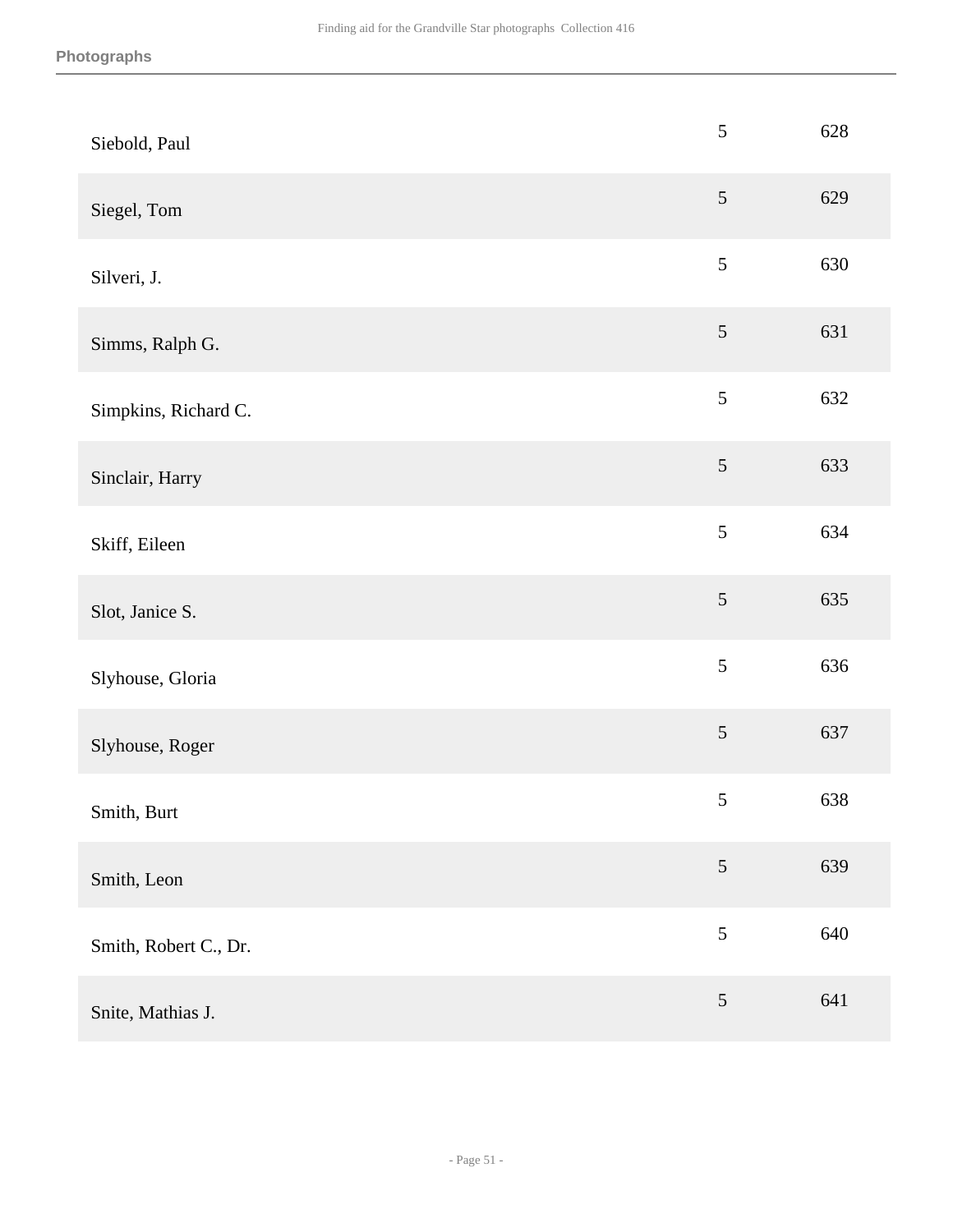| Siebold, Paul         | $\sqrt{5}$     | 628 |
|-----------------------|----------------|-----|
| Siegel, Tom           | $\sqrt{5}$     | 629 |
| Silveri, J.           | $\sqrt{5}$     | 630 |
| Simms, Ralph G.       | $\sqrt{5}$     | 631 |
| Simpkins, Richard C.  | $\mathfrak{S}$ | 632 |
| Sinclair, Harry       | $\sqrt{5}$     | 633 |
| Skiff, Eileen         | 5              | 634 |
| Slot, Janice S.       | $\sqrt{5}$     | 635 |
| Slyhouse, Gloria      | $\sqrt{5}$     | 636 |
| Slyhouse, Roger       | $\sqrt{5}$     | 637 |
| Smith, Burt           | $\sqrt{5}$     | 638 |
| Smith, Leon           | $\mathfrak{S}$ | 639 |
| Smith, Robert C., Dr. | $\mathfrak{S}$ | 640 |
| Snite, Mathias J.     | $\sqrt{5}$     | 641 |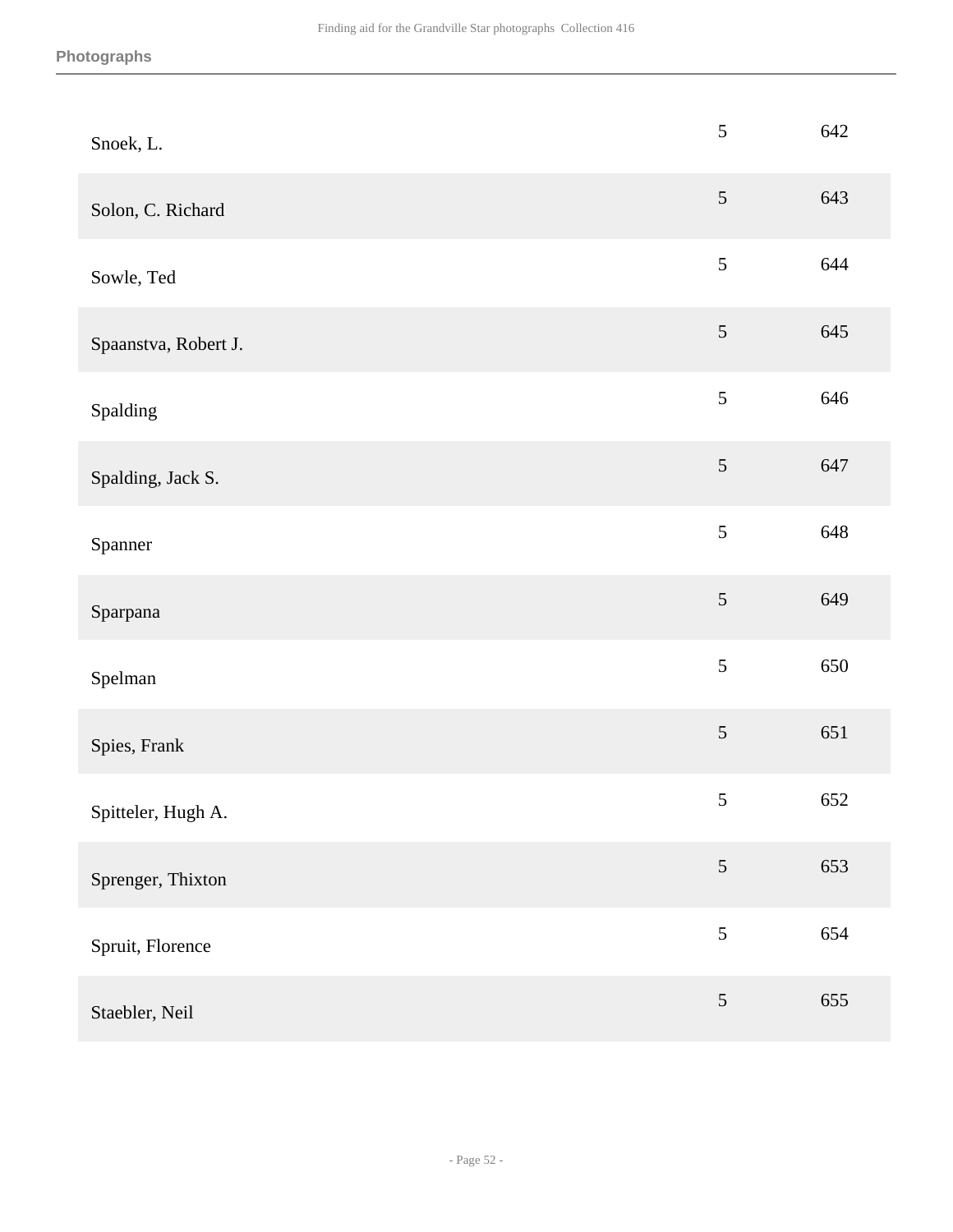| Snoek, L.            | $\sqrt{5}$      | 642 |
|----------------------|-----------------|-----|
| Solon, C. Richard    | $\mathfrak{S}$  | 643 |
| Sowle, Ted           | $\sqrt{5}$      | 644 |
| Spaanstva, Robert J. | 5               | 645 |
| Spalding             | 5               | 646 |
| Spalding, Jack S.    | 5               | 647 |
| Spanner              | 5               | 648 |
| Sparpana             | $\sqrt{5}$      | 649 |
| Spelman              | 5               | 650 |
| Spies, Frank         | 5               | 651 |
| Spitteler, Hugh A.   | $\mathfrak s$   | 652 |
| Sprenger, Thixton    | $5\overline{)}$ | 653 |
| Spruit, Florence     | 5               | 654 |
| Staebler, Neil       | $\sqrt{5}$      | 655 |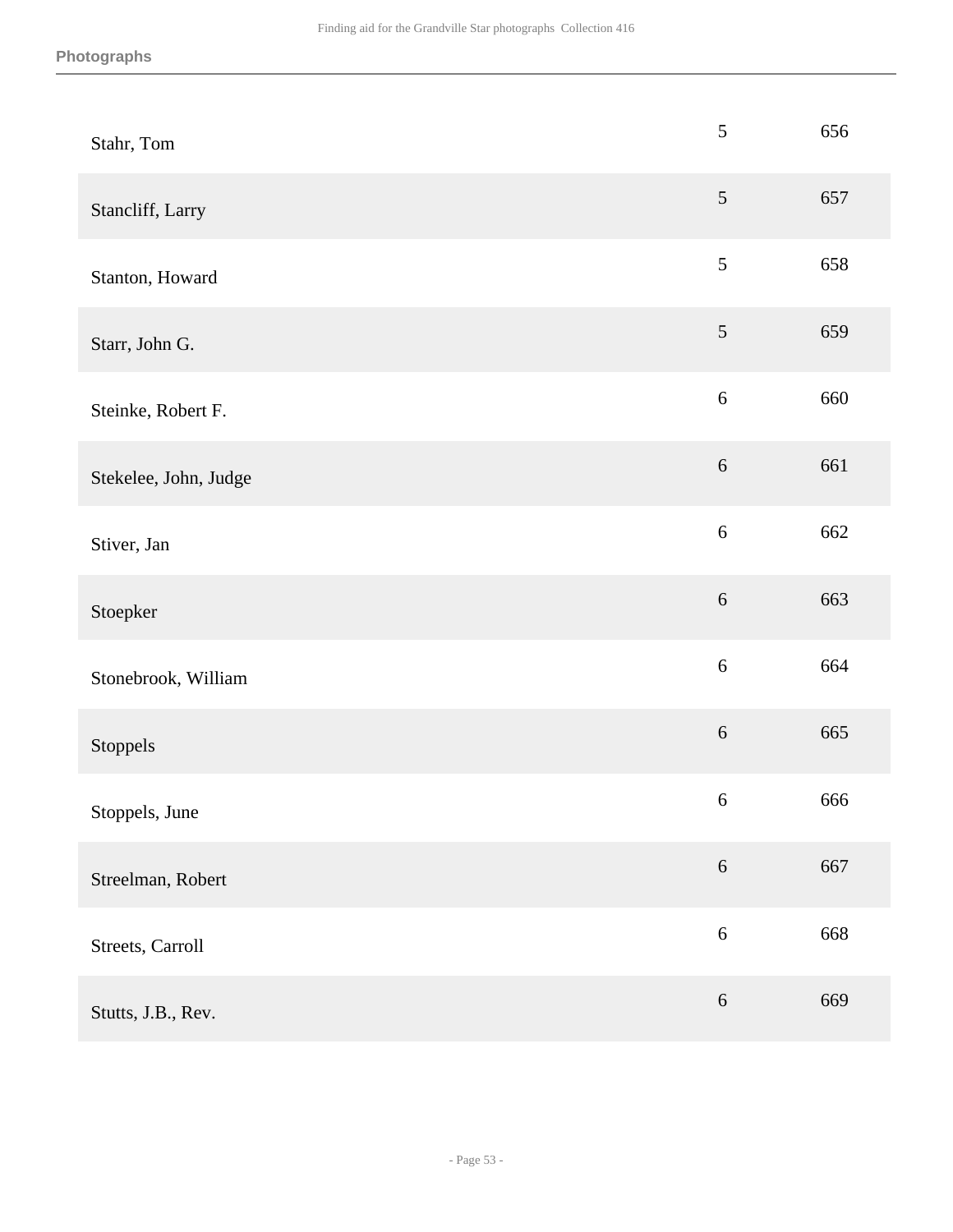| Stahr, Tom            | $\sqrt{5}$       | 656 |
|-----------------------|------------------|-----|
| Stancliff, Larry      | $\sqrt{5}$       | 657 |
| Stanton, Howard       | $\sqrt{5}$       | 658 |
| Starr, John G.        | $\sqrt{5}$       | 659 |
| Steinke, Robert F.    | $\sqrt{6}$       | 660 |
| Stekelee, John, Judge | $\sqrt{6}$       | 661 |
| Stiver, Jan           | 6                | 662 |
| Stoepker              | $\sqrt{6}$       | 663 |
| Stonebrook, William   | $\sqrt{6}$       | 664 |
| Stoppels              | $\sqrt{6}$       | 665 |
| Stoppels, June        | $\boldsymbol{6}$ | 666 |
| Streelman, Robert     | $\sqrt{6}$       | 667 |
| Streets, Carroll      | $\sqrt{6}$       | 668 |
| Stutts, J.B., Rev.    | $\sqrt{6}$       | 669 |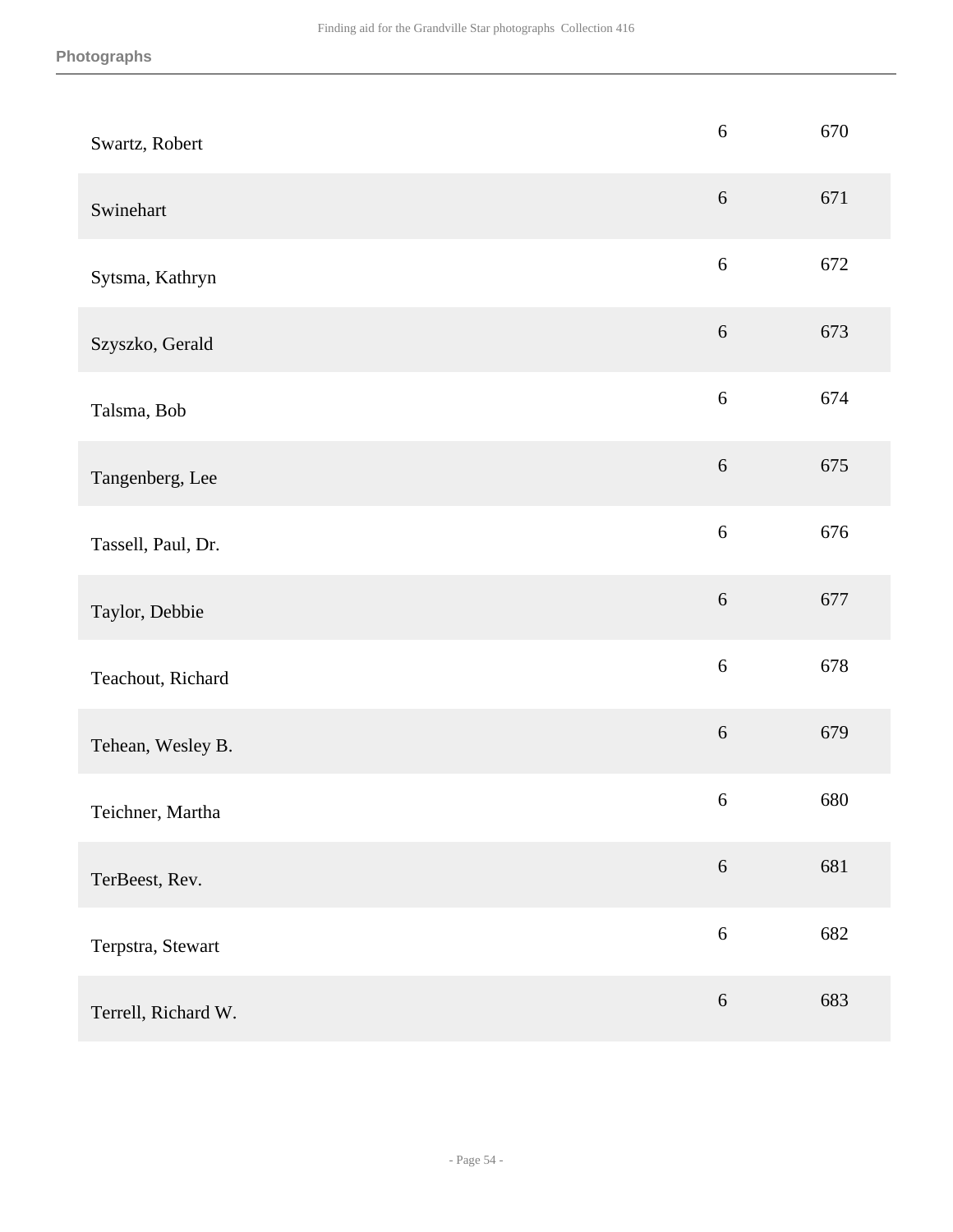| Swartz, Robert      | $\sqrt{6}$ | 670 |
|---------------------|------------|-----|
| Swinehart           | $6\,$      | 671 |
| Sytsma, Kathryn     | $\sqrt{6}$ | 672 |
| Szyszko, Gerald     | $\sqrt{6}$ | 673 |
| Talsma, Bob         | $\sqrt{6}$ | 674 |
| Tangenberg, Lee     | $\sqrt{6}$ | 675 |
| Tassell, Paul, Dr.  | $6\,$      | 676 |
| Taylor, Debbie      | $6\,$      | 677 |
| Teachout, Richard   | $\sqrt{6}$ | 678 |
| Tehean, Wesley B.   | $\sqrt{6}$ | 679 |
| Teichner, Martha    | $\sqrt{6}$ | 680 |
| TerBeest, Rev.      | $6\,$      | 681 |
| Terpstra, Stewart   | $\sqrt{6}$ | 682 |
| Terrell, Richard W. | $\sqrt{6}$ | 683 |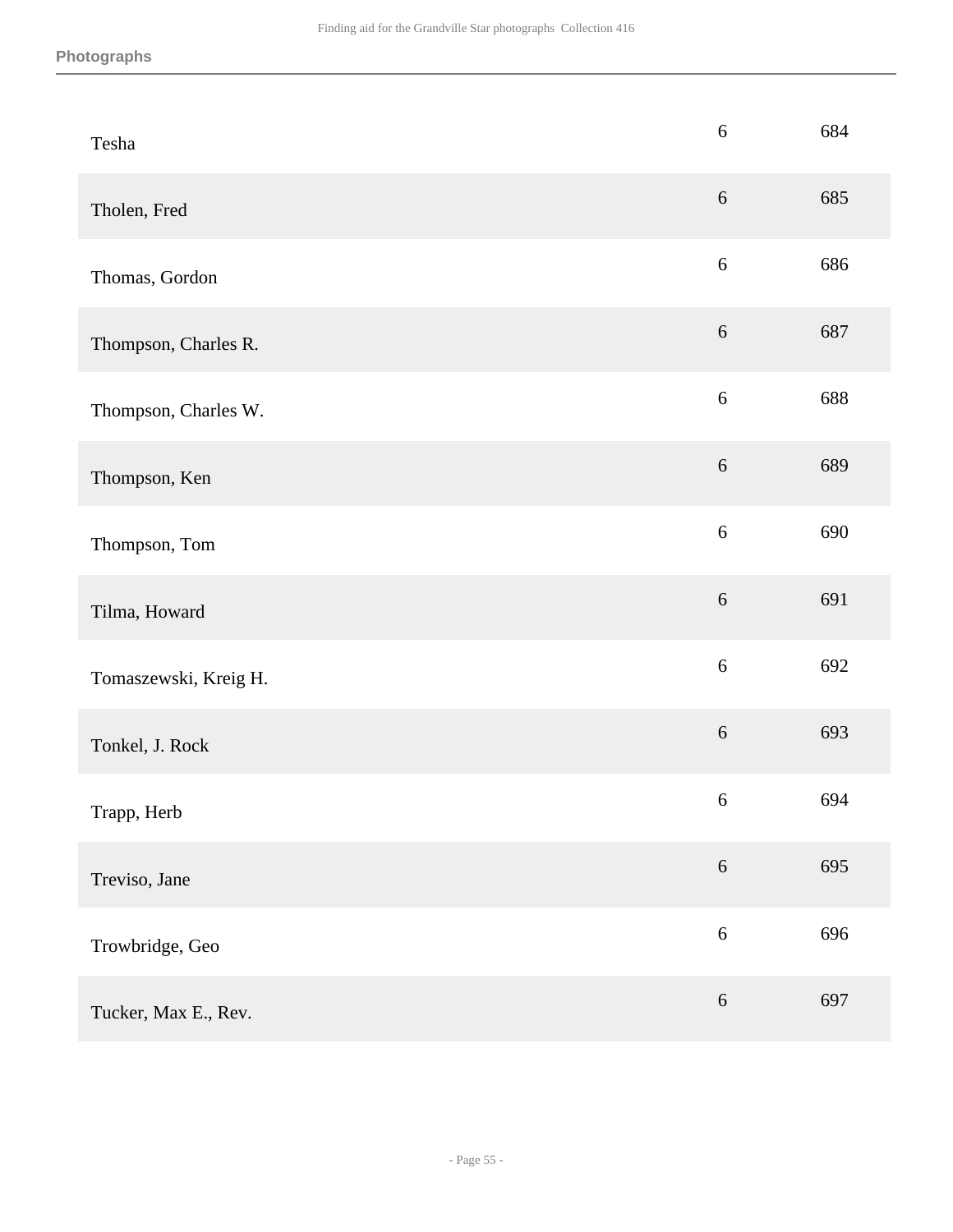| Tesha                 | $\sqrt{6}$ | 684 |
|-----------------------|------------|-----|
| Tholen, Fred          | $6\,$      | 685 |
| Thomas, Gordon        | $\sqrt{6}$ | 686 |
| Thompson, Charles R.  | $\sqrt{6}$ | 687 |
| Thompson, Charles W.  | $\sqrt{6}$ | 688 |
| Thompson, Ken         | $\sqrt{6}$ | 689 |
| Thompson, Tom         | $6\,$      | 690 |
| Tilma, Howard         | $\sqrt{6}$ | 691 |
| Tomaszewski, Kreig H. | $\sqrt{6}$ | 692 |
| Tonkel, J. Rock       | $\sqrt{6}$ | 693 |
| Trapp, Herb           | $\sqrt{6}$ | 694 |
| Treviso, Jane         | $6\,$      | 695 |
| Trowbridge, Geo       | $\sqrt{6}$ | 696 |
| Tucker, Max E., Rev.  | $\sqrt{6}$ | 697 |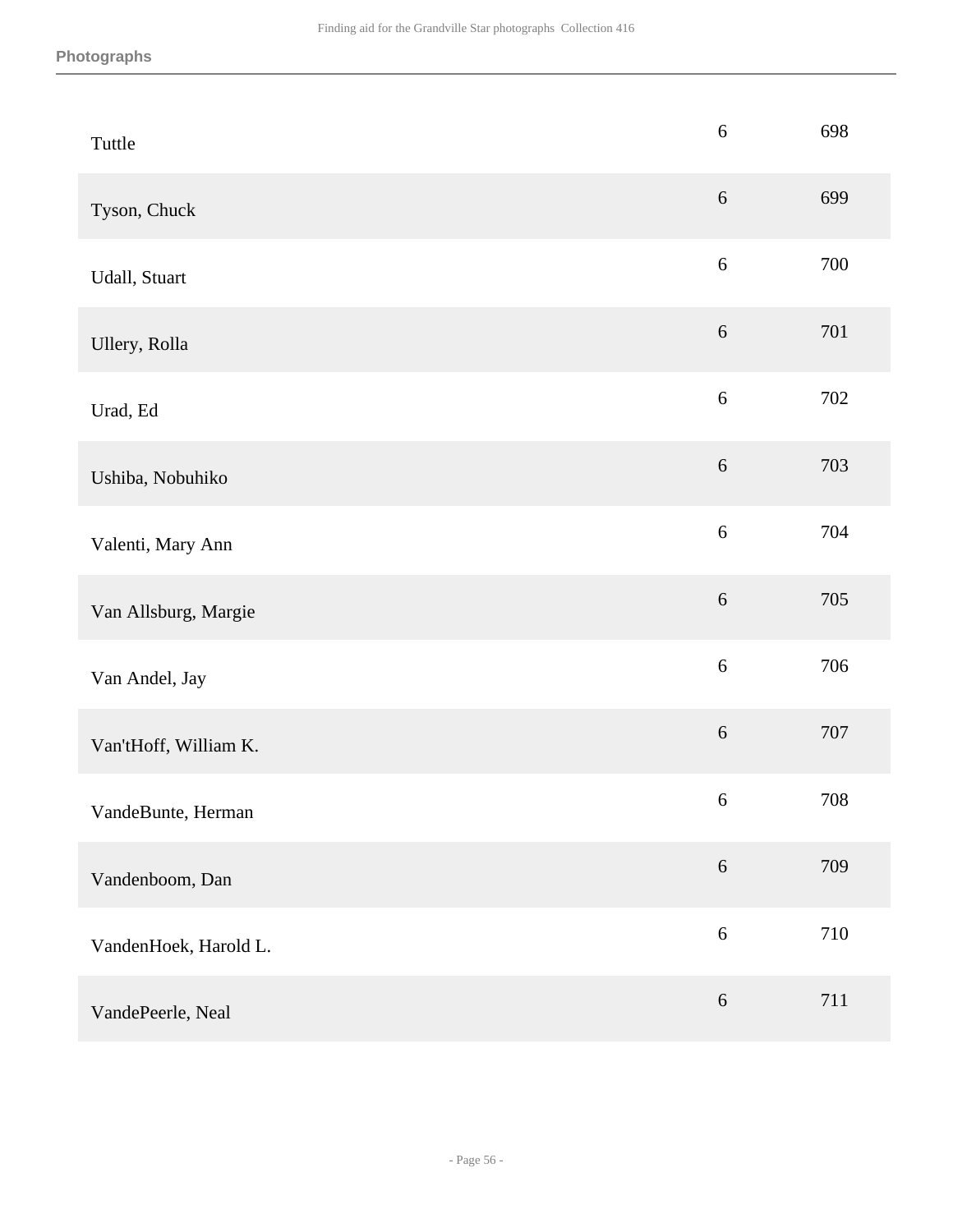| Tuttle                | $\sqrt{6}$ | 698 |
|-----------------------|------------|-----|
| Tyson, Chuck          | $\sqrt{6}$ | 699 |
| Udall, Stuart         | $\sqrt{6}$ | 700 |
| Ullery, Rolla         | $\sqrt{6}$ | 701 |
| Urad, Ed              | $\sqrt{6}$ | 702 |
| Ushiba, Nobuhiko      | $\sqrt{6}$ | 703 |
| Valenti, Mary Ann     | 6          | 704 |
| Van Allsburg, Margie  | $\sqrt{6}$ | 705 |
| Van Andel, Jay        | $\sqrt{6}$ | 706 |
| Van'tHoff, William K. | $\sqrt{6}$ | 707 |
| VandeBunte, Herman    | 6          | 708 |
| Vandenboom, Dan       | $\sqrt{6}$ | 709 |
| VandenHoek, Harold L. | $\sqrt{6}$ | 710 |
| VandePeerle, Neal     | $\sqrt{6}$ | 711 |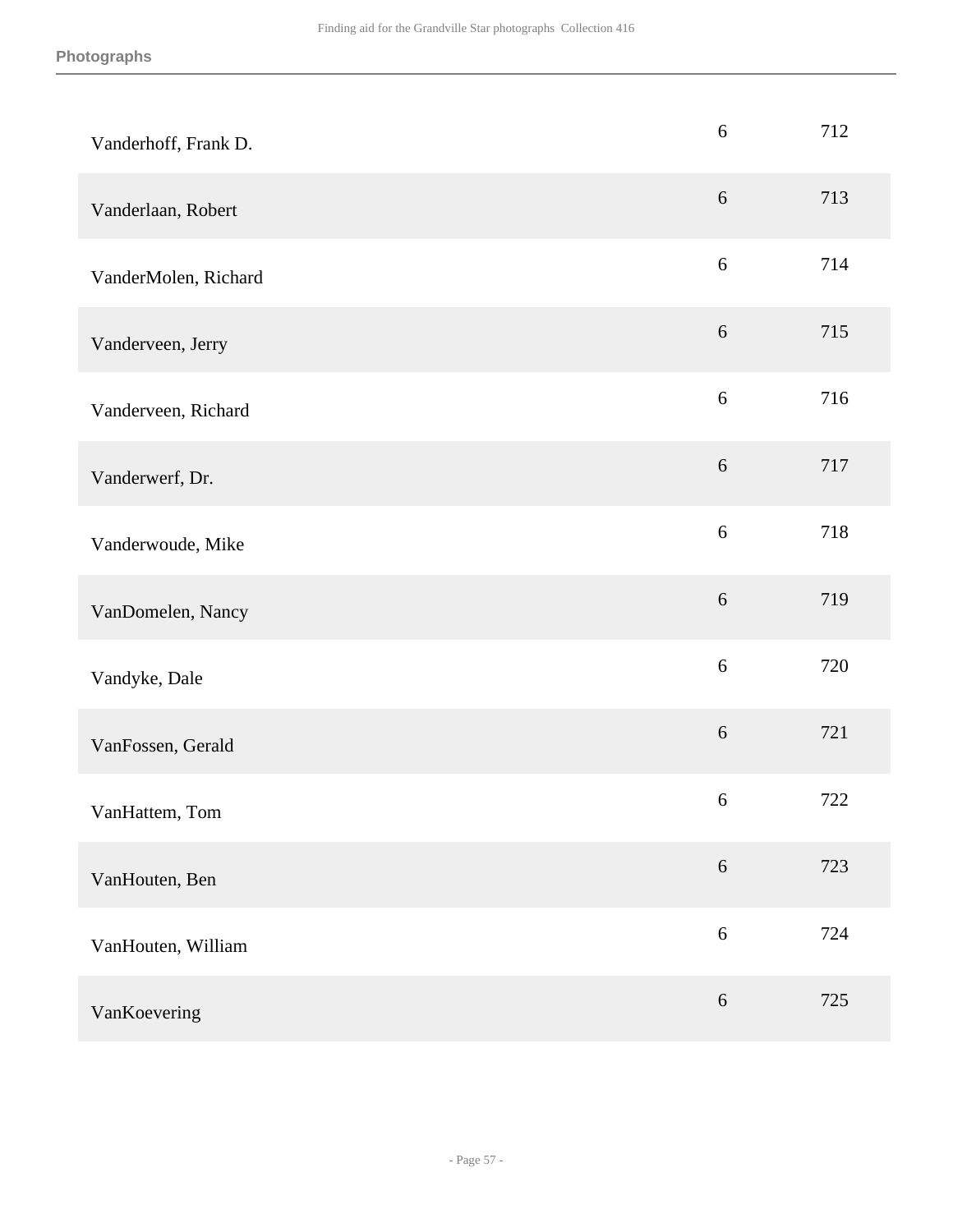| Vanderhoff, Frank D. | $6\,$            | 712 |
|----------------------|------------------|-----|
| Vanderlaan, Robert   | $6\,$            | 713 |
| VanderMolen, Richard | $\sqrt{6}$       | 714 |
| Vanderveen, Jerry    | $\sqrt{6}$       | 715 |
| Vanderveen, Richard  | $6\,$            | 716 |
| Vanderwerf, Dr.      | $6\,$            | 717 |
| Vanderwoude, Mike    | $6\,$            | 718 |
| VanDomelen, Nancy    | $\sqrt{6}$       | 719 |
| Vandyke, Dale        | $\sqrt{6}$       | 720 |
| VanFossen, Gerald    | $\sqrt{6}$       | 721 |
| VanHattem, Tom       | $\boldsymbol{6}$ | 722 |
| VanHouten, Ben       | $\sqrt{6}$       | 723 |
| VanHouten, William   | $6\,$            | 724 |
| VanKoevering         | $\sqrt{6}$       | 725 |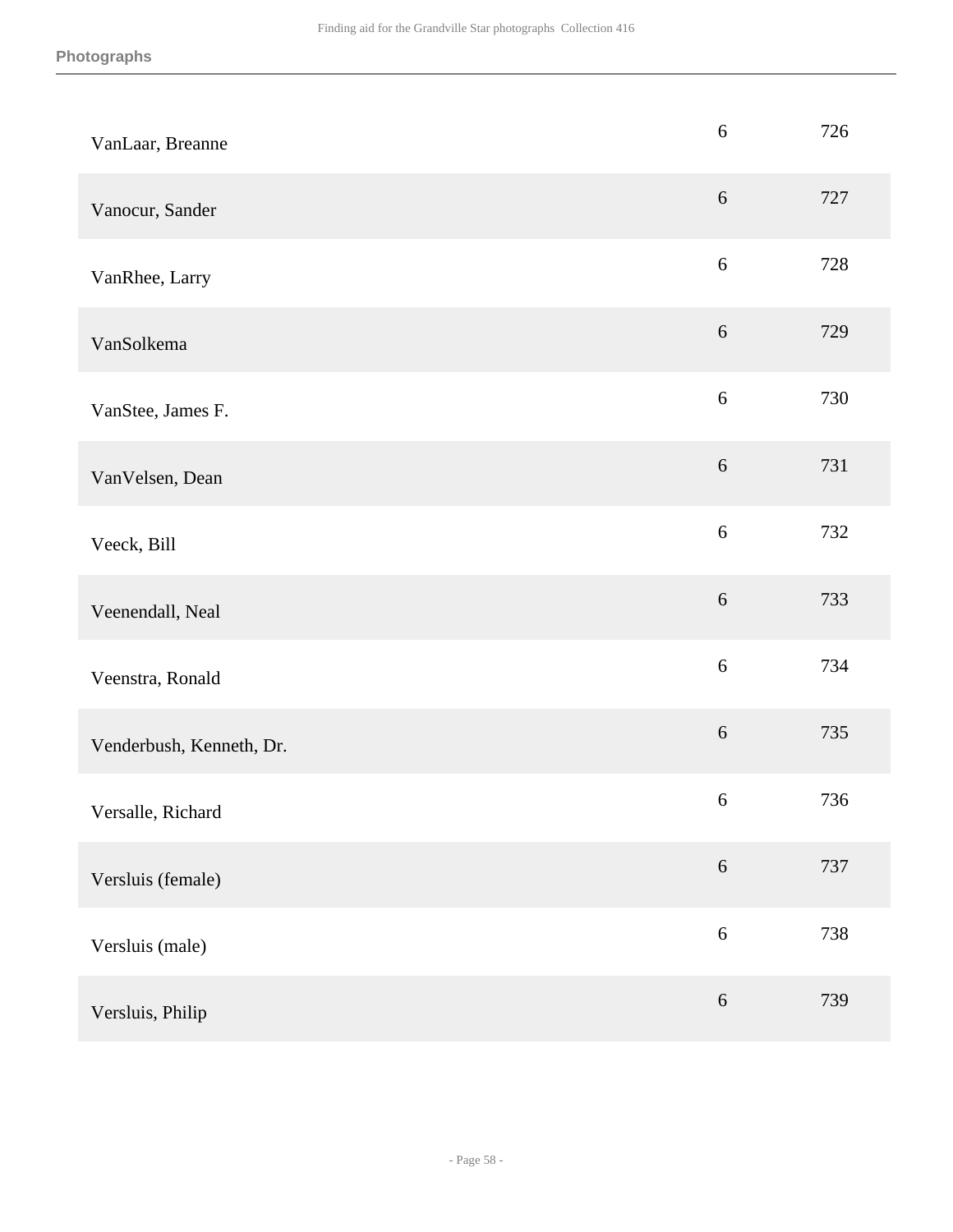| VanLaar, Breanne         | $6\,$      | 726 |
|--------------------------|------------|-----|
| Vanocur, Sander          | $6\,$      | 727 |
| VanRhee, Larry           | $6\,$      | 728 |
| VanSolkema               | $\sqrt{6}$ | 729 |
| VanStee, James F.        | $\sqrt{6}$ | 730 |
| VanVelsen, Dean          | $6\,$      | 731 |
| Veeck, Bill              | $6\,$      | 732 |
| Veenendall, Neal         | $\sqrt{6}$ | 733 |
| Veenstra, Ronald         | $\sqrt{6}$ | 734 |
| Venderbush, Kenneth, Dr. | $\sqrt{6}$ | 735 |
| Versalle, Richard        | $\sqrt{6}$ | 736 |
| Versluis (female)        | $\sqrt{6}$ | 737 |
| Versluis (male)          | $\sqrt{6}$ | 738 |
| Versluis, Philip         | $\sqrt{6}$ | 739 |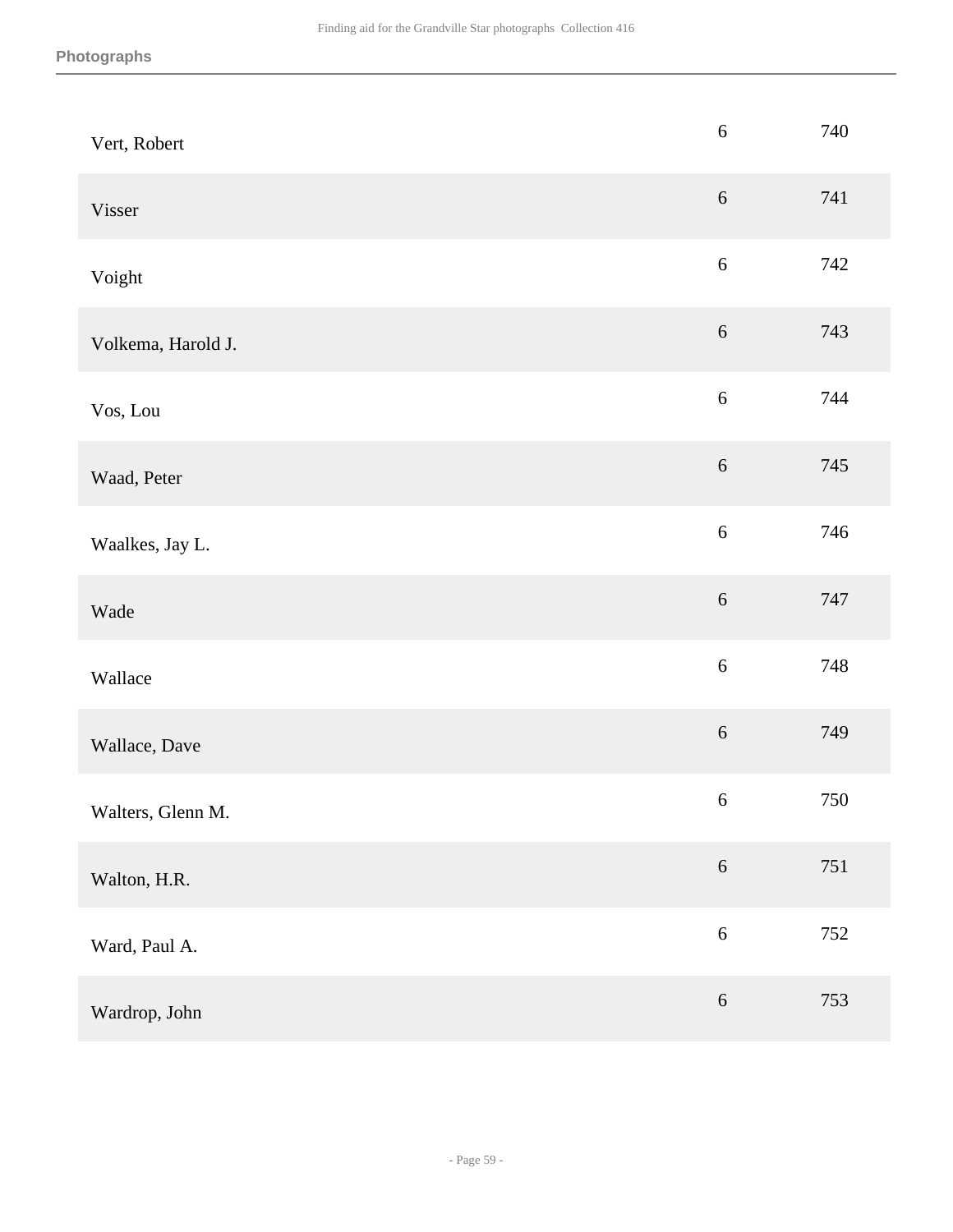| Vert, Robert       | $\sqrt{6}$ | 740 |
|--------------------|------------|-----|
| Visser             | $\sqrt{6}$ | 741 |
| Voight             | $\sqrt{6}$ | 742 |
| Volkema, Harold J. | $\sqrt{6}$ | 743 |
| Vos, Lou           | $\sqrt{6}$ | 744 |
| Waad, Peter        | $6\,$      | 745 |
| Waalkes, Jay L.    | $\sqrt{6}$ | 746 |
| Wade               | $\sqrt{6}$ | 747 |
| Wallace            | $\sqrt{6}$ | 748 |
| Wallace, Dave      | $\sqrt{6}$ | 749 |
| Walters, Glenn M.  | $\sqrt{6}$ | 750 |
| Walton, H.R.       | $6\,$      | 751 |
| Ward, Paul A.      | $\sqrt{6}$ | 752 |
| Wardrop, John      | $\sqrt{6}$ | 753 |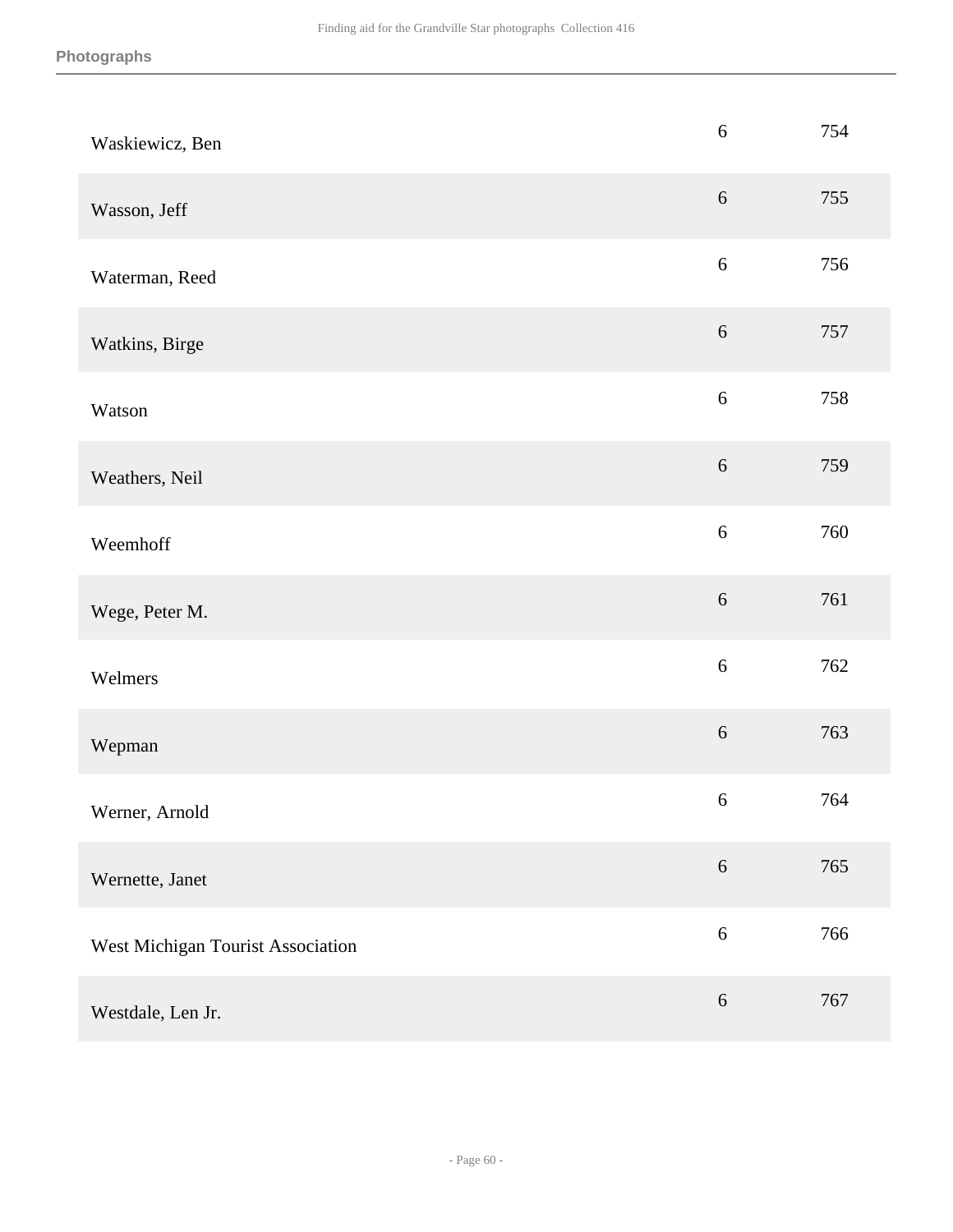| Waskiewicz, Ben                   | $\sqrt{6}$ | 754 |
|-----------------------------------|------------|-----|
| Wasson, Jeff                      | $\sqrt{6}$ | 755 |
| Waterman, Reed                    | $\sqrt{6}$ | 756 |
| Watkins, Birge                    | $\sqrt{6}$ | 757 |
| Watson                            | $\sqrt{6}$ | 758 |
| Weathers, Neil                    | $\sqrt{6}$ | 759 |
| Weemhoff                          | $6\,$      | 760 |
| Wege, Peter M.                    | 6          | 761 |
| Welmers                           | $\sqrt{6}$ | 762 |
| Wepman                            | $\sqrt{6}$ | 763 |
| Werner, Arnold                    | $\sqrt{6}$ | 764 |
| Wernette, Janet                   | $\sqrt{6}$ | 765 |
| West Michigan Tourist Association | $6\,$      | 766 |
| Westdale, Len Jr.                 | $\sqrt{6}$ | 767 |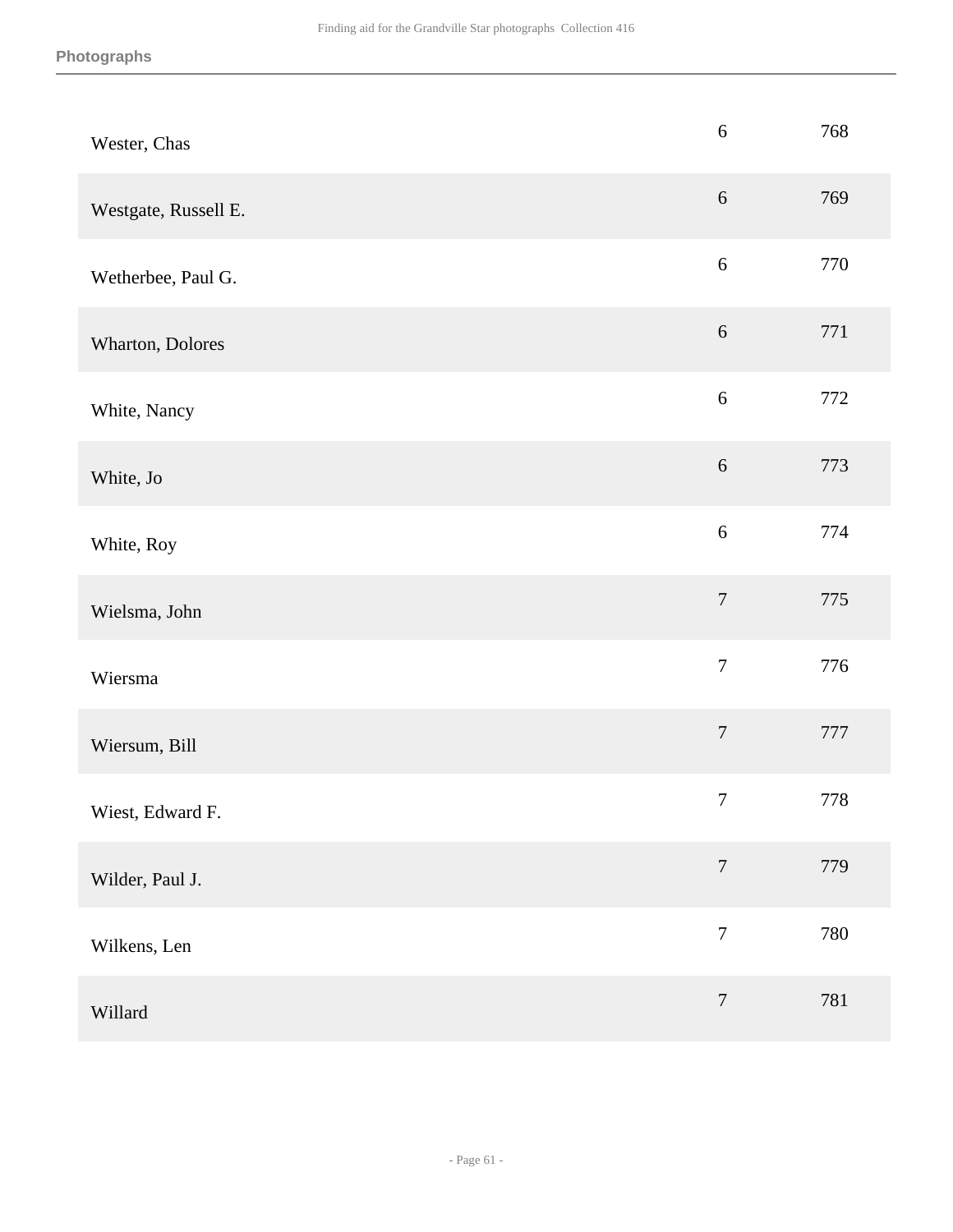| Wester, Chas         | $\sqrt{6}$       | 768 |
|----------------------|------------------|-----|
| Westgate, Russell E. | $\sqrt{6}$       | 769 |
| Wetherbee, Paul G.   | $\sqrt{6}$       | 770 |
| Wharton, Dolores     | $\sqrt{6}$       | 771 |
| White, Nancy         | $\sqrt{6}$       | 772 |
| White, Jo            | $\sqrt{6}$       | 773 |
| White, Roy           | $\sqrt{6}$       | 774 |
| Wielsma, John        | $\boldsymbol{7}$ | 775 |
| Wiersma              | $\boldsymbol{7}$ | 776 |
| Wiersum, Bill        | $\boldsymbol{7}$ | 777 |
| Wiest, Edward F.     | $\boldsymbol{7}$ | 778 |
| Wilder, Paul J.      | $\boldsymbol{7}$ | 779 |
| Wilkens, Len         | $\boldsymbol{7}$ | 780 |
| Willard              | $\boldsymbol{7}$ | 781 |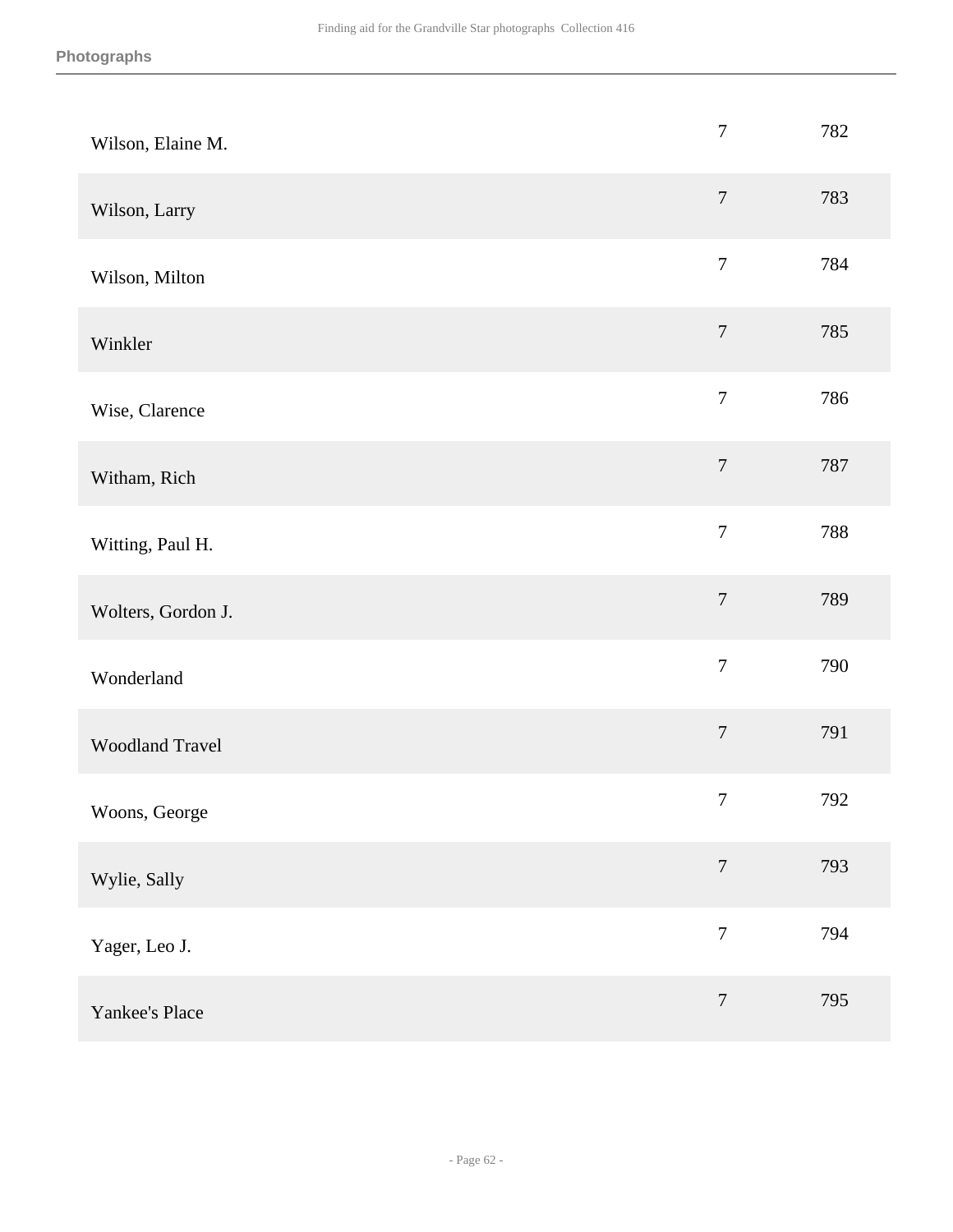| Wilson, Elaine M.  | $\overline{7}$   | 782 |
|--------------------|------------------|-----|
| Wilson, Larry      | $\overline{7}$   | 783 |
| Wilson, Milton     | $\boldsymbol{7}$ | 784 |
| Winkler            | $\boldsymbol{7}$ | 785 |
| Wise, Clarence     | $\boldsymbol{7}$ | 786 |
| Witham, Rich       | $\boldsymbol{7}$ | 787 |
| Witting, Paul H.   | $\boldsymbol{7}$ | 788 |
| Wolters, Gordon J. | $\boldsymbol{7}$ | 789 |
| Wonderland         | $\boldsymbol{7}$ | 790 |
| Woodland Travel    | $\boldsymbol{7}$ | 791 |
| Woons, George      | $\boldsymbol{7}$ | 792 |
| Wylie, Sally       | $\boldsymbol{7}$ | 793 |
| Yager, Leo J.      | $\boldsymbol{7}$ | 794 |
| Yankee's Place     | $\boldsymbol{7}$ | 795 |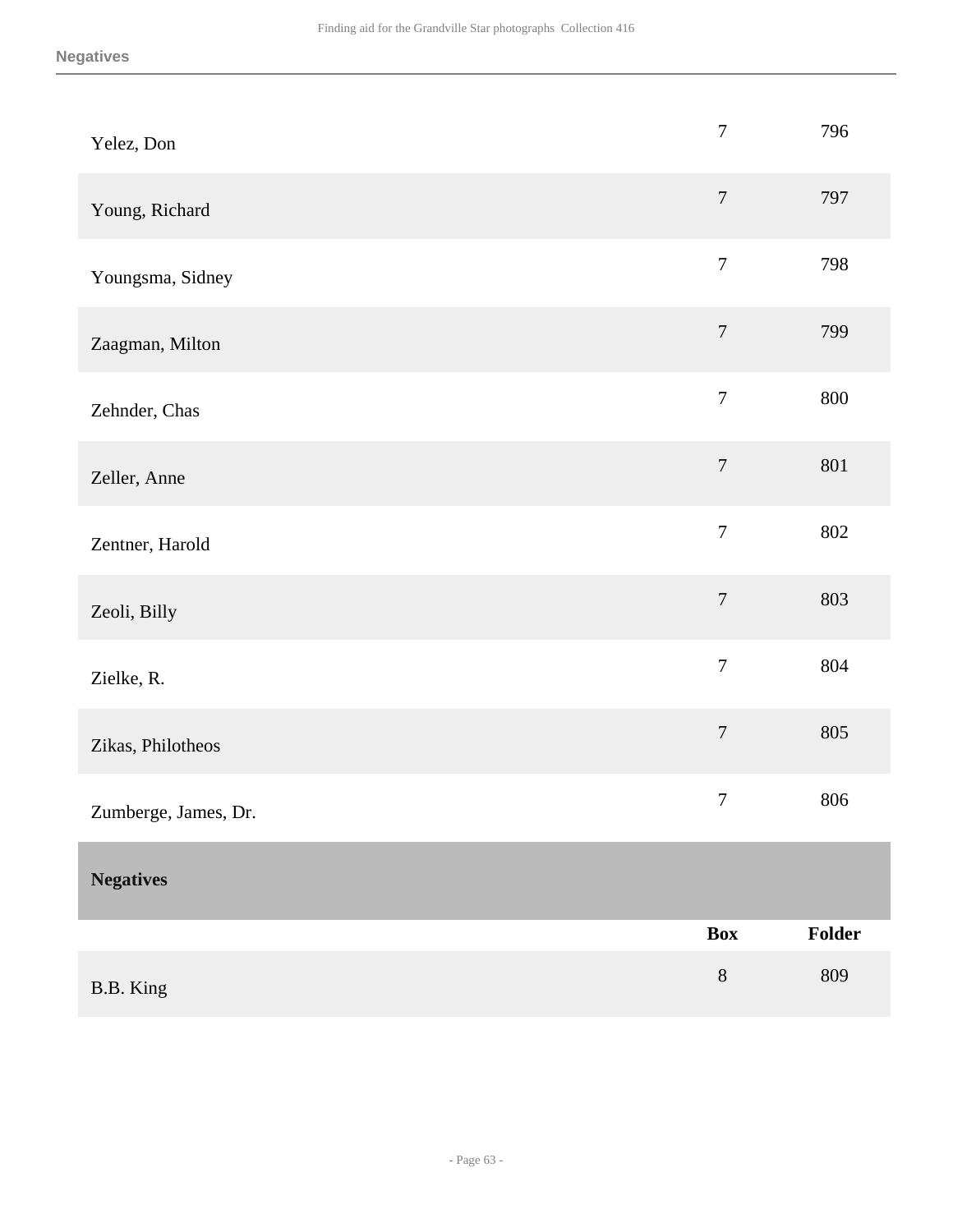<span id="page-62-0"></span>

| Yelez, Don           | $\boldsymbol{7}$ | 796     |
|----------------------|------------------|---------|
| Young, Richard       | $\overline{7}$   | 797     |
| Youngsma, Sidney     | $\overline{7}$   | 798     |
| Zaagman, Milton      | $\boldsymbol{7}$ | 799     |
| Zehnder, Chas        | $\boldsymbol{7}$ | 800     |
| Zeller, Anne         | $\boldsymbol{7}$ | $801\,$ |
| Zentner, Harold      | $\overline{7}$   | 802     |
| Zeoli, Billy         | $\overline{7}$   | 803     |
| Zielke, R.           | $\overline{7}$   | 804     |
| Zikas, Philotheos    | $\overline{7}$   | 805     |
| Zumberge, James, Dr. | $\boldsymbol{7}$ | 806     |
| <b>Negatives</b>     |                  |         |
|                      | <b>Box</b>       | Folder  |
| B.B. King            | $8\,$            | 809     |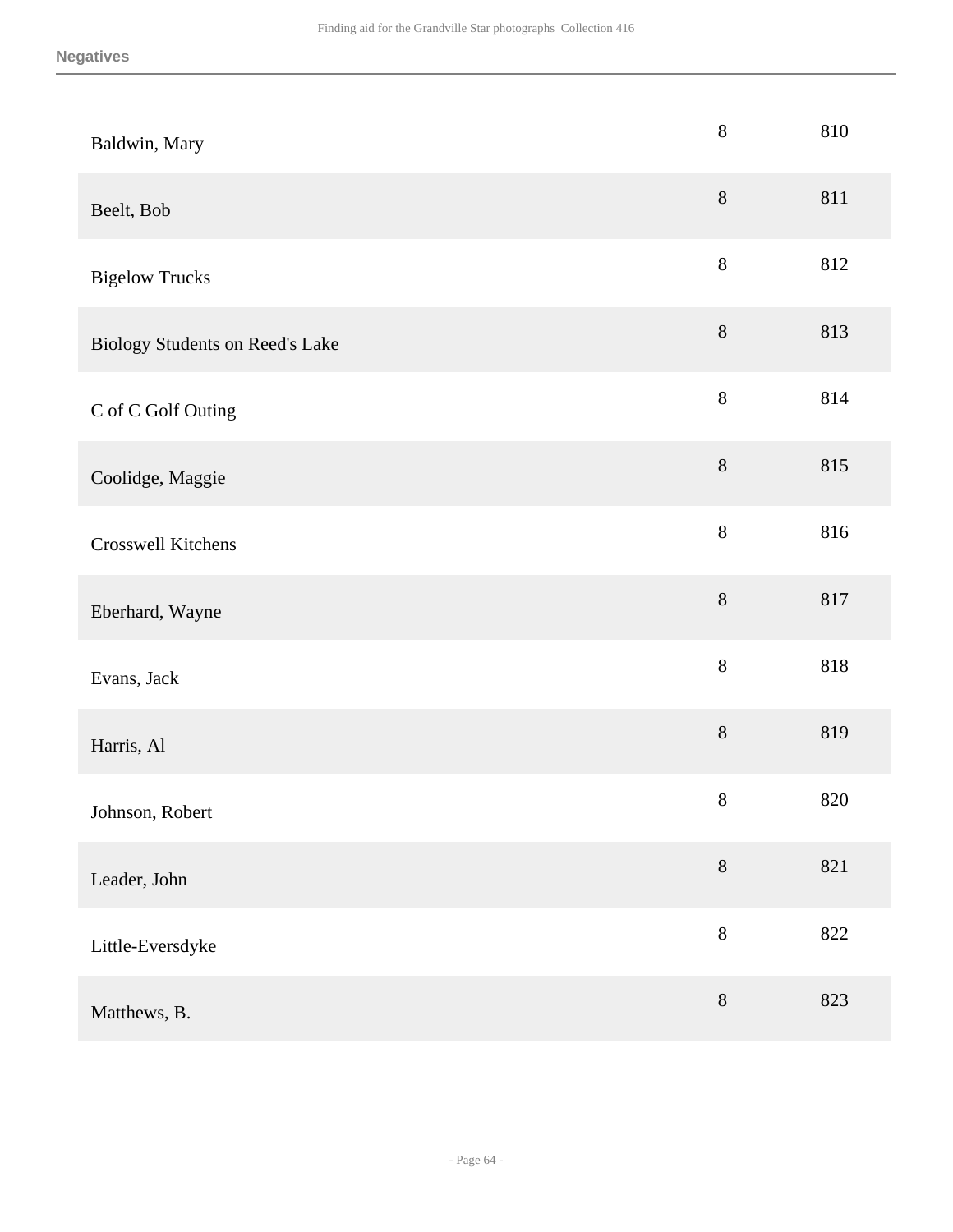| Baldwin, Mary                   | $8\,$   | 810 |
|---------------------------------|---------|-----|
| Beelt, Bob                      | $8\,$   | 811 |
| <b>Bigelow Trucks</b>           | $8\,$   | 812 |
| Biology Students on Reed's Lake | $8\,$   | 813 |
| C of C Golf Outing              | $8\,$   | 814 |
| Coolidge, Maggie                | $8\,$   | 815 |
| Crosswell Kitchens              | $8\,$   | 816 |
| Eberhard, Wayne                 | $8\,$   | 817 |
| Evans, Jack                     | $8\,$   | 818 |
| Harris, Al                      | $8\,$   | 819 |
| Johnson, Robert                 | $8\,$   | 820 |
| Leader, John                    | $8\,$   | 821 |
| Little-Eversdyke                | $\,8\,$ | 822 |
| Matthews, B.                    | $8\,$   | 823 |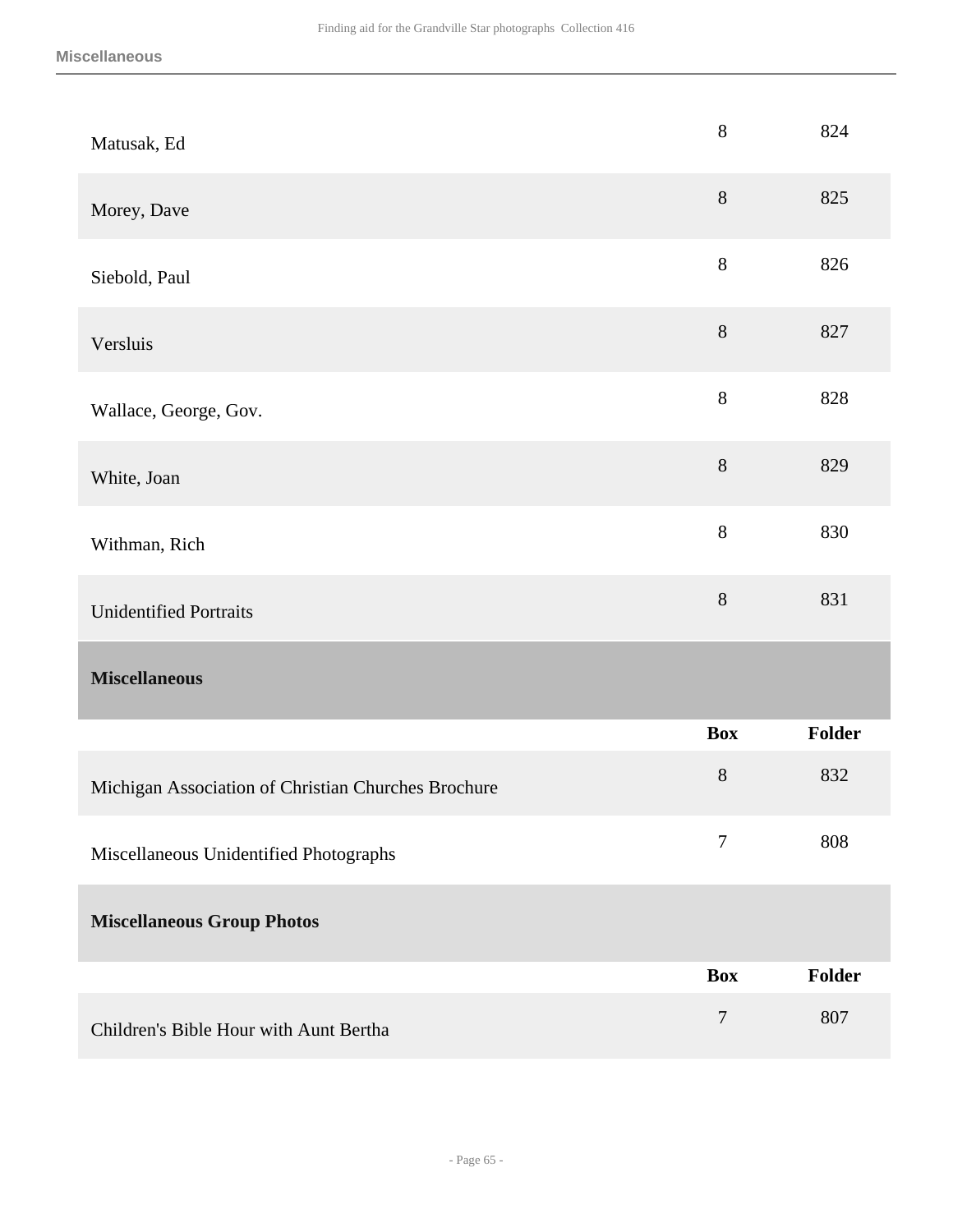<span id="page-64-0"></span>

| Matusak, Ed                                         | $8\,$      | 824    |
|-----------------------------------------------------|------------|--------|
| Morey, Dave                                         | $8\,$      | 825    |
| Siebold, Paul                                       | $8\,$      | 826    |
| Versluis                                            | $8\,$      | 827    |
| Wallace, George, Gov.                               | 8          | 828    |
| White, Joan                                         | $8\,$      | 829    |
| Withman, Rich                                       | $8\,$      | 830    |
| <b>Unidentified Portraits</b>                       | $8\,$      | 831    |
| <b>Miscellaneous</b>                                |            |        |
|                                                     | <b>Box</b> | Folder |
| Michigan Association of Christian Churches Brochure | $8\,$      | 832    |
| Miscellaneous Unidentified Photographs              | $\tau$     | 808    |
| <b>Miscellaneous Group Photos</b>                   |            |        |
|                                                     | <b>Box</b> | Folder |
|                                                     |            |        |